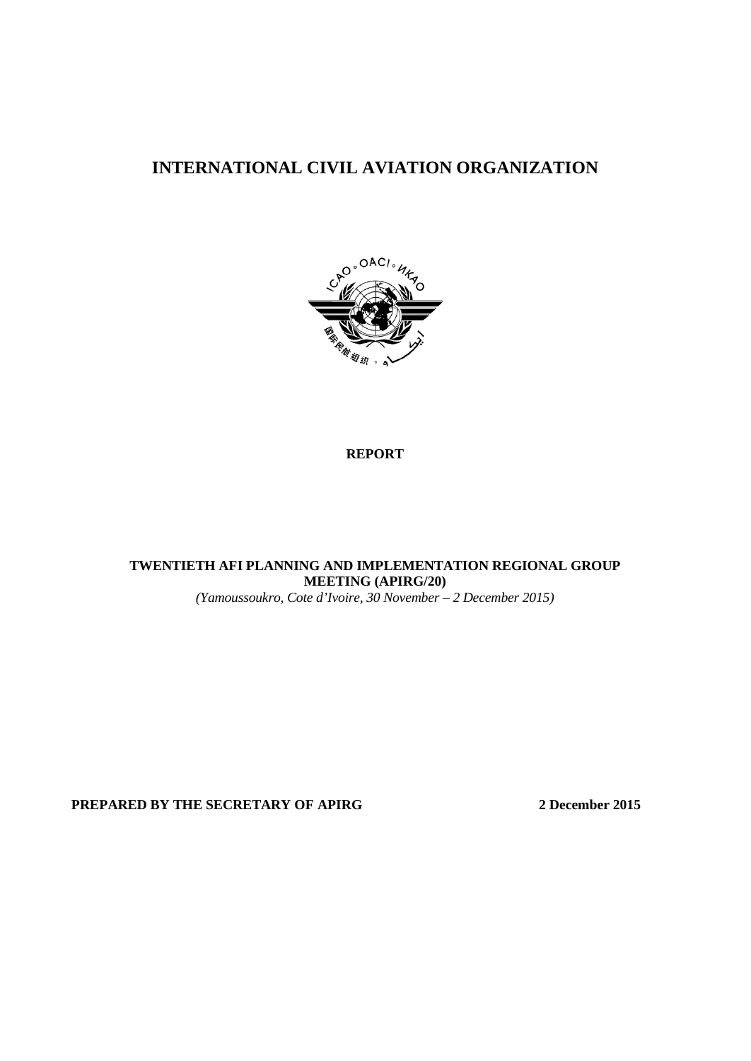# **INTERNATIONAL CIVIL AVIATION ORGANIZATION**



### **REPORT**

**TWENTIETH AFI PLANNING AND IMPLEMENTATION REGIONAL GROUP MEETING (APIRG/20)** *(Yamoussoukro, Cote d'Ivoire, 30 November – 2 December 2015)*

**PREPARED BY THE SECRETARY OF APIRG 2 December 2015**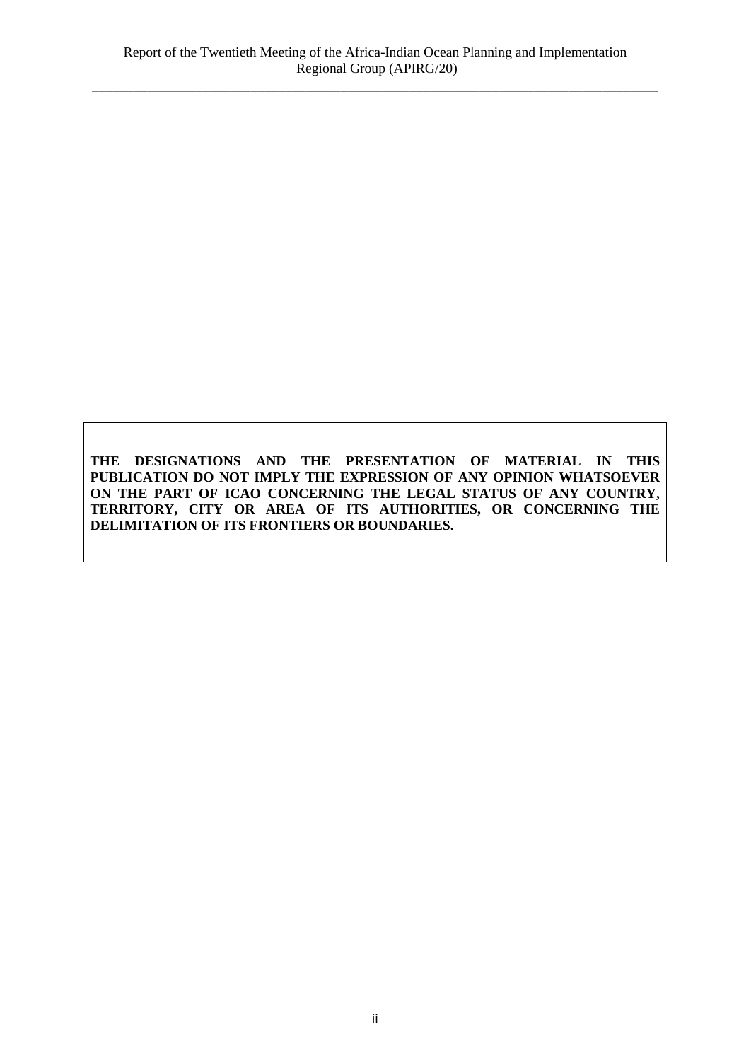**THE DESIGNATIONS AND THE PRESENTATION OF MATERIAL IN THIS PUBLICATION DO NOT IMPLY THE EXPRESSION OF ANY OPINION WHATSOEVER ON THE PART OF ICAO CONCERNING THE LEGAL STATUS OF ANY COUNTRY, TERRITORY, CITY OR AREA OF ITS AUTHORITIES, OR CONCERNING THE DELIMITATION OF ITS FRONTIERS OR BOUNDARIES.**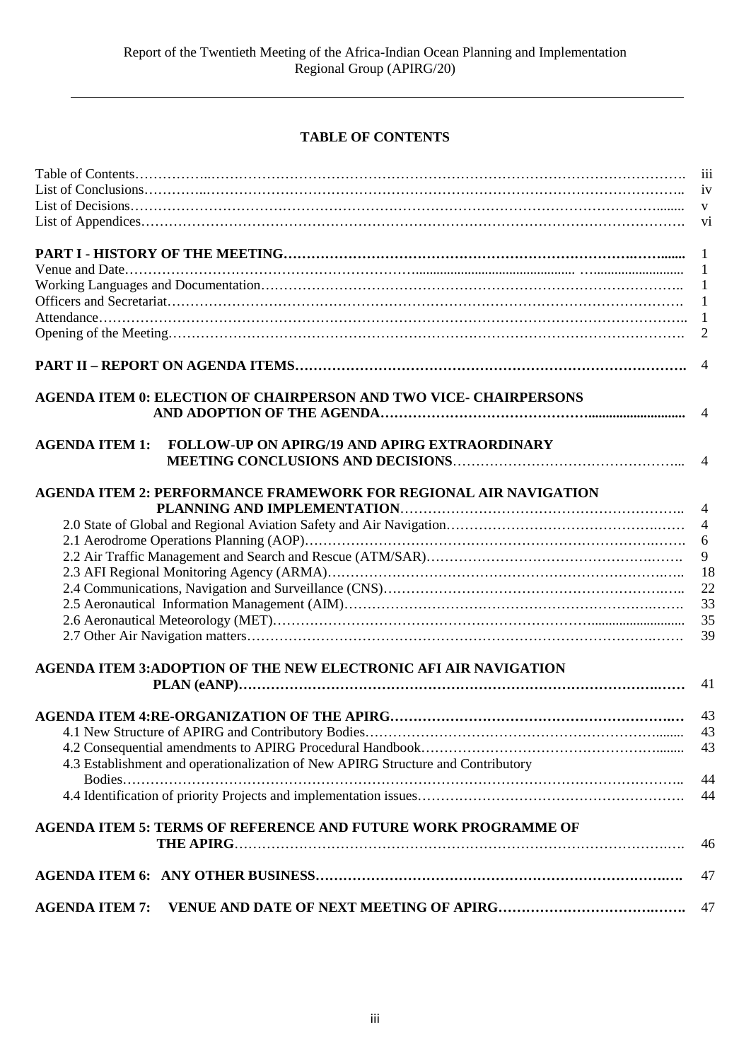## **TABLE OF CONTENTS**

|                       |                                                                                  | 111            |
|-----------------------|----------------------------------------------------------------------------------|----------------|
|                       |                                                                                  | iv             |
|                       |                                                                                  | $\mathbf{V}$   |
|                       |                                                                                  | vi             |
|                       |                                                                                  | $\mathbf{1}$   |
|                       |                                                                                  | 1              |
|                       |                                                                                  | 1              |
|                       |                                                                                  | 1              |
|                       |                                                                                  | -1             |
|                       |                                                                                  | $\overline{2}$ |
|                       |                                                                                  | $\overline{4}$ |
|                       | <b>AGENDA ITEM 0: ELECTION OF CHAIRPERSON AND TWO VICE- CHAIRPERSONS</b>         |                |
|                       |                                                                                  |                |
| <b>AGENDA ITEM 1:</b> | FOLLOW-UP ON APIRG/19 AND APIRG EXTRAORDINARY                                    |                |
|                       |                                                                                  | $\overline{4}$ |
|                       | <b>AGENDA ITEM 2: PERFORMANCE FRAMEWORK FOR REGIONAL AIR NAVIGATION</b>          |                |
|                       |                                                                                  | $\overline{4}$ |
|                       |                                                                                  | $\overline{4}$ |
|                       |                                                                                  | 6              |
|                       |                                                                                  | 9              |
|                       |                                                                                  | 18             |
|                       |                                                                                  | 22             |
|                       |                                                                                  | 33             |
|                       |                                                                                  | 35             |
|                       |                                                                                  | 39             |
|                       | <b>AGENDA ITEM 3:ADOPTION OF THE NEW ELECTRONIC AFI AIR NAVIGATION</b>           |                |
|                       |                                                                                  | 41             |
|                       |                                                                                  | 43             |
|                       |                                                                                  | 43             |
|                       |                                                                                  | 43             |
|                       | 4.3 Establishment and operationalization of New APIRG Structure and Contributory |                |
|                       |                                                                                  | 44             |
|                       |                                                                                  | 44             |
|                       | <b>AGENDA ITEM 5: TERMS OF REFERENCE AND FUTURE WORK PROGRAMME OF</b>            |                |
|                       |                                                                                  | 46             |
|                       |                                                                                  | 47             |
| <b>AGENDA ITEM 7:</b> |                                                                                  | 47             |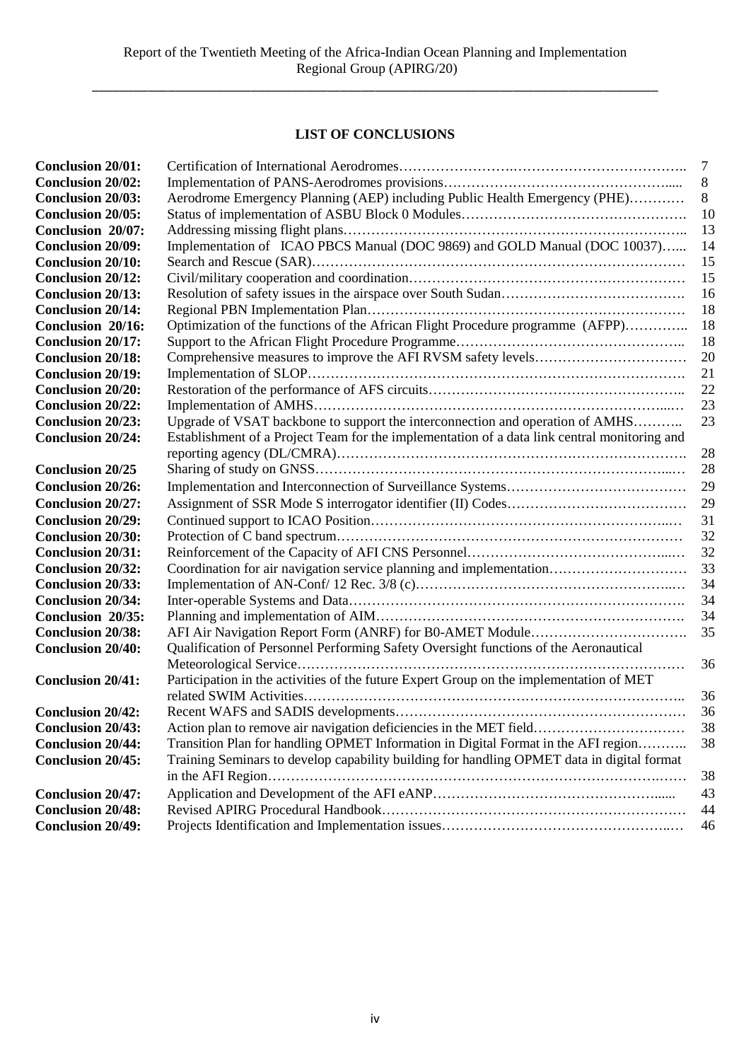# **LIST OF CONCLUSIONS**

| <b>Conclusion 20/01:</b> |                                                                                              | $\overline{7}$ |
|--------------------------|----------------------------------------------------------------------------------------------|----------------|
| <b>Conclusion 20/02:</b> |                                                                                              | $\,8\,$        |
| <b>Conclusion 20/03:</b> | Aerodrome Emergency Planning (AEP) including Public Health Emergency (PHE)                   | 8              |
| <b>Conclusion 20/05:</b> |                                                                                              | 10             |
| Conclusion 20/07:        |                                                                                              | 13             |
| <b>Conclusion 20/09:</b> | Implementation of ICAO PBCS Manual (DOC 9869) and GOLD Manual (DOC 10037)                    | 14             |
| <b>Conclusion 20/10:</b> |                                                                                              | 15             |
| <b>Conclusion 20/12:</b> |                                                                                              | 15             |
| <b>Conclusion 20/13:</b> |                                                                                              | 16             |
| <b>Conclusion 20/14:</b> |                                                                                              | 18             |
| Conclusion 20/16:        | Optimization of the functions of the African Flight Procedure programme (AFPP)               | 18             |
| <b>Conclusion 20/17:</b> |                                                                                              | 18             |
| <b>Conclusion 20/18:</b> |                                                                                              | 20             |
| <b>Conclusion 20/19:</b> |                                                                                              | 21             |
| <b>Conclusion 20/20:</b> |                                                                                              | 22             |
| <b>Conclusion 20/22:</b> |                                                                                              | 23             |
| <b>Conclusion 20/23:</b> | Upgrade of VSAT backbone to support the interconnection and operation of AMHS                | 23             |
| <b>Conclusion 20/24:</b> | Establishment of a Project Team for the implementation of a data link central monitoring and |                |
|                          |                                                                                              | 28             |
| <b>Conclusion 20/25</b>  |                                                                                              | 28             |
| <b>Conclusion 20/26:</b> |                                                                                              | 29             |
| <b>Conclusion 20/27:</b> |                                                                                              | 29             |
| <b>Conclusion 20/29:</b> |                                                                                              | 31             |
| <b>Conclusion 20/30:</b> |                                                                                              | 32             |
| <b>Conclusion 20/31:</b> |                                                                                              | 32             |
| <b>Conclusion 20/32:</b> | Coordination for air navigation service planning and implementation                          | 33             |
| <b>Conclusion 20/33:</b> |                                                                                              | 34             |
| <b>Conclusion 20/34:</b> |                                                                                              | 34             |
| Conclusion 20/35:        |                                                                                              | 34             |
| <b>Conclusion 20/38:</b> |                                                                                              | 35             |
| <b>Conclusion 20/40:</b> | Qualification of Personnel Performing Safety Oversight functions of the Aeronautical         |                |
|                          | .                                                                                            | 36             |
| <b>Conclusion 20/41:</b> | Participation in the activities of the future Expert Group on the implementation of MET      |                |
|                          |                                                                                              | 36             |
| <b>Conclusion 20/42:</b> |                                                                                              | 36             |
| <b>Conclusion 20/43:</b> | Action plan to remove air navigation deficiencies in the MET field                           | 38             |
| <b>Conclusion 20/44:</b> | Transition Plan for handling OPMET Information in Digital Format in the AFI region           | 38             |
| <b>Conclusion 20/45:</b> | Training Seminars to develop capability building for handling OPMET data in digital format   |                |
|                          |                                                                                              | 38             |
| <b>Conclusion 20/47:</b> |                                                                                              | 43             |
| <b>Conclusion 20/48:</b> |                                                                                              | 44             |
| <b>Conclusion 20/49:</b> |                                                                                              | 46             |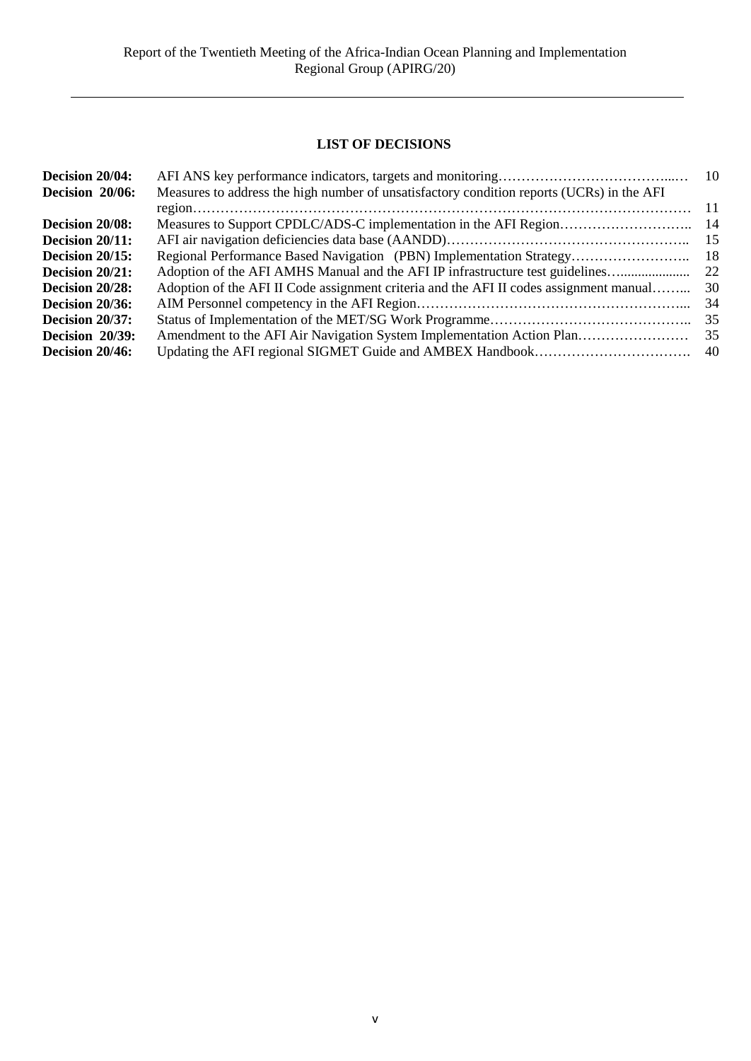## **LIST OF DECISIONS**

| Measures to address the high number of unsatisfactory condition reports (UCRs) in the AFI |      |
|-------------------------------------------------------------------------------------------|------|
|                                                                                           | -11  |
|                                                                                           | -14  |
|                                                                                           | 15   |
| Regional Performance Based Navigation (PBN) Implementation Strategy                       | -18  |
| Adoption of the AFI AMHS Manual and the AFI IP infrastructure test guidelines             | 22   |
| Adoption of the AFI II Code assignment criteria and the AFI II codes assignment manual    | 30   |
|                                                                                           | 34   |
|                                                                                           | 35   |
| Amendment to the AFI Air Navigation System Implementation Action Plan                     | 35   |
|                                                                                           | - 40 |
|                                                                                           |      |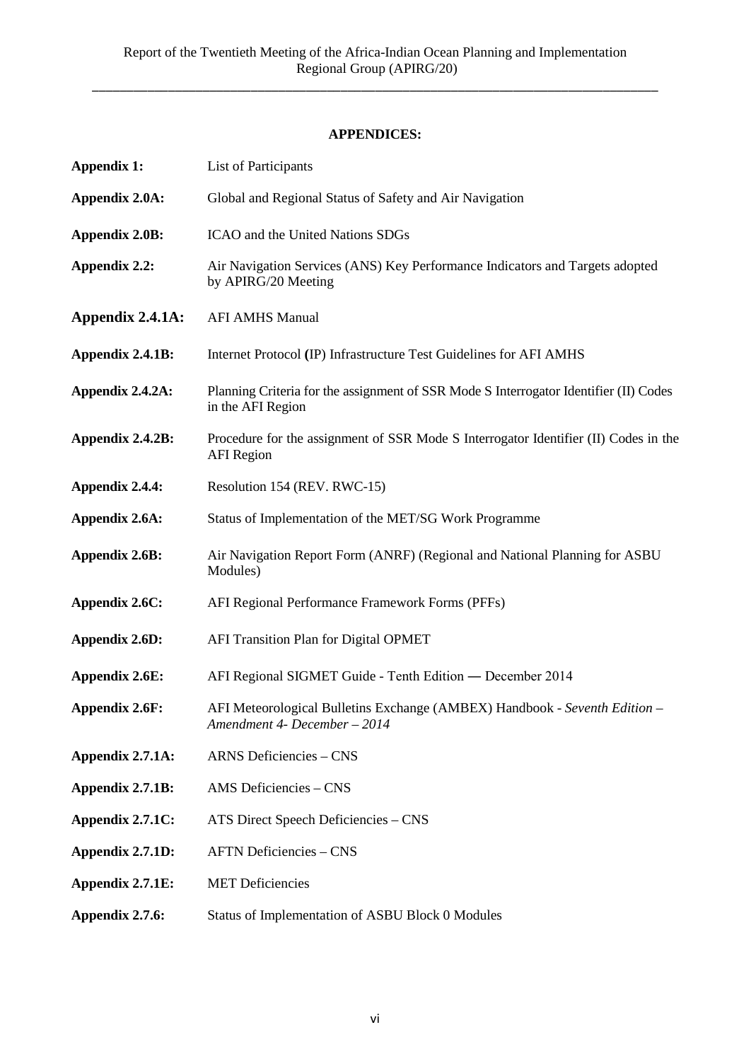## **APPENDICES:**

| <b>Appendix 1:</b>    | List of Participants                                                                                       |  |  |
|-----------------------|------------------------------------------------------------------------------------------------------------|--|--|
| <b>Appendix 2.0A:</b> | Global and Regional Status of Safety and Air Navigation                                                    |  |  |
| Appendix 2.0B:        | ICAO and the United Nations SDGs                                                                           |  |  |
| Appendix 2.2:         | Air Navigation Services (ANS) Key Performance Indicators and Targets adopted<br>by APIRG/20 Meeting        |  |  |
| Appendix 2.4.1A:      | <b>AFI AMHS Manual</b>                                                                                     |  |  |
| Appendix 2.4.1B:      | Internet Protocol (IP) Infrastructure Test Guidelines for AFI AMHS                                         |  |  |
| Appendix 2.4.2A:      | Planning Criteria for the assignment of SSR Mode S Interrogator Identifier (II) Codes<br>in the AFI Region |  |  |
| Appendix 2.4.2B:      | Procedure for the assignment of SSR Mode S Interrogator Identifier (II) Codes in the<br><b>AFI</b> Region  |  |  |
| Appendix 2.4.4:       | Resolution 154 (REV. RWC-15)                                                                               |  |  |
| Appendix 2.6A:        | Status of Implementation of the MET/SG Work Programme                                                      |  |  |
| <b>Appendix 2.6B:</b> | Air Navigation Report Form (ANRF) (Regional and National Planning for ASBU<br>Modules)                     |  |  |
| Appendix 2.6C:        | AFI Regional Performance Framework Forms (PFFs)                                                            |  |  |
| <b>Appendix 2.6D:</b> | <b>AFI Transition Plan for Digital OPMET</b>                                                               |  |  |
| <b>Appendix 2.6E:</b> | AFI Regional SIGMET Guide - Tenth Edition - December 2014                                                  |  |  |
| <b>Appendix 2.6F:</b> | AFI Meteorological Bulletins Exchange (AMBEX) Handbook - Seventh Edition -<br>Amendment 4- December - 2014 |  |  |
| Appendix 2.7.1A:      | <b>ARNS Deficiencies - CNS</b>                                                                             |  |  |
| Appendix 2.7.1B:      | AMS Deficiencies - CNS                                                                                     |  |  |
| Appendix 2.7.1C:      | ATS Direct Speech Deficiencies - CNS                                                                       |  |  |
| Appendix 2.7.1D:      | <b>AFTN Deficiencies - CNS</b>                                                                             |  |  |
| Appendix 2.7.1E:      | <b>MET Deficiencies</b>                                                                                    |  |  |
| Appendix 2.7.6:       | Status of Implementation of ASBU Block 0 Modules                                                           |  |  |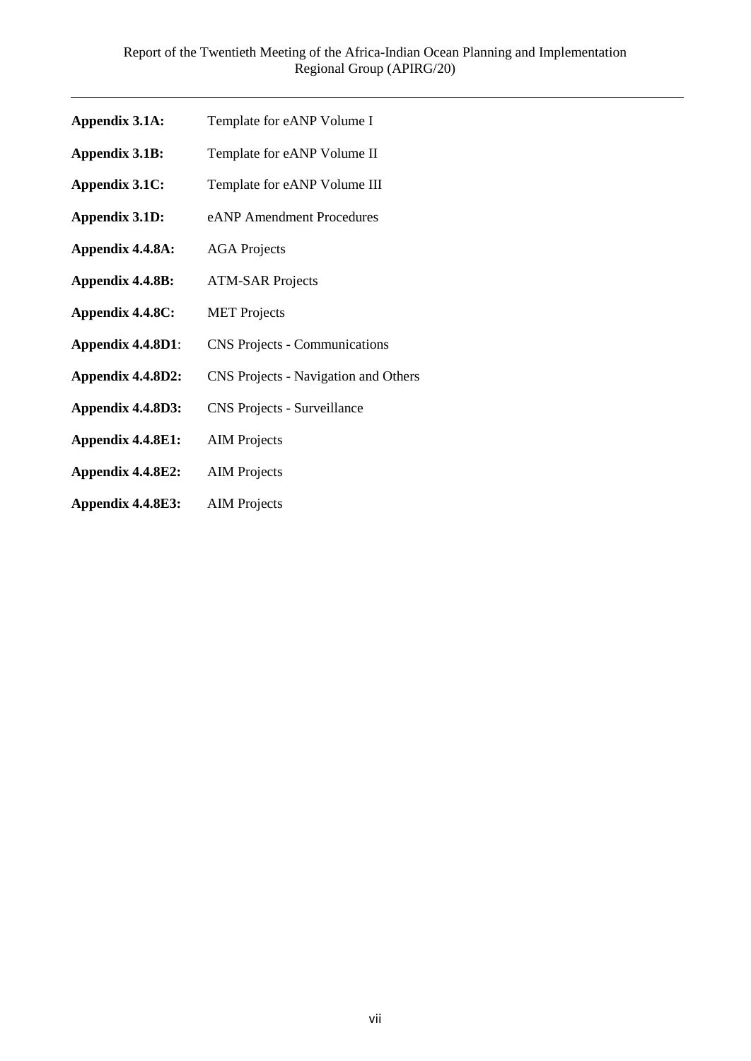- **Appendix 3.1A:** Template for eANP Volume I
- **Appendix 3.1B:** Template for eANP Volume II
- **Appendix 3.1C:** Template for eANP Volume III
- **Appendix 3.1D:** eANP Amendment Procedures
- **Appendix 4.4.8A:** AGA Projects
- **Appendix 4.4.8B:** ATM-SAR Projects
- **Appendix 4.4.8C:** MET Projects
- **Appendix 4.4.8D1**: CNS Projects Communications
- **Appendix 4.4.8D2:** CNS Projects Navigation and Others
- **Appendix 4.4.8D3:** CNS Projects Surveillance
- **Appendix 4.4.8E1:** AIM Projects
- **Appendix 4.4.8E2:** AIM Projects
- **Appendix 4.4.8E3:** AIM Projects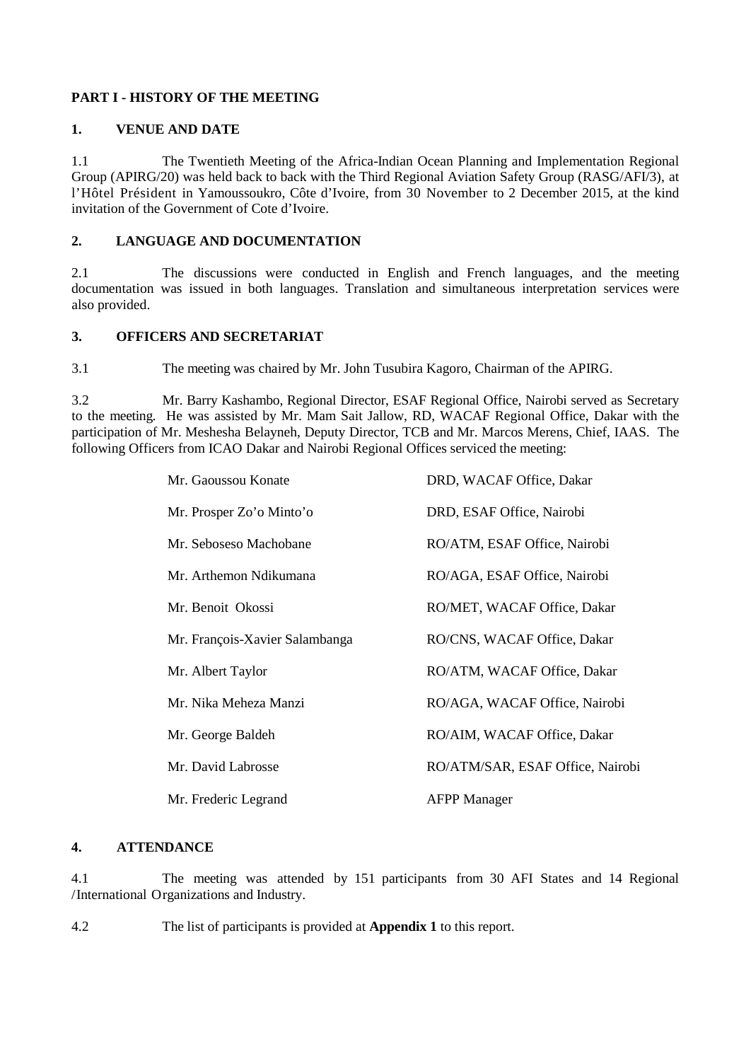## **PART I - HISTORY OF THE MEETING**

#### **1. VENUE AND DATE**

1.1 The Twentieth Meeting of the Africa-Indian Ocean Planning and Implementation Regional Group (APIRG/20) was held back to back with the Third Regional Aviation Safety Group (RASG/AFI/3), at l'Hôtel Président in Yamoussoukro, Côte d'Ivoire, from 30 November to 2 December 2015, at the kind invitation of the Government of Cote d'Ivoire.

## **2. LANGUAGE AND DOCUMENTATION**

2.1 The discussions were conducted in English and French languages, and the meeting documentation was issued in both languages. Translation and simultaneous interpretation services were also provided.

### **3. OFFICERS AND SECRETARIAT**

3.1 The meeting was chaired by Mr. John Tusubira Kagoro, Chairman of the APIRG.

3.2 Mr. Barry Kashambo, Regional Director, ESAF Regional Office, Nairobi served as Secretary to the meeting. He was assisted by Mr. Mam Sait Jallow, RD, WACAF Regional Office, Dakar with the participation of Mr. Meshesha Belayneh, Deputy Director, TCB and Mr. Marcos Merens, Chief, IAAS. The following Officers from ICAO Dakar and Nairobi Regional Offices serviced the meeting:

| Mr. Gaoussou Konate            | DRD, WACAF Office, Dakar         |  |
|--------------------------------|----------------------------------|--|
| Mr. Prosper Zo'o Minto'o       | DRD, ESAF Office, Nairobi        |  |
| Mr. Seboseso Machobane         | RO/ATM, ESAF Office, Nairobi     |  |
| Mr. Arthemon Ndikumana         | RO/AGA, ESAF Office, Nairobi     |  |
| Mr. Benoit Okossi              | RO/MET, WACAF Office, Dakar      |  |
| Mr. François-Xavier Salambanga | RO/CNS, WACAF Office, Dakar      |  |
| Mr. Albert Taylor              | RO/ATM, WACAF Office, Dakar      |  |
| Mr. Nika Meheza Manzi          | RO/AGA, WACAF Office, Nairobi    |  |
| Mr. George Baldeh              | RO/AIM, WACAF Office, Dakar      |  |
| Mr. David Labrosse             | RO/ATM/SAR, ESAF Office, Nairobi |  |
| Mr. Frederic Legrand           | <b>AFPP Manager</b>              |  |

#### **4. ATTENDANCE**

4.1 The meeting was attended by 151 participants from 30 AFI States and 14 Regional /International Organizations and Industry.

4.2 The list of participants is provided at **Appendix 1** to this report.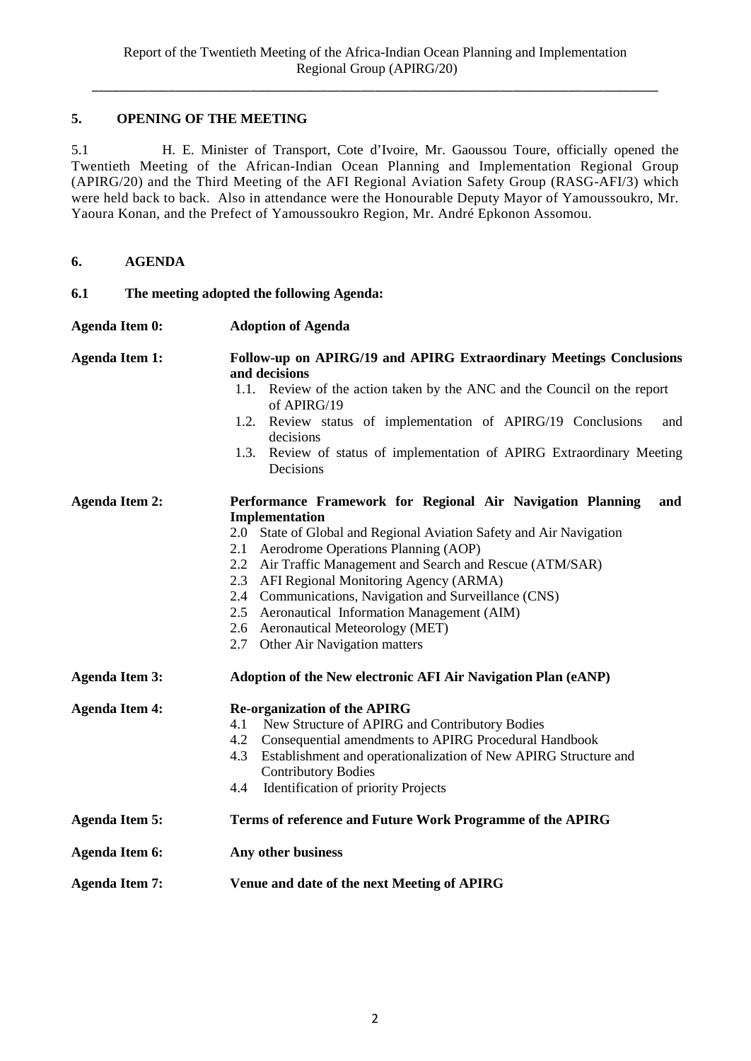## **5. OPENING OF THE MEETING**

5.1 H. E. Minister of Transport, Cote d'Ivoire, Mr. Gaoussou Toure, officially opened the Twentieth Meeting of the African-Indian Ocean Planning and Implementation Regional Group (APIRG/20) and the Third Meeting of the AFI Regional Aviation Safety Group (RASG-AFI/3) which were held back to back. Also in attendance were the Honourable Deputy Mayor of Yamoussoukro, Mr. Yaoura Konan, and the Prefect of Yamoussoukro Region, Mr. André Epkonon Assomou.

| 6. | <b>AGENDA</b> |
|----|---------------|
|    |               |

| 6.1 | The meeting adopted the following Agenda: |  |  |  |
|-----|-------------------------------------------|--|--|--|
|-----|-------------------------------------------|--|--|--|

| Agenda Item 0: | <b>Adoption of Agenda</b>                                                           |
|----------------|-------------------------------------------------------------------------------------|
| Agenda Item 1: | Follow-up on APIRG/19 and APIRG Extraordinary Meetings Conclusions<br>and decisions |
|                | 1.1. Review of the action taken by the ANC and the Council on the report            |

- of APIRG/19
- 1.2. Review status of implementation of APIRG/19 Conclusions and decisions
- 1.3. Review of status of implementation of APIRG Extraordinary Meeting Decisions

## **Agenda Item 2: Performance Framework for Regional Air Navigation Planning and Implementation**

- 2.0 State of Global and Regional Aviation Safety and Air Navigation
- 2.1 Aerodrome Operations Planning (AOP)
- 2.2 Air Traffic Management and Search and Rescue (ATM/SAR)
- 2.3 AFI Regional Monitoring Agency (ARMA)
- 2.4 Communications, Navigation and Surveillance (CNS)
- 2.5 Aeronautical Information Management (AIM)
- 2.6 Aeronautical Meteorology (MET)
- 2.7 Other Air Navigation matters
- **Agenda Item 3: Adoption of the New electronic AFI Air Navigation Plan (eANP)**

| <b>Agenda Item 4:</b> | <b>Re-organization of the APIRG</b>                                 |  |  |
|-----------------------|---------------------------------------------------------------------|--|--|
|                       | New Structure of APIRG and Contributory Bodies<br>4.1               |  |  |
|                       | 4.2 Consequential amendments to APIRG Procedural Handbook           |  |  |
|                       | 4.3 Establishment and operationalization of New APIRG Structure and |  |  |
|                       | <b>Contributory Bodies</b>                                          |  |  |
|                       | <b>Identification of priority Projects</b><br>4.4                   |  |  |
| <b>Agenda Item 5:</b> | Terms of reference and Future Work Programme of the APIRG           |  |  |
| <b>Agenda Item 6:</b> | Any other business                                                  |  |  |
|                       |                                                                     |  |  |

**Agenda Item 7: Venue and date of the next Meeting of APIRG**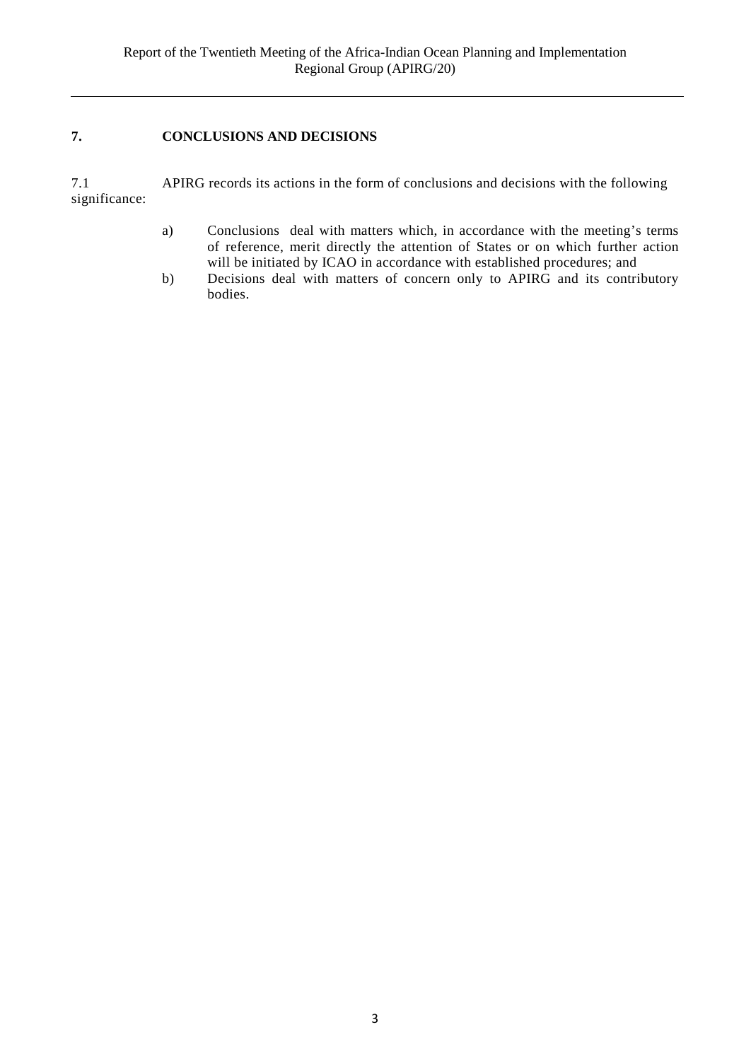## **7. CONCLUSIONS AND DECISIONS**

7.1 APIRG records its actions in the form of conclusions and decisions with the following significance:

- a) Conclusions deal with matters which, in accordance with the meeting's terms of reference, merit directly the attention of States or on which further action will be initiated by ICAO in accordance with established procedures; and
- b) Decisions deal with matters of concern only to APIRG and its contributory bodies.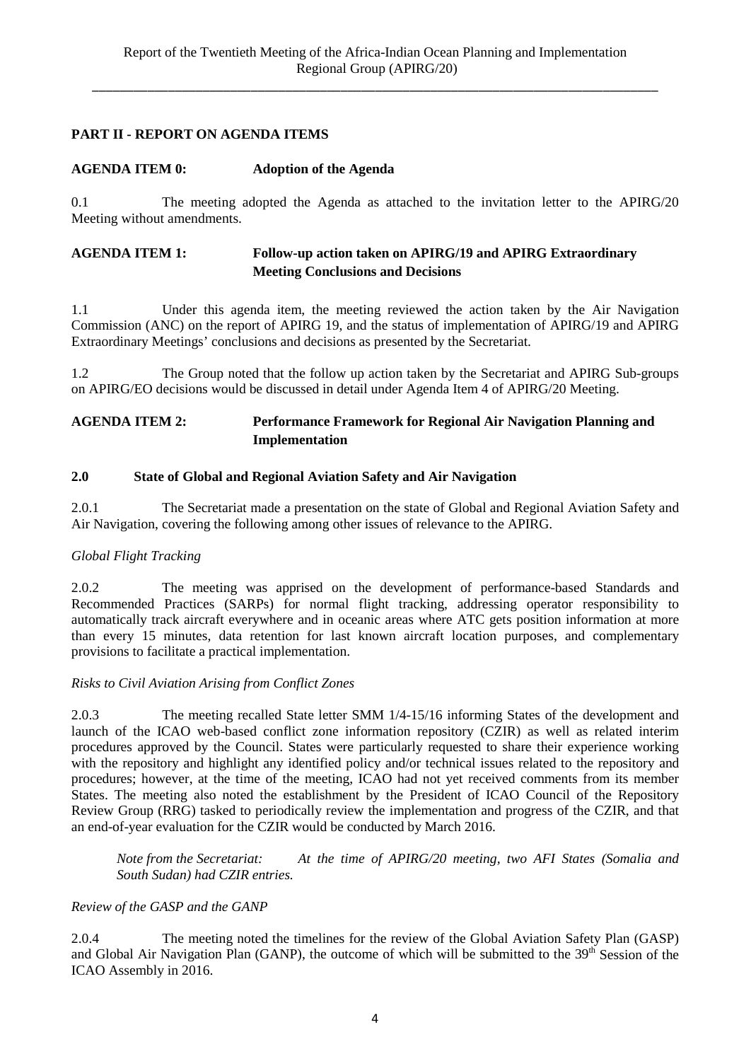## **PART II - REPORT ON AGENDA ITEMS**

### **AGENDA ITEM 0: Adoption of the Agenda**

0.1 The meeting adopted the Agenda as attached to the invitation letter to the APIRG/20 Meeting without amendments.

### **AGENDA ITEM 1: Follow-up action taken on APIRG/19 and APIRG Extraordinary Meeting Conclusions and Decisions**

1.1 Under this agenda item, the meeting reviewed the action taken by the Air Navigation Commission (ANC) on the report of APIRG 19, and the status of implementation of APIRG/19 and APIRG Extraordinary Meetings' conclusions and decisions as presented by the Secretariat.

1.2 The Group noted that the follow up action taken by the Secretariat and APIRG Sub-groups on APIRG/EO decisions would be discussed in detail under Agenda Item 4 of APIRG/20 Meeting.

## **AGENDA ITEM 2: Performance Framework for Regional Air Navigation Planning and Implementation**

### **2.0 State of Global and Regional Aviation Safety and Air Navigation**

2.0.1 The Secretariat made a presentation on the state of Global and Regional Aviation Safety and Air Navigation, covering the following among other issues of relevance to the APIRG.

#### *Global Flight Tracking*

2.0.2 The meeting was apprised on the development of performance-based Standards and Recommended Practices (SARPs) for normal flight tracking, addressing operator responsibility to automatically track aircraft everywhere and in oceanic areas where ATC gets position information at more than every 15 minutes, data retention for last known aircraft location purposes, and complementary provisions to facilitate a practical implementation.

#### *Risks to Civil Aviation Arising from Conflict Zones*

2.0.3 The meeting recalled State letter SMM 1/4-15/16 informing States of the development and launch of the ICAO web-based conflict zone information repository (CZIR) as well as related interim procedures approved by the Council. States were particularly requested to share their experience working with the repository and highlight any identified policy and/or technical issues related to the repository and procedures; however, at the time of the meeting, ICAO had not yet received comments from its member States. The meeting also noted the establishment by the President of ICAO Council of the Repository Review Group (RRG) tasked to periodically review the implementation and progress of the CZIR, and that an end-of-year evaluation for the CZIR would be conducted by March 2016.

*Note from the Secretariat: At the time of APIRG/20 meeting, two AFI States (Somalia and South Sudan) had CZIR entries.*

#### *Review of the GASP and the GANP*

2.0.4 The meeting noted the timelines for the review of the Global Aviation Safety Plan (GASP) and Global Air Navigation Plan (GANP), the outcome of which will be submitted to the 39<sup>th</sup> Session of the ICAO Assembly in 2016.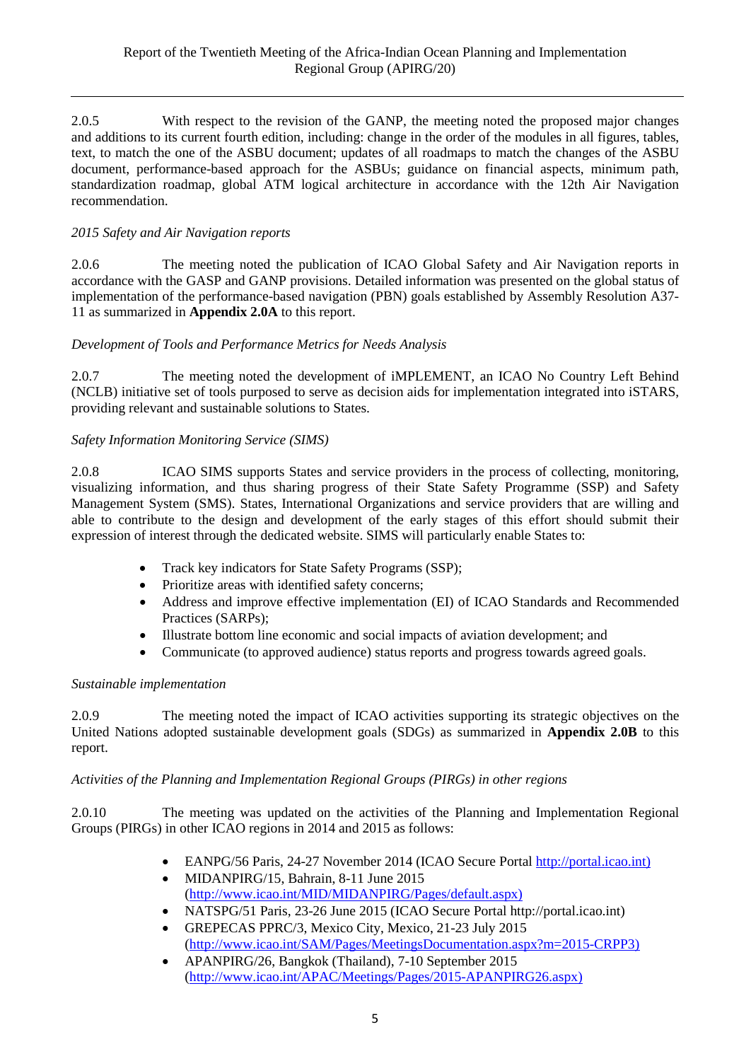2.0.5 With respect to the revision of the GANP, the meeting noted the proposed major changes and additions to its current fourth edition, including: change in the order of the modules in all figures, tables, text, to match the one of the ASBU document; updates of all roadmaps to match the changes of the ASBU document, performance-based approach for the ASBUs; guidance on financial aspects, minimum path, standardization roadmap, global ATM logical architecture in accordance with the 12th Air Navigation recommendation.

## *2015 Safety and Air Navigation reports*

2.0.6 The meeting noted the publication of ICAO Global Safety and Air Navigation reports in accordance with the GASP and GANP provisions. Detailed information was presented on the global status of implementation of the performance-based navigation (PBN) goals established by Assembly Resolution A37- 11 as summarized in **Appendix 2.0A** to this report.

## *Development of Tools and Performance Metrics for Needs Analysis*

2.0.7 The meeting noted the development of iMPLEMENT, an ICAO No Country Left Behind (NCLB) initiative set of tools purposed to serve as decision aids for implementation integrated into iSTARS, providing relevant and sustainable solutions to States.

## *Safety Information Monitoring Service (SIMS)*

2.0.8 ICAO SIMS supports States and service providers in the process of collecting, monitoring, visualizing information, and thus sharing progress of their State Safety Programme (SSP) and Safety Management System (SMS). States, International Organizations and service providers that are willing and able to contribute to the design and development of the early stages of this effort should submit their expression of interest through the dedicated website. SIMS will particularly enable States to:

- Track key indicators for State Safety Programs (SSP);
- Prioritize areas with identified safety concerns;
- Address and improve effective implementation (EI) of ICAO Standards and Recommended Practices (SARPs);
- Illustrate bottom line economic and social impacts of aviation development; and
- Communicate (to approved audience) status reports and progress towards agreed goals.

## *Sustainable implementation*

2.0.9 The meeting noted the impact of ICAO activities supporting its strategic objectives on the United Nations adopted sustainable development goals (SDGs) as summarized in **Appendix 2.0B** to this report.

## *Activities of the Planning and Implementation Regional Groups (PIRGs) in other regions*

2.0.10 The meeting was updated on the activities of the Planning and Implementation Regional Groups (PIRGs) in other ICAO regions in 2014 and 2015 as follows:

- EANPG/56 Paris, 24-27 November 2014 (ICAO Secure Portal [http://portal.icao.int\)](http://portal.icao.int)/)
- MIDANPIRG/15, Bahrain, 8-11 June 2015 [\(http://www.icao.int/MID/MIDANPIRG/Pages/default.aspx\)](http://www.icao.int/MID/MIDANPIRG/Pages/default.aspx)
- NATSPG/51 Paris, 23-26 June 2015 (ICAO Secure Portal http://portal.icao.int)
- GREPECAS PPRC/3, Mexico City, Mexico, 21-23 July 2015 [\(http://www.icao.int/SAM/Pages/MeetingsDocumentation.aspx?m=2015-CRPP3\)](http://www.icao.int/SAM/Pages/MeetingsDocumentation.aspx?m=2015-CRPP3)
- APANPIRG/26, Bangkok (Thailand), 7-10 September 2015 [\(http://www.icao.int/APAC/Meetings/Pages/2015-APANPIRG26.aspx\)](http://www.icao.int/APAC/Meetings/Pages/2015-APANPIRG26.aspx)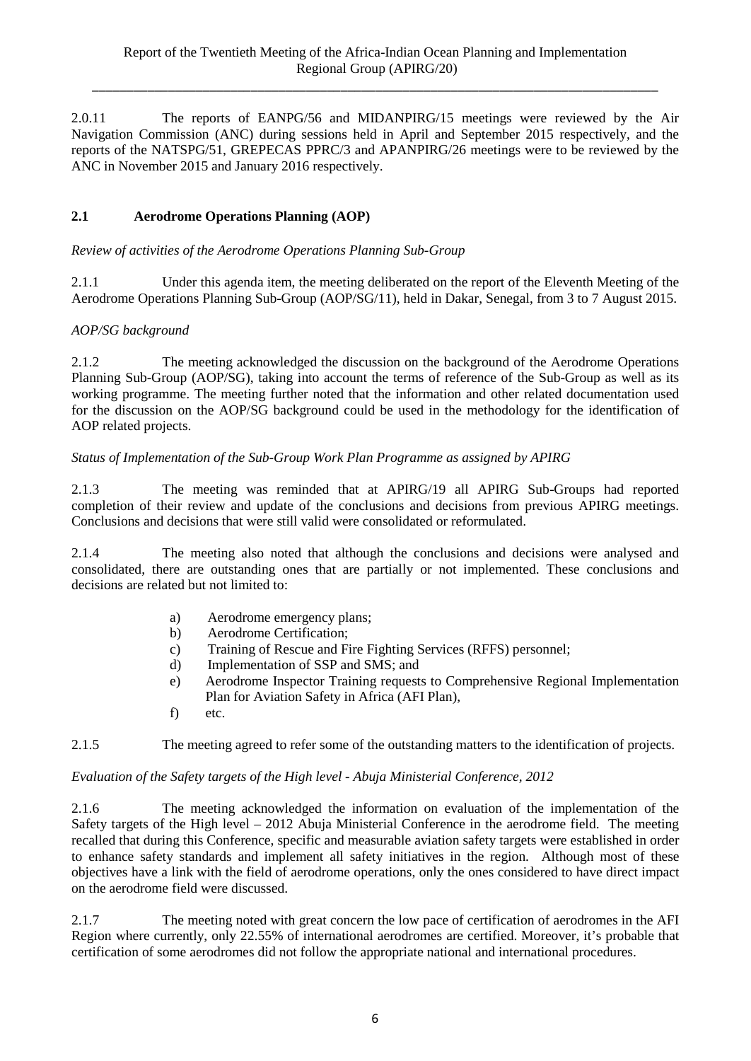2.0.11 The reports of EANPG/56 and MIDANPIRG/15 meetings were reviewed by the Air Navigation Commission (ANC) during sessions held in April and September 2015 respectively, and the reports of the NATSPG/51, GREPECAS PPRC/3 and APANPIRG/26 meetings were to be reviewed by the ANC in November 2015 and January 2016 respectively.

## **2.1 Aerodrome Operations Planning (AOP)**

*Review of activities of the Aerodrome Operations Planning Sub-Group* 

2.1.1 Under this agenda item, the meeting deliberated on the report of the Eleventh Meeting of the Aerodrome Operations Planning Sub-Group (AOP/SG/11), held in Dakar, Senegal, from 3 to 7 August 2015.

## *AOP/SG background*

2.1.2 The meeting acknowledged the discussion on the background of the Aerodrome Operations Planning Sub-Group (AOP/SG), taking into account the terms of reference of the Sub-Group as well as its working programme. The meeting further noted that the information and other related documentation used for the discussion on the AOP/SG background could be used in the methodology for the identification of AOP related projects.

### *Status of Implementation of the Sub-Group Work Plan Programme as assigned by APIRG*

2.1.3 The meeting was reminded that at APIRG/19 all APIRG Sub-Groups had reported completion of their review and update of the conclusions and decisions from previous APIRG meetings. Conclusions and decisions that were still valid were consolidated or reformulated.

2.1.4 The meeting also noted that although the conclusions and decisions were analysed and consolidated, there are outstanding ones that are partially or not implemented. These conclusions and decisions are related but not limited to:

- a) Aerodrome emergency plans;
- b) Aerodrome Certification;
- c) Training of Rescue and Fire Fighting Services (RFFS) personnel;
- d) Implementation of SSP and SMS; and
- e) Aerodrome Inspector Training requests to Comprehensive Regional Implementation Plan for Aviation Safety in Africa (AFI Plan),
- f) etc.

2.1.5 The meeting agreed to refer some of the outstanding matters to the identification of projects.

#### *Evaluation of the Safety targets of the High level - Abuja Ministerial Conference, 2012*

2.1.6 The meeting acknowledged the information on evaluation of the implementation of the Safety targets of the High level – 2012 Abuja Ministerial Conference in the aerodrome field. The meeting recalled that during this Conference, specific and measurable aviation safety targets were established in order to enhance safety standards and implement all safety initiatives in the region. Although most of these objectives have a link with the field of aerodrome operations, only the ones considered to have direct impact on the aerodrome field were discussed.

2.1.7 The meeting noted with great concern the low pace of certification of aerodromes in the AFI Region where currently, only 22.55% of international aerodromes are certified. Moreover, it's probable that certification of some aerodromes did not follow the appropriate national and international procedures.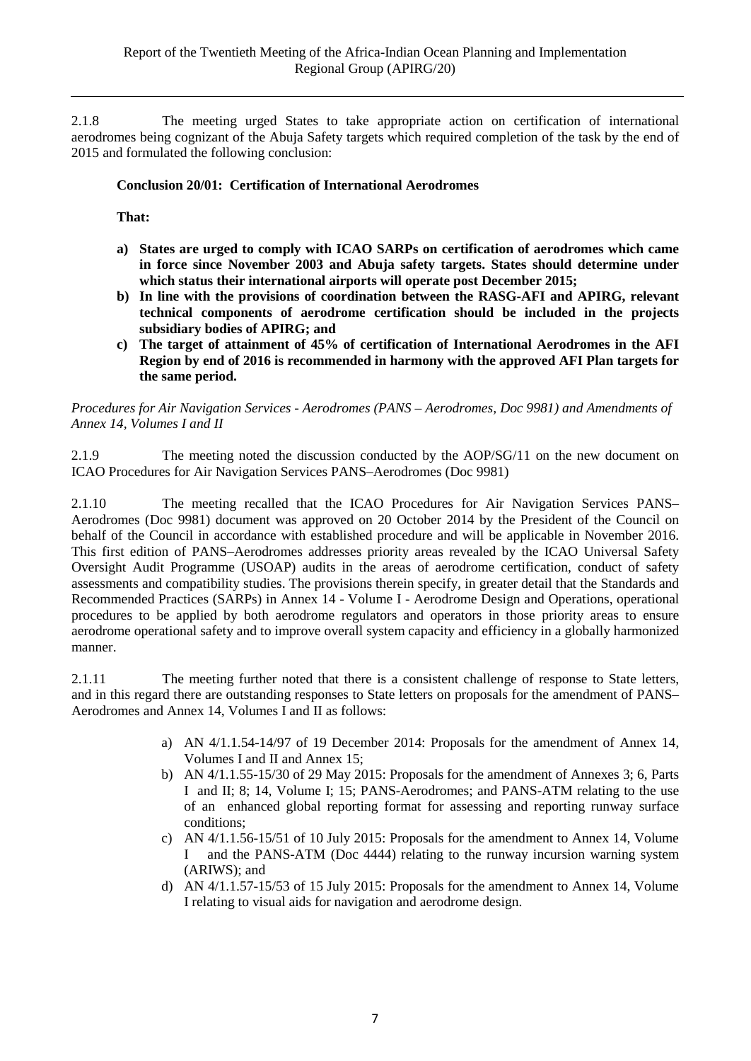2.1.8 The meeting urged States to take appropriate action on certification of international aerodromes being cognizant of the Abuja Safety targets which required completion of the task by the end of 2015 and formulated the following conclusion:

## **Conclusion 20/01: Certification of International Aerodromes**

**That:** 

- **a) States are urged to comply with ICAO SARPs on certification of aerodromes which came in force since November 2003 and Abuja safety targets. States should determine under which status their international airports will operate post December 2015;**
- **b) In line with the provisions of coordination between the RASG-AFI and APIRG, relevant technical components of aerodrome certification should be included in the projects subsidiary bodies of APIRG; and**
- **c) The target of attainment of 45% of certification of International Aerodromes in the AFI Region by end of 2016 is recommended in harmony with the approved AFI Plan targets for the same period.**

*Procedures for Air Navigation Services - Aerodromes (PANS – Aerodromes, Doc 9981) and Amendments of Annex 14, Volumes I and II*

2.1.9 The meeting noted the discussion conducted by the AOP/SG/11 on the new document on ICAO Procedures for Air Navigation Services PANS–Aerodromes (Doc 9981)

2.1.10 The meeting recalled that the ICAO Procedures for Air Navigation Services PANS– Aerodromes (Doc 9981) document was approved on 20 October 2014 by the President of the Council on behalf of the Council in accordance with established procedure and will be applicable in November 2016. This first edition of PANS–Aerodromes addresses priority areas revealed by the ICAO Universal Safety Oversight Audit Programme (USOAP) audits in the areas of aerodrome certification, conduct of safety assessments and compatibility studies. The provisions therein specify, in greater detail that the Standards and Recommended Practices (SARPs) in Annex 14 - Volume I - Aerodrome Design and Operations, operational procedures to be applied by both aerodrome regulators and operators in those priority areas to ensure aerodrome operational safety and to improve overall system capacity and efficiency in a globally harmonized manner.

2.1.11 The meeting further noted that there is a consistent challenge of response to State letters, and in this regard there are outstanding responses to State letters on proposals for the amendment of PANS– Aerodromes and Annex 14, Volumes I and II as follows:

- a) AN 4/1.1.54-14/97 of 19 December 2014: Proposals for the amendment of Annex 14, Volumes I and II and Annex 15;
- b) AN 4/1.1.55-15/30 of 29 May 2015: Proposals for the amendment of Annexes 3; 6, Parts I and II; 8; 14, Volume I; 15; PANS-Aerodromes; and PANS-ATM relating to the use of an enhanced global reporting format for assessing and reporting runway surface conditions;
- c) AN 4/1.1.56-15/51 of 10 July 2015: Proposals for the amendment to Annex 14, Volume and the PANS-ATM (Doc 4444) relating to the runway incursion warning system (ARIWS); and
- d) AN 4/1.1.57-15/53 of 15 July 2015: Proposals for the amendment to Annex 14, Volume I relating to visual aids for navigation and aerodrome design.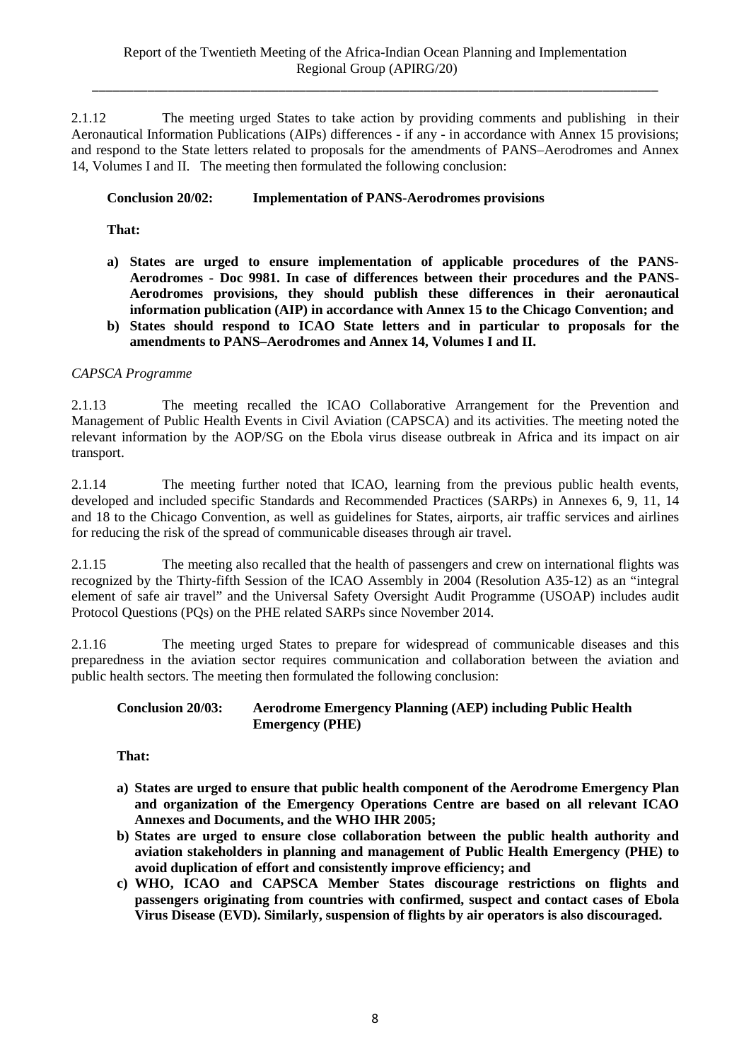2.1.12 The meeting urged States to take action by providing comments and publishing in their Aeronautical Information Publications (AIPs) differences - if any - in accordance with Annex 15 provisions; and respond to the State letters related to proposals for the amendments of PANS–Aerodromes and Annex 14, Volumes I and II. The meeting then formulated the following conclusion:

### **Conclusion 20/02: Implementation of PANS-Aerodromes provisions**

**That:** 

- **a) States are urged to ensure implementation of applicable procedures of the PANS-Aerodromes - Doc 9981. In case of differences between their procedures and the PANS-Aerodromes provisions, they should publish these differences in their aeronautical information publication (AIP) in accordance with Annex 15 to the Chicago Convention; and**
- **b) States should respond to ICAO State letters and in particular to proposals for the amendments to PANS–Aerodromes and Annex 14, Volumes I and II.**

### *CAPSCA Programme*

2.1.13 The meeting recalled the ICAO Collaborative Arrangement for the Prevention and Management of Public Health Events in Civil Aviation (CAPSCA) and its activities. The meeting noted the relevant information by the AOP/SG on the Ebola virus disease outbreak in Africa and its impact on air transport.

2.1.14 The meeting further noted that ICAO, learning from the previous public health events, developed and included specific Standards and Recommended Practices (SARPs) in Annexes 6, 9, 11, 14 and 18 to the Chicago Convention, as well as guidelines for States, airports, air traffic services and airlines for reducing the risk of the spread of communicable diseases through air travel.

2.1.15 The meeting also recalled that the health of passengers and crew on international flights was recognized by the Thirty-fifth Session of the ICAO Assembly in 2004 (Resolution A35-12) as an "integral element of safe air travel" and the Universal Safety Oversight Audit Programme (USOAP) includes audit Protocol Questions (PQs) on the PHE related SARPs since November 2014.

2.1.16 The meeting urged States to prepare for widespread of communicable diseases and this preparedness in the aviation sector requires communication and collaboration between the aviation and public health sectors. The meeting then formulated the following conclusion:

#### **Conclusion 20/03: Aerodrome Emergency Planning (AEP) including Public Health Emergency (PHE)**

**That:** 

- **a) States are urged to ensure that public health component of the Aerodrome Emergency Plan and organization of the Emergency Operations Centre are based on all relevant ICAO Annexes and Documents, and the WHO IHR 2005;**
- **b) States are urged to ensure close collaboration between the public health authority and aviation stakeholders in planning and management of Public Health Emergency (PHE) to avoid duplication of effort and consistently improve efficiency; and**
- **c) WHO, ICAO and CAPSCA Member States discourage restrictions on flights and passengers originating from countries with confirmed, suspect and contact cases of Ebola Virus Disease (EVD). Similarly, suspension of flights by air operators is also discouraged.**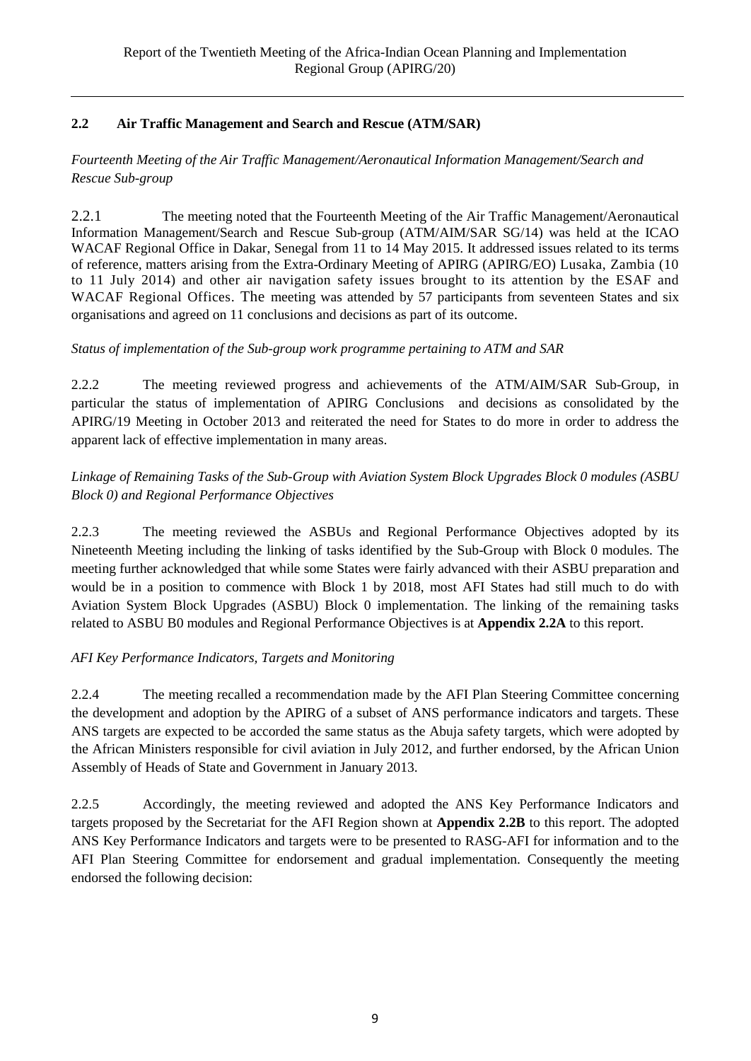## **2.2 Air Traffic Management and Search and Rescue (ATM/SAR)**

## *Fourteenth Meeting of the Air Traffic Management/Aeronautical Information Management/Search and Rescue Sub-group*

2.2.1 The meeting noted that the Fourteenth Meeting of the Air Traffic Management/Aeronautical Information Management/Search and Rescue Sub-group (ATM/AIM/SAR SG/14) was held at the ICAO WACAF Regional Office in Dakar, Senegal from 11 to 14 May 2015. It addressed issues related to its terms of reference, matters arising from the Extra-Ordinary Meeting of APIRG (APIRG/EO) Lusaka, Zambia (10 to 11 July 2014) and other air navigation safety issues brought to its attention by the ESAF and WACAF Regional Offices. The meeting was attended by 57 participants from seventeen States and six organisations and agreed on 11 conclusions and decisions as part of its outcome.

## *Status of implementation of the Sub-group work programme pertaining to ATM and SAR*

2.2.2 The meeting reviewed progress and achievements of the ATM/AIM/SAR Sub-Group, in particular the status of implementation of APIRG Conclusions and decisions as consolidated by the APIRG/19 Meeting in October 2013 and reiterated the need for States to do more in order to address the apparent lack of effective implementation in many areas.

## *Linkage of Remaining Tasks of the Sub-Group with Aviation System Block Upgrades Block 0 modules (ASBU Block 0) and Regional Performance Objectives*

2.2.3 The meeting reviewed the ASBUs and Regional Performance Objectives adopted by its Nineteenth Meeting including the linking of tasks identified by the Sub-Group with Block 0 modules. The meeting further acknowledged that while some States were fairly advanced with their ASBU preparation and would be in a position to commence with Block 1 by 2018, most AFI States had still much to do with Aviation System Block Upgrades (ASBU) Block 0 implementation. The linking of the remaining tasks related to ASBU B0 modules and Regional Performance Objectives is at **Appendix 2.2A** to this report.

## *AFI Key Performance Indicators, Targets and Monitoring*

2.2.4 The meeting recalled a recommendation made by the AFI Plan Steering Committee concerning the development and adoption by the APIRG of a subset of ANS performance indicators and targets. These ANS targets are expected to be accorded the same status as the Abuja safety targets, which were adopted by the African Ministers responsible for civil aviation in July 2012, and further endorsed, by the African Union Assembly of Heads of State and Government in January 2013.

2.2.5 Accordingly, the meeting reviewed and adopted the ANS Key Performance Indicators and targets proposed by the Secretariat for the AFI Region shown at **Appendix 2.2B** to this report. The adopted ANS Key Performance Indicators and targets were to be presented to RASG-AFI for information and to the AFI Plan Steering Committee for endorsement and gradual implementation. Consequently the meeting endorsed the following decision: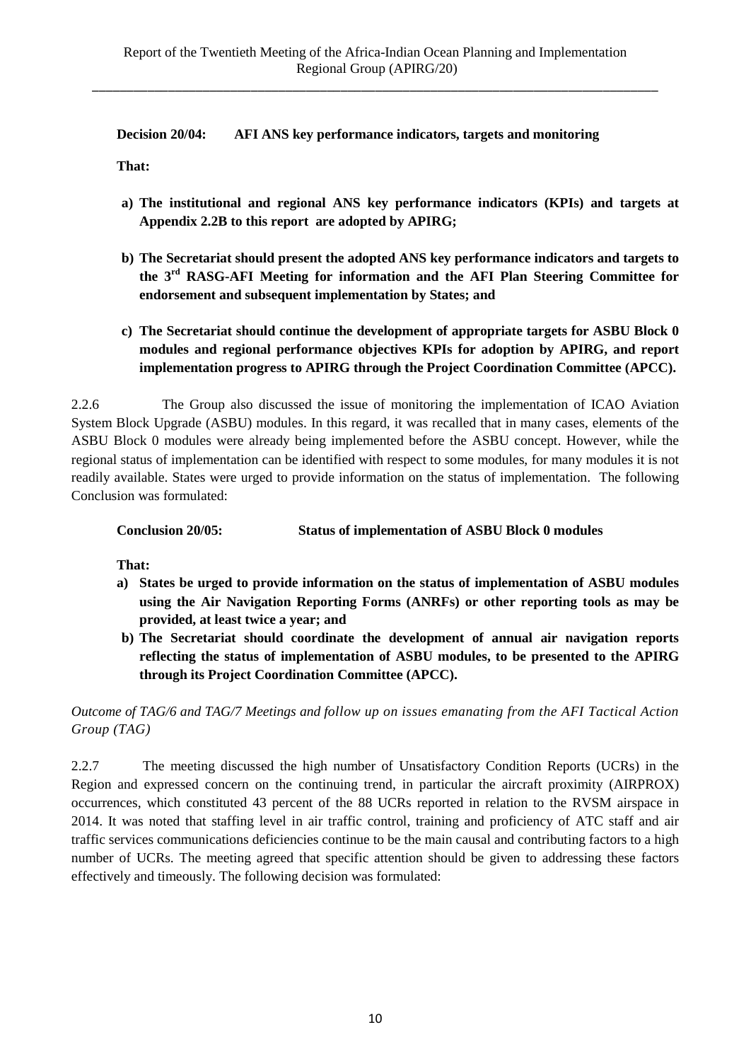**Decision 20/04: AFI ANS key performance indicators, targets and monitoring**

**That:**

- **a) The institutional and regional ANS key performance indicators (KPIs) and targets at Appendix 2.2B to this report are adopted by APIRG;**
- **b) The Secretariat should present the adopted ANS key performance indicators and targets to the 3rd RASG-AFI Meeting for information and the AFI Plan Steering Committee for endorsement and subsequent implementation by States; and**
- **c) The Secretariat should continue the development of appropriate targets for ASBU Block 0 modules and regional performance objectives KPIs for adoption by APIRG, and report implementation progress to APIRG through the Project Coordination Committee (APCC).**

2.2.6 The Group also discussed the issue of monitoring the implementation of ICAO Aviation System Block Upgrade (ASBU) modules. In this regard, it was recalled that in many cases, elements of the ASBU Block 0 modules were already being implemented before the ASBU concept. However, while the regional status of implementation can be identified with respect to some modules, for many modules it is not readily available. States were urged to provide information on the status of implementation. The following Conclusion was formulated:

## **Conclusion 20/05: Status of implementation of ASBU Block 0 modules**

**That:**

- **a) States be urged to provide information on the status of implementation of ASBU modules using the Air Navigation Reporting Forms (ANRFs) or other reporting tools as may be provided, at least twice a year; and**
- **b) The Secretariat should coordinate the development of annual air navigation reports reflecting the status of implementation of ASBU modules, to be presented to the APIRG through its Project Coordination Committee (APCC).**

*Outcome of TAG/6 and TAG/7 Meetings and follow up on issues emanating from the AFI Tactical Action Group (TAG)*

2.2.7 The meeting discussed the high number of Unsatisfactory Condition Reports (UCRs) in the Region and expressed concern on the continuing trend, in particular the aircraft proximity (AIRPROX) occurrences, which constituted 43 percent of the 88 UCRs reported in relation to the RVSM airspace in 2014. It was noted that staffing level in air traffic control, training and proficiency of ATC staff and air traffic services communications deficiencies continue to be the main causal and contributing factors to a high number of UCRs. The meeting agreed that specific attention should be given to addressing these factors effectively and timeously. The following decision was formulated: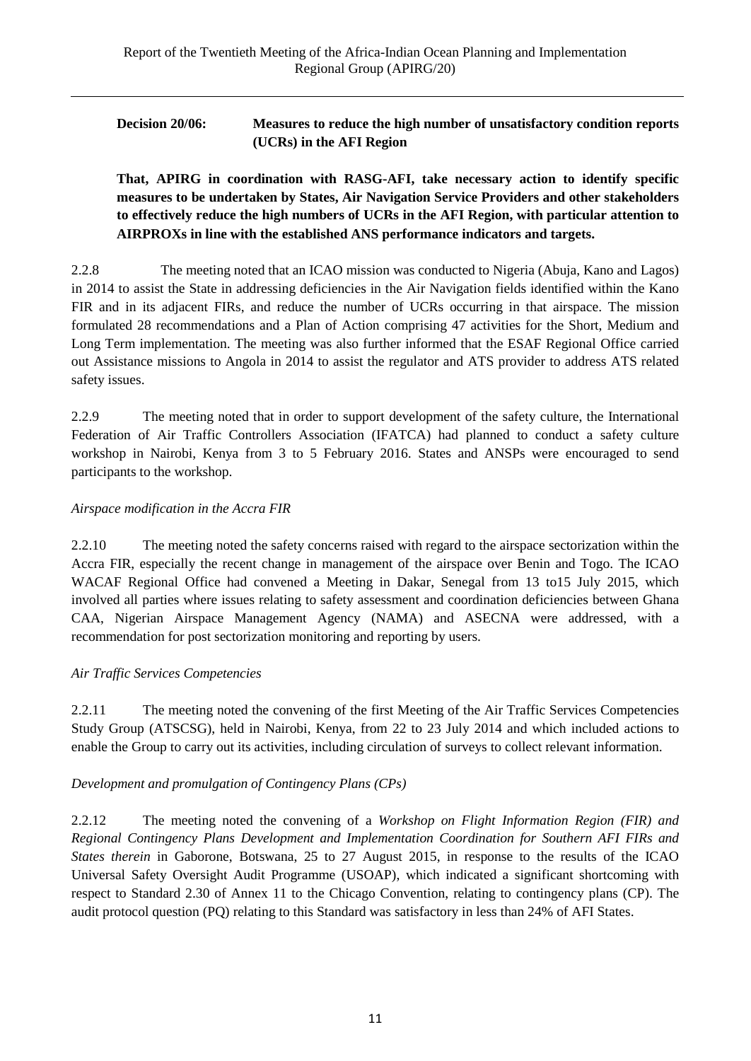## **Decision 20/06: Measures to reduce the high number of unsatisfactory condition reports (UCRs) in the AFI Region**

**That, APIRG in coordination with RASG-AFI, take necessary action to identify specific measures to be undertaken by States, Air Navigation Service Providers and other stakeholders to effectively reduce the high numbers of UCRs in the AFI Region, with particular attention to AIRPROXs in line with the established ANS performance indicators and targets.**

2.2.8 The meeting noted that an ICAO mission was conducted to Nigeria (Abuja, Kano and Lagos) in 2014 to assist the State in addressing deficiencies in the Air Navigation fields identified within the Kano FIR and in its adjacent FIRs, and reduce the number of UCRs occurring in that airspace. The mission formulated 28 recommendations and a Plan of Action comprising 47 activities for the Short, Medium and Long Term implementation. The meeting was also further informed that the ESAF Regional Office carried out Assistance missions to Angola in 2014 to assist the regulator and ATS provider to address ATS related safety issues.

2.2.9 The meeting noted that in order to support development of the safety culture, the International Federation of Air Traffic Controllers Association (IFATCA) had planned to conduct a safety culture workshop in Nairobi, Kenya from 3 to 5 February 2016. States and ANSPs were encouraged to send participants to the workshop.

## *Airspace modification in the Accra FIR*

2.2.10 The meeting noted the safety concerns raised with regard to the airspace sectorization within the Accra FIR, especially the recent change in management of the airspace over Benin and Togo. The ICAO WACAF Regional Office had convened a Meeting in Dakar, Senegal from 13 to15 July 2015, which involved all parties where issues relating to safety assessment and coordination deficiencies between Ghana CAA, Nigerian Airspace Management Agency (NAMA) and ASECNA were addressed, with a recommendation for post sectorization monitoring and reporting by users.

## *Air Traffic Services Competencies*

2.2.11 The meeting noted the convening of the first Meeting of the Air Traffic Services Competencies Study Group (ATSCSG), held in Nairobi, Kenya, from 22 to 23 July 2014 and which included actions to enable the Group to carry out its activities, including circulation of surveys to collect relevant information.

## *Development and promulgation of Contingency Plans (CPs)*

2.2.12 The meeting noted the convening of a *Workshop on Flight Information Region (FIR) and Regional Contingency Plans Development and Implementation Coordination for Southern AFI FIRs and States therein* in Gaborone, Botswana, 25 to 27 August 2015, in response to the results of the ICAO Universal Safety Oversight Audit Programme (USOAP), which indicated a significant shortcoming with respect to Standard 2.30 of Annex 11 to the Chicago Convention, relating to contingency plans (CP). The audit protocol question (PQ) relating to this Standard was satisfactory in less than 24% of AFI States.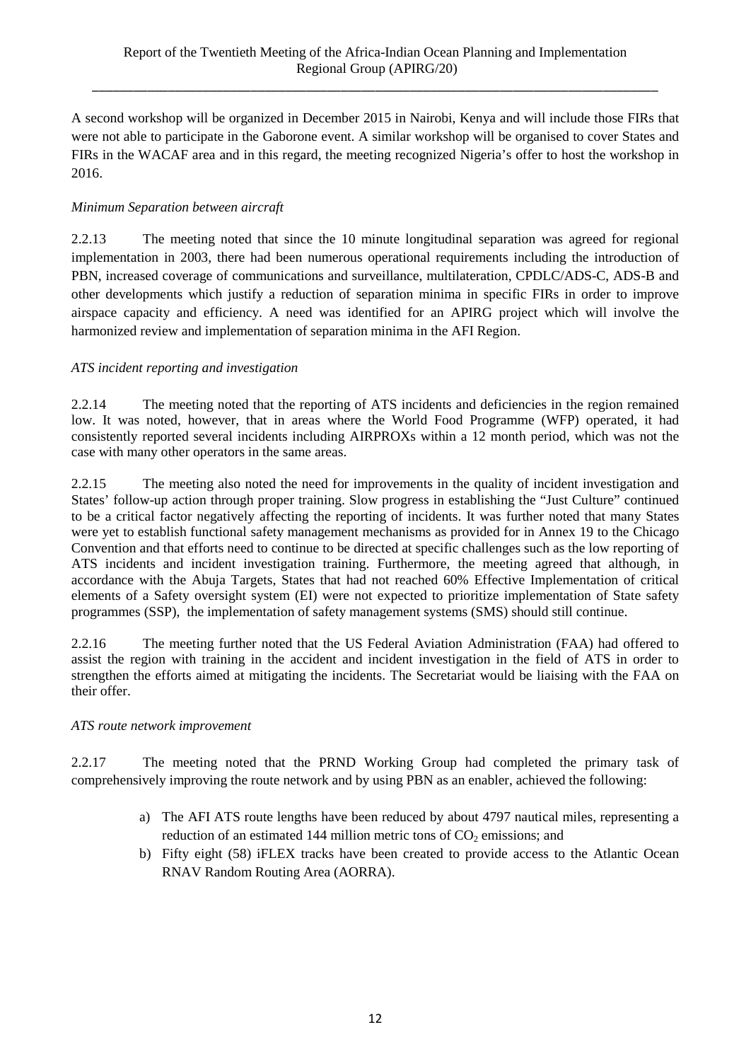A second workshop will be organized in December 2015 in Nairobi, Kenya and will include those FIRs that were not able to participate in the Gaborone event. A similar workshop will be organised to cover States and FIRs in the WACAF area and in this regard, the meeting recognized Nigeria's offer to host the workshop in 2016.

## *Minimum Separation between aircraft*

2.2.13 The meeting noted that since the 10 minute longitudinal separation was agreed for regional implementation in 2003, there had been numerous operational requirements including the introduction of PBN, increased coverage of communications and surveillance, multilateration, CPDLC/ADS-C, ADS-B and other developments which justify a reduction of separation minima in specific FIRs in order to improve airspace capacity and efficiency. A need was identified for an APIRG project which will involve the harmonized review and implementation of separation minima in the AFI Region.

## *ATS incident reporting and investigation*

2.2.14 The meeting noted that the reporting of ATS incidents and deficiencies in the region remained low. It was noted, however, that in areas where the World Food Programme (WFP) operated, it had consistently reported several incidents including AIRPROXs within a 12 month period, which was not the case with many other operators in the same areas.

2.2.15 The meeting also noted the need for improvements in the quality of incident investigation and States' follow-up action through proper training. Slow progress in establishing the "Just Culture" continued to be a critical factor negatively affecting the reporting of incidents. It was further noted that many States were yet to establish functional safety management mechanisms as provided for in Annex 19 to the Chicago Convention and that efforts need to continue to be directed at specific challenges such as the low reporting of ATS incidents and incident investigation training. Furthermore, the meeting agreed that although, in accordance with the Abuja Targets, States that had not reached 60% Effective Implementation of critical elements of a Safety oversight system (EI) were not expected to prioritize implementation of State safety programmes (SSP), the implementation of safety management systems (SMS) should still continue.

2.2.16 The meeting further noted that the US Federal Aviation Administration (FAA) had offered to assist the region with training in the accident and incident investigation in the field of ATS in order to strengthen the efforts aimed at mitigating the incidents. The Secretariat would be liaising with the FAA on their offer.

## *ATS route network improvement*

2.2.17 The meeting noted that the PRND Working Group had completed the primary task of comprehensively improving the route network and by using PBN as an enabler, achieved the following:

- a) The AFI ATS route lengths have been reduced by about 4797 nautical miles, representing a reduction of an estimated 144 million metric tons of  $CO<sub>2</sub>$  emissions; and
- b) Fifty eight (58) iFLEX tracks have been created to provide access to the Atlantic Ocean RNAV Random Routing Area (AORRA).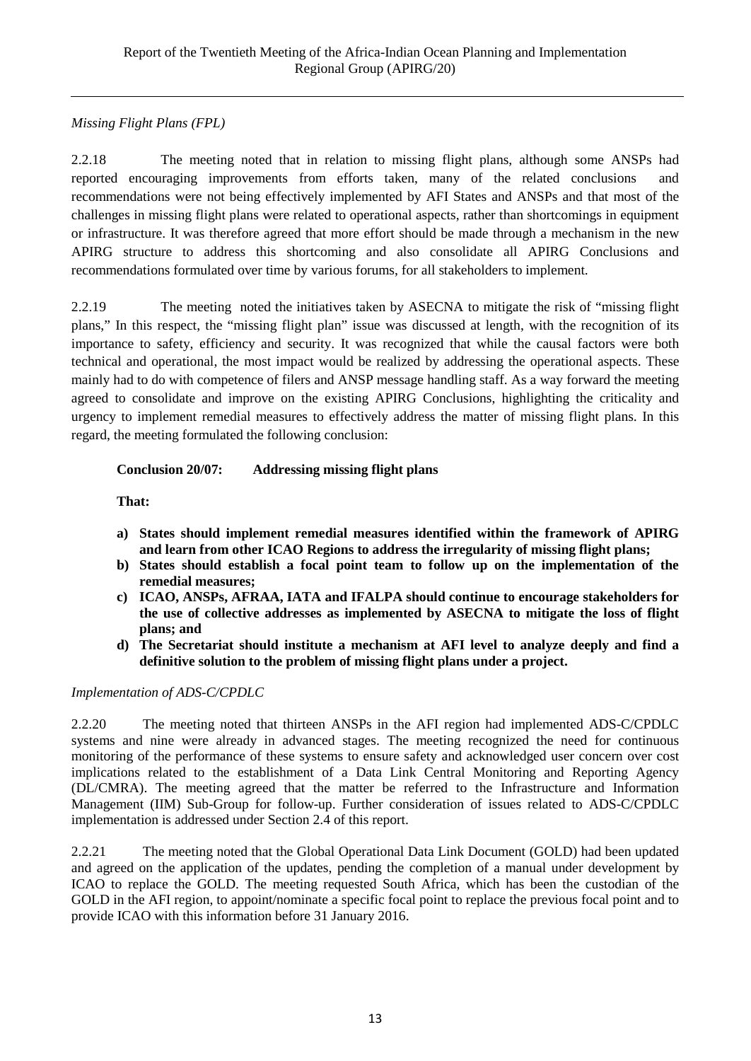## *Missing Flight Plans (FPL)*

2.2.18 The meeting noted that in relation to missing flight plans, although some ANSPs had reported encouraging improvements from efforts taken, many of the related conclusions and recommendations were not being effectively implemented by AFI States and ANSPs and that most of the challenges in missing flight plans were related to operational aspects, rather than shortcomings in equipment or infrastructure. It was therefore agreed that more effort should be made through a mechanism in the new APIRG structure to address this shortcoming and also consolidate all APIRG Conclusions and recommendations formulated over time by various forums, for all stakeholders to implement.

2.2.19 The meeting noted the initiatives taken by ASECNA to mitigate the risk of "missing flight plans," In this respect, the "missing flight plan" issue was discussed at length, with the recognition of its importance to safety, efficiency and security. It was recognized that while the causal factors were both technical and operational, the most impact would be realized by addressing the operational aspects. These mainly had to do with competence of filers and ANSP message handling staff. As a way forward the meeting agreed to consolidate and improve on the existing APIRG Conclusions, highlighting the criticality and urgency to implement remedial measures to effectively address the matter of missing flight plans. In this regard, the meeting formulated the following conclusion:

## **Conclusion 20/07: Addressing missing flight plans**

**That:**

- **a) States should implement remedial measures identified within the framework of APIRG and learn from other ICAO Regions to address the irregularity of missing flight plans;**
- **b) States should establish a focal point team to follow up on the implementation of the remedial measures;**
- **c) ICAO, ANSPs, AFRAA, IATA and IFALPA should continue to encourage stakeholders for the use of collective addresses as implemented by ASECNA to mitigate the loss of flight plans; and**
- **d) The Secretariat should institute a mechanism at AFI level to analyze deeply and find a definitive solution to the problem of missing flight plans under a project.**

#### *Implementation of ADS-C/CPDLC*

2.2.20 The meeting noted that thirteen ANSPs in the AFI region had implemented ADS-C/CPDLC systems and nine were already in advanced stages. The meeting recognized the need for continuous monitoring of the performance of these systems to ensure safety and acknowledged user concern over cost implications related to the establishment of a Data Link Central Monitoring and Reporting Agency (DL/CMRA). The meeting agreed that the matter be referred to the Infrastructure and Information Management (IIM) Sub-Group for follow-up. Further consideration of issues related to ADS-C/CPDLC implementation is addressed under Section 2.4 of this report.

2.2.21 The meeting noted that the Global Operational Data Link Document (GOLD) had been updated and agreed on the application of the updates, pending the completion of a manual under development by ICAO to replace the GOLD. The meeting requested South Africa, which has been the custodian of the GOLD in the AFI region, to appoint/nominate a specific focal point to replace the previous focal point and to provide ICAO with this information before 31 January 2016.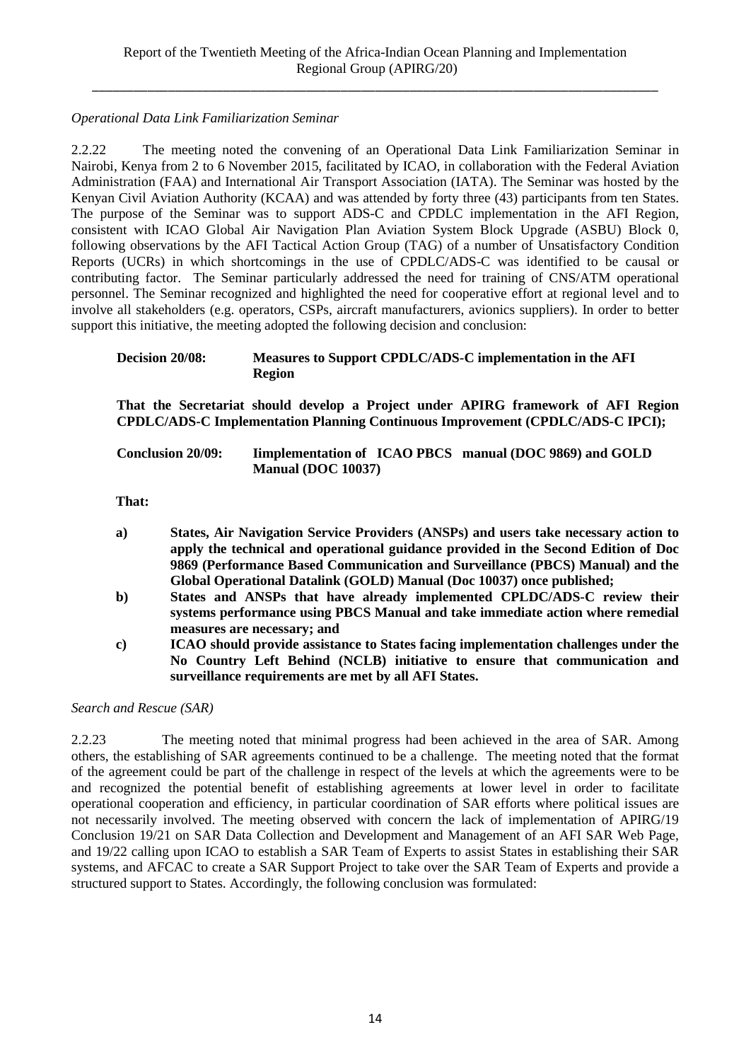## *Operational Data Link Familiarization Seminar*

2.2.22 The meeting noted the convening of an Operational Data Link Familiarization Seminar in Nairobi, Kenya from 2 to 6 November 2015, facilitated by ICAO, in collaboration with the Federal Aviation Administration (FAA) and International Air Transport Association (IATA). The Seminar was hosted by the Kenyan Civil Aviation Authority (KCAA) and was attended by forty three (43) participants from ten States. The purpose of the Seminar was to support ADS-C and CPDLC implementation in the AFI Region, consistent with ICAO Global Air Navigation Plan Aviation System Block Upgrade (ASBU) Block 0, following observations by the AFI Tactical Action Group (TAG) of a number of Unsatisfactory Condition Reports (UCRs) in which shortcomings in the use of CPDLC/ADS-C was identified to be causal or contributing factor. The Seminar particularly addressed the need for training of CNS/ATM operational personnel. The Seminar recognized and highlighted the need for cooperative effort at regional level and to involve all stakeholders (e.g. operators, CSPs, aircraft manufacturers, avionics suppliers). In order to better support this initiative, the meeting adopted the following decision and conclusion:

#### **Decision 20/08: Measures to Support CPDLC/ADS-C implementation in the AFI Region**

**That the Secretariat should develop a Project under APIRG framework of AFI Region CPDLC/ADS-C Implementation Planning Continuous Improvement (CPDLC/ADS-C IPCI);**

| <b>Conclusion 20/09:</b> | Implementation of ICAO PBCS manual (DOC 9869) and GOLD |  |
|--------------------------|--------------------------------------------------------|--|
|                          | <b>Manual (DOC 10037)</b>                              |  |

**That:**

- **a) States, Air Navigation Service Providers (ANSPs) and users take necessary action to apply the technical and operational guidance provided in the Second Edition of Doc 9869 (Performance Based Communication and Surveillance (PBCS) Manual) and the Global Operational Datalink (GOLD) Manual (Doc 10037) once published;**
- **b) States and ANSPs that have already implemented CPLDC/ADS-C review their systems performance using PBCS Manual and take immediate action where remedial measures are necessary; and**
- **c) ICAO should provide assistance to States facing implementation challenges under the No Country Left Behind (NCLB) initiative to ensure that communication and surveillance requirements are met by all AFI States.**

*Search and Rescue (SAR)*

2.2.23 The meeting noted that minimal progress had been achieved in the area of SAR. Among others, the establishing of SAR agreements continued to be a challenge. The meeting noted that the format of the agreement could be part of the challenge in respect of the levels at which the agreements were to be and recognized the potential benefit of establishing agreements at lower level in order to facilitate operational cooperation and efficiency, in particular coordination of SAR efforts where political issues are not necessarily involved. The meeting observed with concern the lack of implementation of APIRG/19 Conclusion 19/21 on SAR Data Collection and Development and Management of an AFI SAR Web Page, and 19/22 calling upon ICAO to establish a SAR Team of Experts to assist States in establishing their SAR systems, and AFCAC to create a SAR Support Project to take over the SAR Team of Experts and provide a structured support to States. Accordingly, the following conclusion was formulated: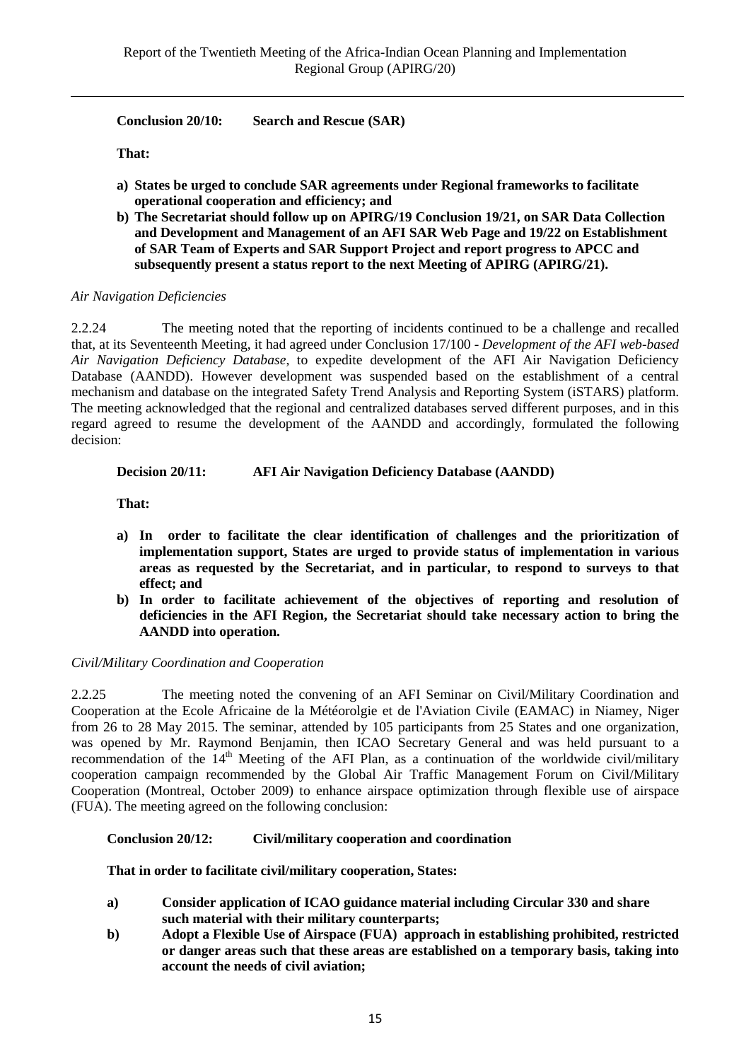**Conclusion 20/10: Search and Rescue (SAR)**

**That:** 

- **a) States be urged to conclude SAR agreements under Regional frameworks to facilitate operational cooperation and efficiency; and**
- **b) The Secretariat should follow up on APIRG/19 Conclusion 19/21, on SAR Data Collection and Development and Management of an AFI SAR Web Page and 19/22 on Establishment of SAR Team of Experts and SAR Support Project and report progress to APCC and subsequently present a status report to the next Meeting of APIRG (APIRG/21).**

#### *Air Navigation Deficiencies*

2.2.24 The meeting noted that the reporting of incidents continued to be a challenge and recalled that, at its Seventeenth Meeting, it had agreed under Conclusion 17/100 - *Development of the AFI web-based Air Navigation Deficiency Database*, to expedite development of the AFI Air Navigation Deficiency Database (AANDD). However development was suspended based on the establishment of a central mechanism and database on the integrated Safety Trend Analysis and Reporting System (iSTARS) platform. The meeting acknowledged that the regional and centralized databases served different purposes, and in this regard agreed to resume the development of the AANDD and accordingly, formulated the following decision:

#### **Decision 20/11: AFI Air Navigation Deficiency Database (AANDD)**

**That:**

- **a) In order to facilitate the clear identification of challenges and the prioritization of implementation support, States are urged to provide status of implementation in various areas as requested by the Secretariat, and in particular, to respond to surveys to that effect; and**
- **b) In order to facilitate achievement of the objectives of reporting and resolution of deficiencies in the AFI Region, the Secretariat should take necessary action to bring the AANDD into operation.**

#### *Civil/Military Coordination and Cooperation*

2.2.25 The meeting noted the convening of an AFI Seminar on Civil/Military Coordination and Cooperation at the Ecole Africaine de la Météorolgie et de l'Aviation Civile (EAMAC) in Niamey, Niger from 26 to 28 May 2015. The seminar, attended by 105 participants from 25 States and one organization, was opened by Mr. Raymond Benjamin, then ICAO Secretary General and was held pursuant to a recommendation of the 14<sup>th</sup> Meeting of the AFI Plan, as a continuation of the worldwide civil/military cooperation campaign recommended by the Global Air Traffic Management Forum on Civil/Military Cooperation (Montreal, October 2009) to enhance airspace optimization through flexible use of airspace (FUA). The meeting agreed on the following conclusion:

### **Conclusion 20/12: Civil/military cooperation and coordination**

**That in order to facilitate civil/military cooperation, States:**

- **a) Consider application of ICAO guidance material including Circular 330 and share such material with their military counterparts;**
- **b) Adopt a Flexible Use of Airspace (FUA) approach in establishing prohibited, restricted or danger areas such that these areas are established on a temporary basis, taking into account the needs of civil aviation;**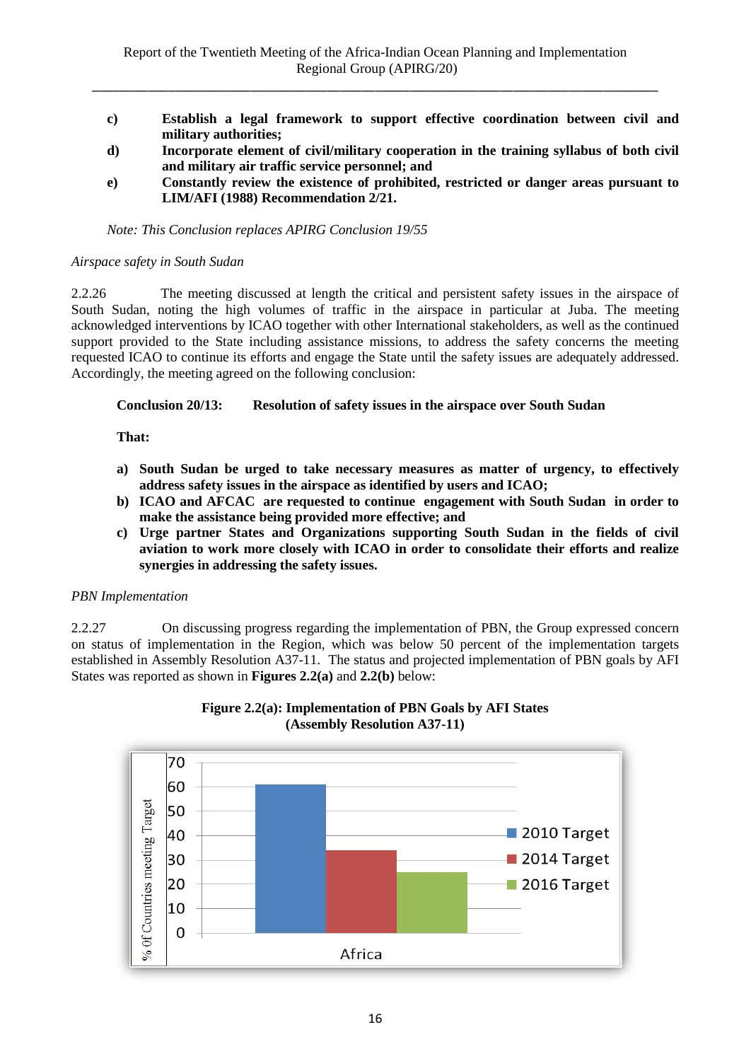- **c) Establish a legal framework to support effective coordination between civil and military authorities;**
- **d) Incorporate element of civil/military cooperation in the training syllabus of both civil and military air traffic service personnel; and**
- **e) Constantly review the existence of prohibited, restricted or danger areas pursuant to LIM/AFI (1988) Recommendation 2/21.**

*Note: This Conclusion replaces APIRG Conclusion 19/55*

#### *Airspace safety in South Sudan*

2.2.26 The meeting discussed at length the critical and persistent safety issues in the airspace of South Sudan, noting the high volumes of traffic in the airspace in particular at Juba. The meeting acknowledged interventions by ICAO together with other International stakeholders, as well as the continued support provided to the State including assistance missions, to address the safety concerns the meeting requested ICAO to continue its efforts and engage the State until the safety issues are adequately addressed. Accordingly, the meeting agreed on the following conclusion:

### **Conclusion 20/13: Resolution of safety issues in the airspace over South Sudan**

#### **That:**

- **a) South Sudan be urged to take necessary measures as matter of urgency, to effectively address safety issues in the airspace as identified by users and ICAO;**
- **b) ICAO and AFCAC are requested to continue engagement with South Sudan in order to make the assistance being provided more effective; and**
- **c) Urge partner States and Organizations supporting South Sudan in the fields of civil aviation to work more closely with ICAO in order to consolidate their efforts and realize synergies in addressing the safety issues.**

## *PBN Implementation*

2.2.27 On discussing progress regarding the implementation of PBN, the Group expressed concern on status of implementation in the Region, which was below 50 percent of the implementation targets established in Assembly Resolution A37-11. The status and projected implementation of PBN goals by AFI States was reported as shown in **Figures 2.2(a)** and **2.2(b)** below:



## **Figure 2.2(a): Implementation of PBN Goals by AFI States (Assembly Resolution A37-11)**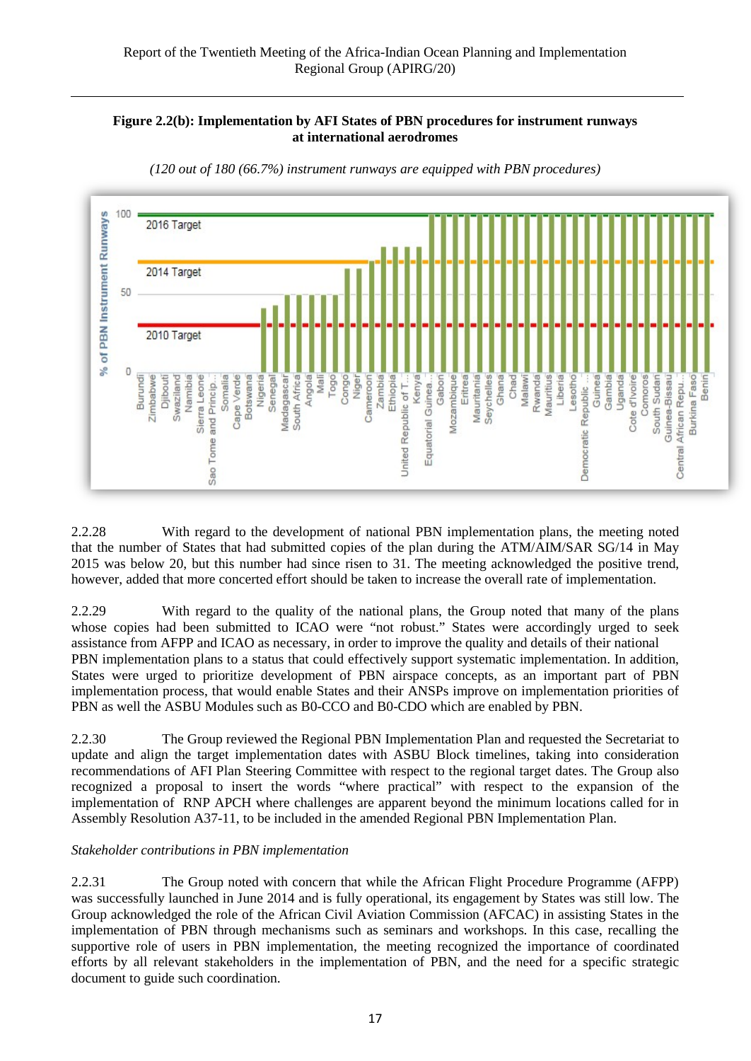### **Figure 2.2(b): Implementation by AFI States of PBN procedures for instrument runways at international aerodromes**



*(120 out of 180 (66.7%) instrument runways are equipped with PBN procedures)*

2.2.28 With regard to the development of national PBN implementation plans, the meeting noted that the number of States that had submitted copies of the plan during the ATM/AIM/SAR SG/14 in May 2015 was below 20, but this number had since risen to 31. The meeting acknowledged the positive trend, however, added that more concerted effort should be taken to increase the overall rate of implementation.

2.2.29 With regard to the quality of the national plans, the Group noted that many of the plans whose copies had been submitted to ICAO were "not robust." States were accordingly urged to seek assistance from AFPP and ICAO as necessary, in order to improve the quality and details of their national PBN implementation plans to a status that could effectively support systematic implementation. In addition, States were urged to prioritize development of PBN airspace concepts, as an important part of PBN implementation process, that would enable States and their ANSPs improve on implementation priorities of PBN as well the ASBU Modules such as B0-CCO and B0-CDO which are enabled by PBN.

2.2.30 The Group reviewed the Regional PBN Implementation Plan and requested the Secretariat to update and align the target implementation dates with ASBU Block timelines, taking into consideration recommendations of AFI Plan Steering Committee with respect to the regional target dates. The Group also recognized a proposal to insert the words "where practical" with respect to the expansion of the implementation of RNP APCH where challenges are apparent beyond the minimum locations called for in Assembly Resolution A37-11, to be included in the amended Regional PBN Implementation Plan.

#### *Stakeholder contributions in PBN implementation*

2.2.31 The Group noted with concern that while the African Flight Procedure Programme (AFPP) was successfully launched in June 2014 and is fully operational, its engagement by States was still low. The Group acknowledged the role of the African Civil Aviation Commission (AFCAC) in assisting States in the implementation of PBN through mechanisms such as seminars and workshops. In this case, recalling the supportive role of users in PBN implementation, the meeting recognized the importance of coordinated efforts by all relevant stakeholders in the implementation of PBN, and the need for a specific strategic document to guide such coordination.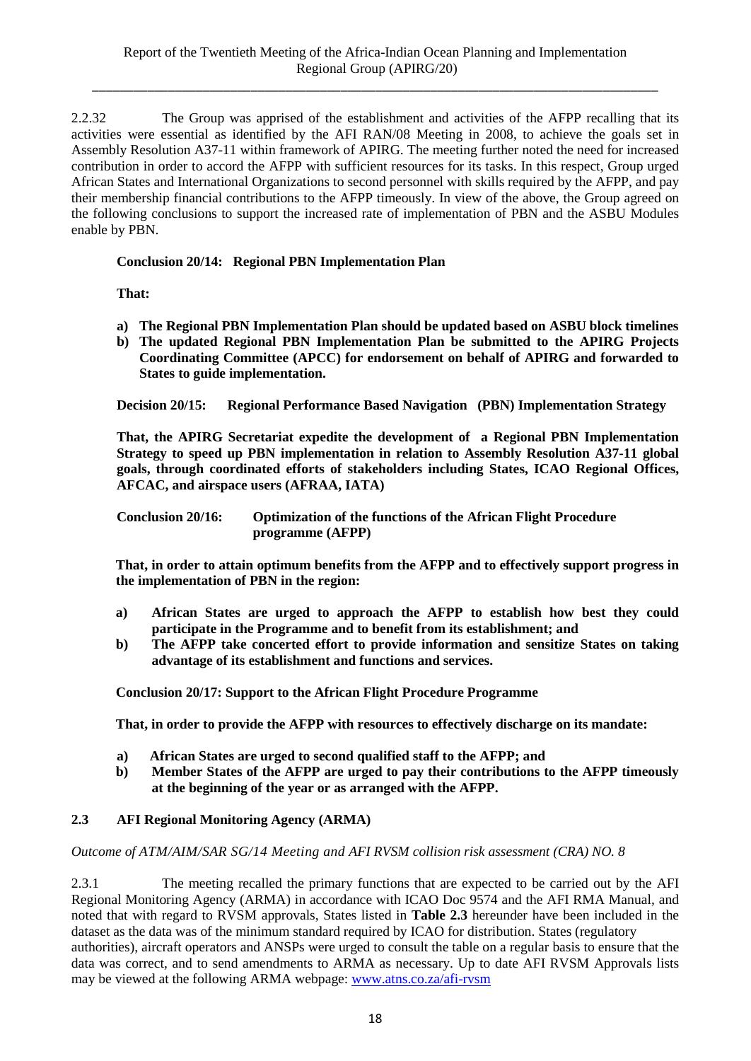2.2.32 The Group was apprised of the establishment and activities of the AFPP recalling that its activities were essential as identified by the AFI RAN/08 Meeting in 2008, to achieve the goals set in Assembly Resolution A37-11 within framework of APIRG. The meeting further noted the need for increased contribution in order to accord the AFPP with sufficient resources for its tasks. In this respect, Group urged African States and International Organizations to second personnel with skills required by the AFPP, and pay their membership financial contributions to the AFPP timeously. In view of the above, the Group agreed on the following conclusions to support the increased rate of implementation of PBN and the ASBU Modules enable by PBN.

**Conclusion 20/14: Regional PBN Implementation Plan**

**That:**

- **a) The Regional PBN Implementation Plan should be updated based on ASBU block timelines**
- **b) The updated Regional PBN Implementation Plan be submitted to the APIRG Projects Coordinating Committee (APCC) for endorsement on behalf of APIRG and forwarded to States to guide implementation.**

**Decision 20/15: Regional Performance Based Navigation (PBN) Implementation Strategy** 

**That, the APIRG Secretariat expedite the development of a Regional PBN Implementation Strategy to speed up PBN implementation in relation to Assembly Resolution A37-11 global goals, through coordinated efforts of stakeholders including States, ICAO Regional Offices, AFCAC, and airspace users (AFRAA, IATA)**

| <b>Conclusion 20/16:</b> | <b>Optimization of the functions of the African Flight Procedure</b> |
|--------------------------|----------------------------------------------------------------------|
|                          | programme (AFPP)                                                     |

**That, in order to attain optimum benefits from the AFPP and to effectively support progress in the implementation of PBN in the region:**

- **a) African States are urged to approach the AFPP to establish how best they could participate in the Programme and to benefit from its establishment; and**
- **b) The AFPP take concerted effort to provide information and sensitize States on taking advantage of its establishment and functions and services.**

**Conclusion 20/17: Support to the African Flight Procedure Programme**

**That, in order to provide the AFPP with resources to effectively discharge on its mandate:**

- **a) African States are urged to second qualified staff to the AFPP; and**
- **b) Member States of the AFPP are urged to pay their contributions to the AFPP timeously at the beginning of the year or as arranged with the AFPP.**

## **2.3 AFI Regional Monitoring Agency (ARMA)**

*Outcome of ATM/AIM/SAR SG/14 Meeting and AFI RVSM collision risk assessment (CRA) NO. 8*

2.3.1 The meeting recalled the primary functions that are expected to be carried out by the AFI Regional Monitoring Agency (ARMA) in accordance with ICAO Doc 9574 and the AFI RMA Manual, and noted that with regard to RVSM approvals, States listed in **Table 2.3** hereunder have been included in the dataset as the data was of the minimum standard required by ICAO for distribution. States (regulatory authorities), aircraft operators and ANSPs were urged to consult the table on a regular basis to ensure that the data was correct, and to send amendments to ARMA as necessary. Up to date AFI RVSM Approvals lists may be viewed at the following ARMA webpage: [www.atns.co.za/afi-rvsm](http://www.atns.co.za/afi-rvsm)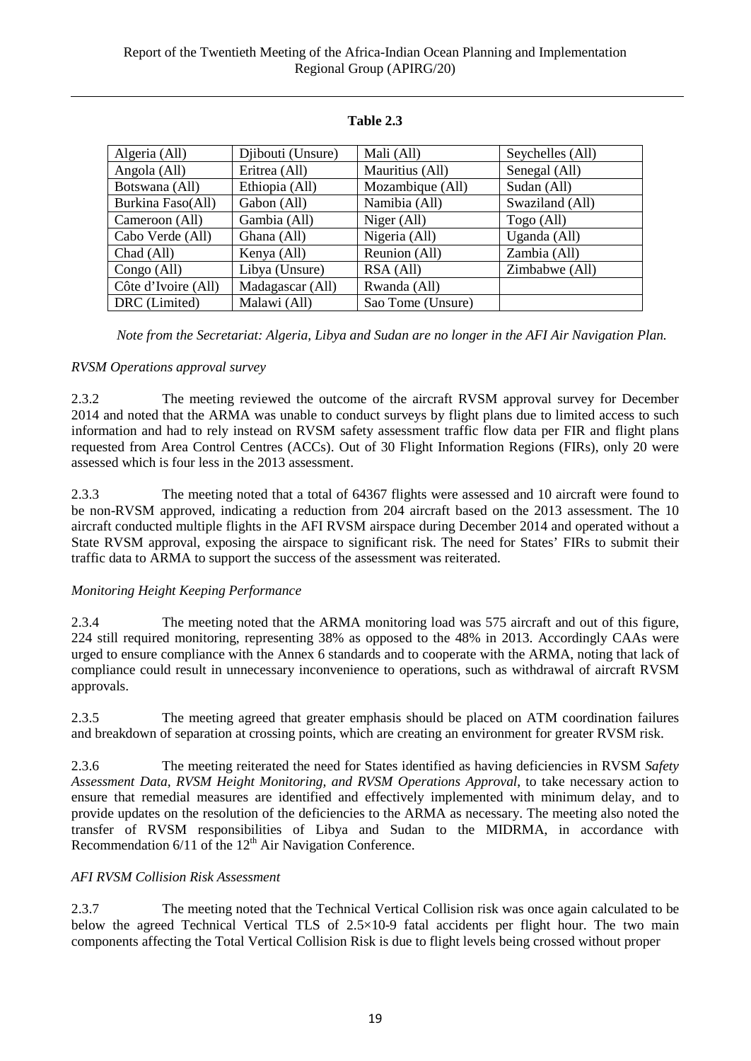| Algeria (All)       | Djibouti (Unsure) | Mali (All)        | Seychelles (All) |
|---------------------|-------------------|-------------------|------------------|
| Angola (All)        | Eritrea (All)     | Mauritius (All)   | Senegal (All)    |
| Botswana (All)      | Ethiopia (All)    | Mozambique (All)  | Sudan (All)      |
| Burkina Faso(All)   | Gabon (All)       | Namibia (All)     | Swaziland (All)  |
| Cameroon (All)      | Gambia (All)      | Niger (All)       | Togo (All)       |
| Cabo Verde (All)    | Ghana (All)       | Nigeria (All)     | Uganda (All)     |
| Chad (All)          | Kenya (All)       | Reunion (All)     | Zambia (All)     |
| Congo (All)         | Libya (Unsure)    | RSA (All)         | Zimbabwe (All)   |
| Côte d'Ivoire (All) | Madagascar (All)  | Rwanda (All)      |                  |
| DRC (Limited)       | Malawi (All)      | Sao Tome (Unsure) |                  |

## **Table 2.3**

*Note from the Secretariat: Algeria, Libya and Sudan are no longer in the AFI Air Navigation Plan.*

### *RVSM Operations approval survey*

2.3.2 The meeting reviewed the outcome of the aircraft RVSM approval survey for December 2014 and noted that the ARMA was unable to conduct surveys by flight plans due to limited access to such information and had to rely instead on RVSM safety assessment traffic flow data per FIR and flight plans requested from Area Control Centres (ACCs). Out of 30 Flight Information Regions (FIRs), only 20 were assessed which is four less in the 2013 assessment.

2.3.3 The meeting noted that a total of 64367 flights were assessed and 10 aircraft were found to be non-RVSM approved, indicating a reduction from 204 aircraft based on the 2013 assessment. The 10 aircraft conducted multiple flights in the AFI RVSM airspace during December 2014 and operated without a State RVSM approval, exposing the airspace to significant risk. The need for States' FIRs to submit their traffic data to ARMA to support the success of the assessment was reiterated.

## *Monitoring Height Keeping Performance*

2.3.4 The meeting noted that the ARMA monitoring load was 575 aircraft and out of this figure, 224 still required monitoring, representing 38% as opposed to the 48% in 2013. Accordingly CAAs were urged to ensure compliance with the Annex 6 standards and to cooperate with the ARMA, noting that lack of compliance could result in unnecessary inconvenience to operations, such as withdrawal of aircraft RVSM approvals.

2.3.5 The meeting agreed that greater emphasis should be placed on ATM coordination failures and breakdown of separation at crossing points, which are creating an environment for greater RVSM risk.

2.3.6 The meeting reiterated the need for States identified as having deficiencies in RVSM *Safety Assessment Data, RVSM Height Monitoring, and RVSM Operations Approval*, to take necessary action to ensure that remedial measures are identified and effectively implemented with minimum delay, and to provide updates on the resolution of the deficiencies to the ARMA as necessary. The meeting also noted the transfer of RVSM responsibilities of Libya and Sudan to the MIDRMA, in accordance with Recommendation  $6/11$  of the  $12<sup>th</sup>$  Air Navigation Conference.

## *AFI RVSM Collision Risk Assessment*

2.3.7 The meeting noted that the Technical Vertical Collision risk was once again calculated to be below the agreed Technical Vertical TLS of 2.5×10-9 fatal accidents per flight hour. The two main components affecting the Total Vertical Collision Risk is due to flight levels being crossed without proper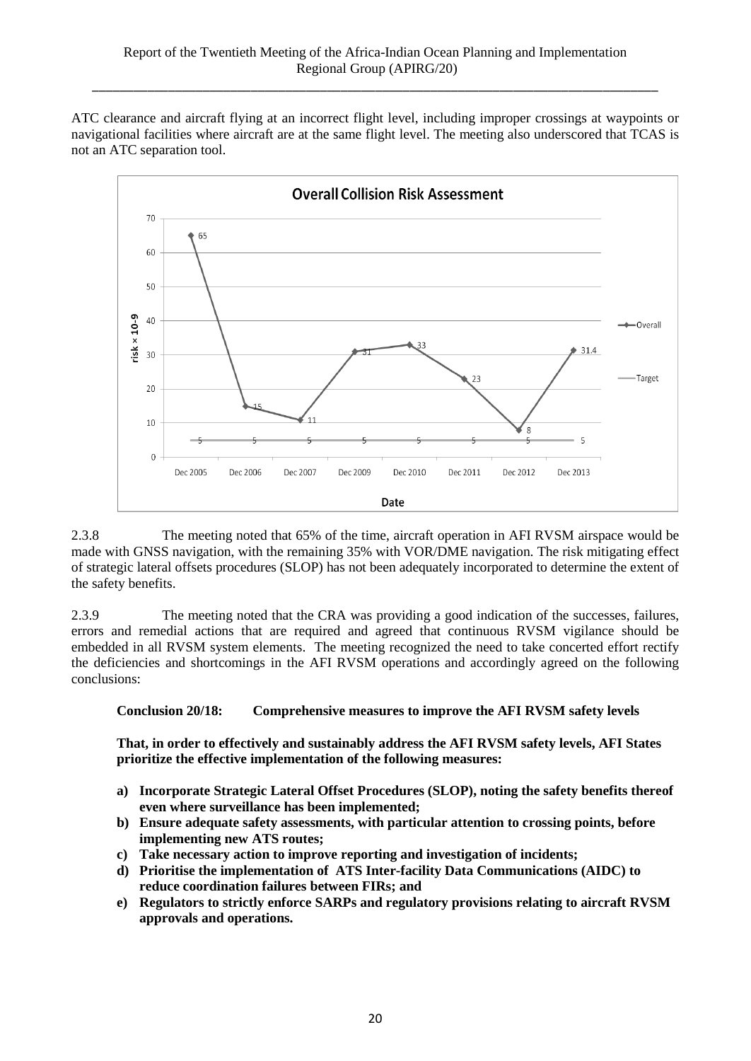ATC clearance and aircraft flying at an incorrect flight level, including improper crossings at waypoints or navigational facilities where aircraft are at the same flight level. The meeting also underscored that TCAS is not an ATC separation tool.



2.3.8 The meeting noted that 65% of the time, aircraft operation in AFI RVSM airspace would be made with GNSS navigation, with the remaining 35% with VOR/DME navigation. The risk mitigating effect of strategic lateral offsets procedures (SLOP) has not been adequately incorporated to determine the extent of the safety benefits.

2.3.9 The meeting noted that the CRA was providing a good indication of the successes, failures, errors and remedial actions that are required and agreed that continuous RVSM vigilance should be embedded in all RVSM system elements. The meeting recognized the need to take concerted effort rectify the deficiencies and shortcomings in the AFI RVSM operations and accordingly agreed on the following conclusions:

**Conclusion 20/18: Comprehensive measures to improve the AFI RVSM safety levels**

**That, in order to effectively and sustainably address the AFI RVSM safety levels, AFI States prioritize the effective implementation of the following measures:**

- **a) Incorporate Strategic Lateral Offset Procedures (SLOP), noting the safety benefits thereof even where surveillance has been implemented;**
- **b) Ensure adequate safety assessments, with particular attention to crossing points, before implementing new ATS routes;**
- **c) Take necessary action to improve reporting and investigation of incidents;**
- **d) Prioritise the implementation of ATS Inter-facility Data Communications (AIDC) to reduce coordination failures between FIRs; and**
- **e) Regulators to strictly enforce SARPs and regulatory provisions relating to aircraft RVSM approvals and operations.**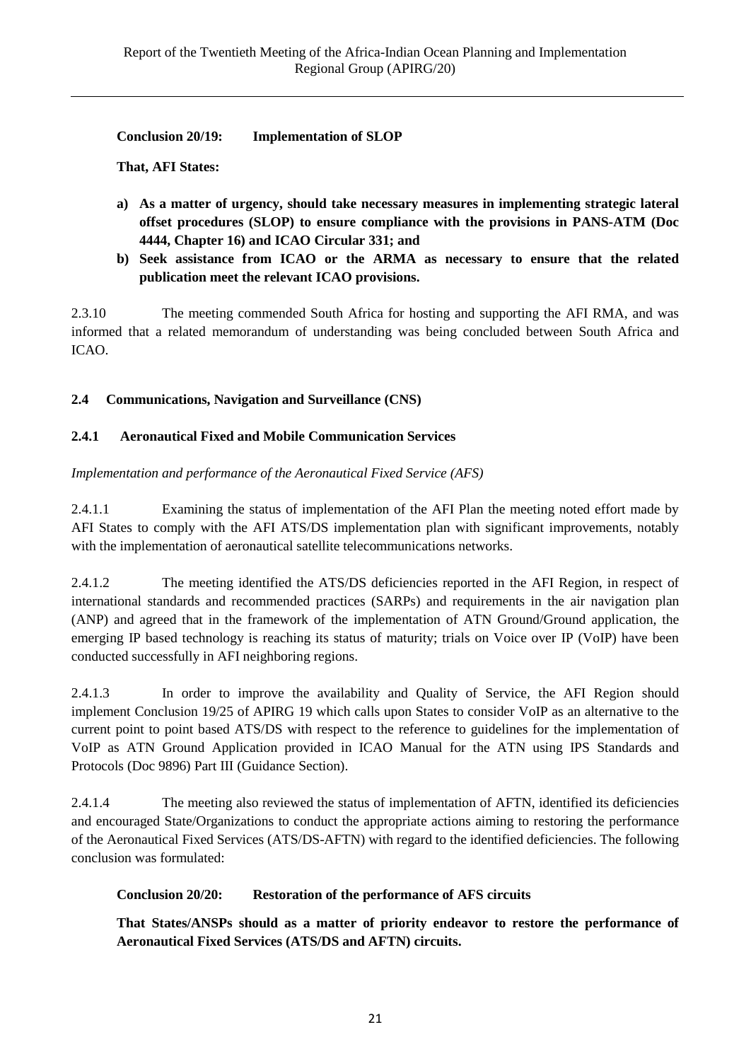**Conclusion 20/19: Implementation of SLOP**

**That, AFI States:**

- **a) As a matter of urgency, should take necessary measures in implementing strategic lateral offset procedures (SLOP) to ensure compliance with the provisions in PANS-ATM (Doc 4444, Chapter 16) and ICAO Circular 331; and**
- **b) Seek assistance from ICAO or the ARMA as necessary to ensure that the related publication meet the relevant ICAO provisions.**

2.3.10 The meeting commended South Africa for hosting and supporting the AFI RMA, and was informed that a related memorandum of understanding was being concluded between South Africa and ICAO.

## **2.4 Communications, Navigation and Surveillance (CNS)**

## **2.4.1 Aeronautical Fixed and Mobile Communication Services**

*Implementation and performance of the Aeronautical Fixed Service (AFS)*

2.4.1.1Examining the status of implementation of the AFI Plan the meeting noted effort made by AFI States to comply with the AFI ATS/DS implementation plan with significant improvements, notably with the implementation of aeronautical satellite telecommunications networks.

2.4.1.2 The meeting identified the ATS/DS deficiencies reported in the AFI Region, in respect of international standards and recommended practices (SARPs) and requirements in the air navigation plan (ANP) and agreed that in the framework of the implementation of ATN Ground/Ground application, the emerging IP based technology is reaching its status of maturity; trials on Voice over IP (VoIP) have been conducted successfully in AFI neighboring regions.

2.4.1.3 In order to improve the availability and Quality of Service, the AFI Region should implement Conclusion 19/25 of APIRG 19 which calls upon States to consider VoIP as an alternative to the current point to point based ATS/DS with respect to the reference to guidelines for the implementation of VoIP as ATN Ground Application provided in ICAO Manual for the ATN using IPS Standards and Protocols (Doc 9896) Part III (Guidance Section).

2.4.1.4 The meeting also reviewed the status of implementation of AFTN, identified its deficiencies and encouraged State/Organizations to conduct the appropriate actions aiming to restoring the performance of the Aeronautical Fixed Services (ATS/DS-AFTN) with regard to the identified deficiencies. The following conclusion was formulated:

## **Conclusion 20/20: Restoration of the performance of AFS circuits**

**That States/ANSPs should as a matter of priority endeavor to restore the performance of Aeronautical Fixed Services (ATS/DS and AFTN) circuits.**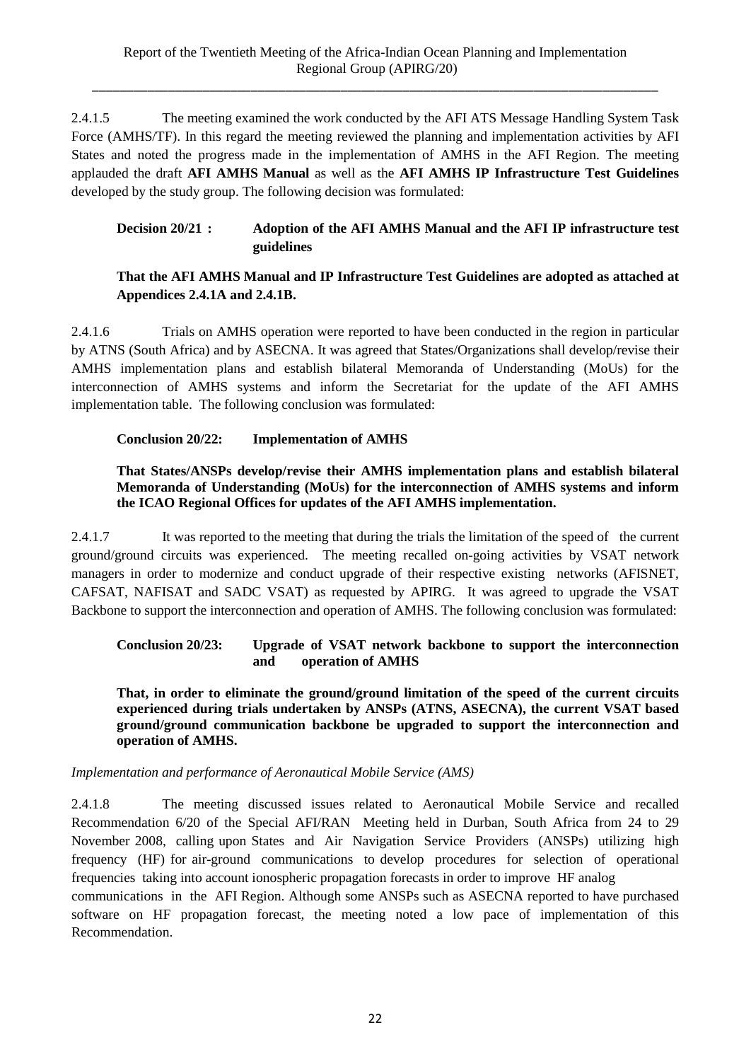2.4.1.5 The meeting examined the work conducted by the AFI ATS Message Handling System Task Force (AMHS/TF). In this regard the meeting reviewed the planning and implementation activities by AFI States and noted the progress made in the implementation of AMHS in the AFI Region. The meeting applauded the draft **AFI AMHS Manual** as well as the **AFI AMHS IP Infrastructure Test Guidelines** developed by the study group. The following decision was formulated:

**Decision 20/21 : Adoption of the AFI AMHS Manual and the AFI IP infrastructure test guidelines**

## **That the AFI AMHS Manual and IP Infrastructure Test Guidelines are adopted as attached at Appendices 2.4.1A and 2.4.1B.**

2.4.1.6 Trials on AMHS operation were reported to have been conducted in the region in particular by ATNS (South Africa) and by ASECNA. It was agreed that States/Organizations shall develop/revise their AMHS implementation plans and establish bilateral Memoranda of Understanding (MoUs) for the interconnection of AMHS systems and inform the Secretariat for the update of the AFI AMHS implementation table. The following conclusion was formulated:

## **Conclusion 20/22: Implementation of AMHS**

### **That States/ANSPs develop/revise their AMHS implementation plans and establish bilateral Memoranda of Understanding (MoUs) for the interconnection of AMHS systems and inform the ICAO Regional Offices for updates of the AFI AMHS implementation.**

2.4.1.7 It was reported to the meeting that during the trials the limitation of the speed of the current ground/ground circuits was experienced. The meeting recalled on-going activities by VSAT network managers in order to modernize and conduct upgrade of their respective existing networks (AFISNET, CAFSAT, NAFISAT and SADC VSAT) as requested by APIRG. It was agreed to upgrade the VSAT Backbone to support the interconnection and operation of AMHS. The following conclusion was formulated:

## **Conclusion 20/23: Upgrade of VSAT network backbone to support the interconnection and operation of AMHS**

**That, in order to eliminate the ground/ground limitation of the speed of the current circuits experienced during trials undertaken by ANSPs (ATNS, ASECNA), the current VSAT based ground/ground communication backbone be upgraded to support the interconnection and operation of AMHS.**

## *Implementation and performance of Aeronautical Mobile Service (AMS)*

2.4.1.8 The meeting discussed issues related to Aeronautical Mobile Service and recalled Recommendation 6/20 of the Special AFI/RAN Meeting held in Durban, South Africa from 24 to 29 November 2008, calling upon States and Air Navigation Service Providers (ANSPs) utilizing high frequency (HF) for air-ground communications to develop procedures for selection of operational frequencies taking into account ionospheric propagation forecasts in order to improve HF analog

communications in the AFI Region. Although some ANSPs such as ASECNA reported to have purchased software on HF propagation forecast, the meeting noted a low pace of implementation of this Recommendation.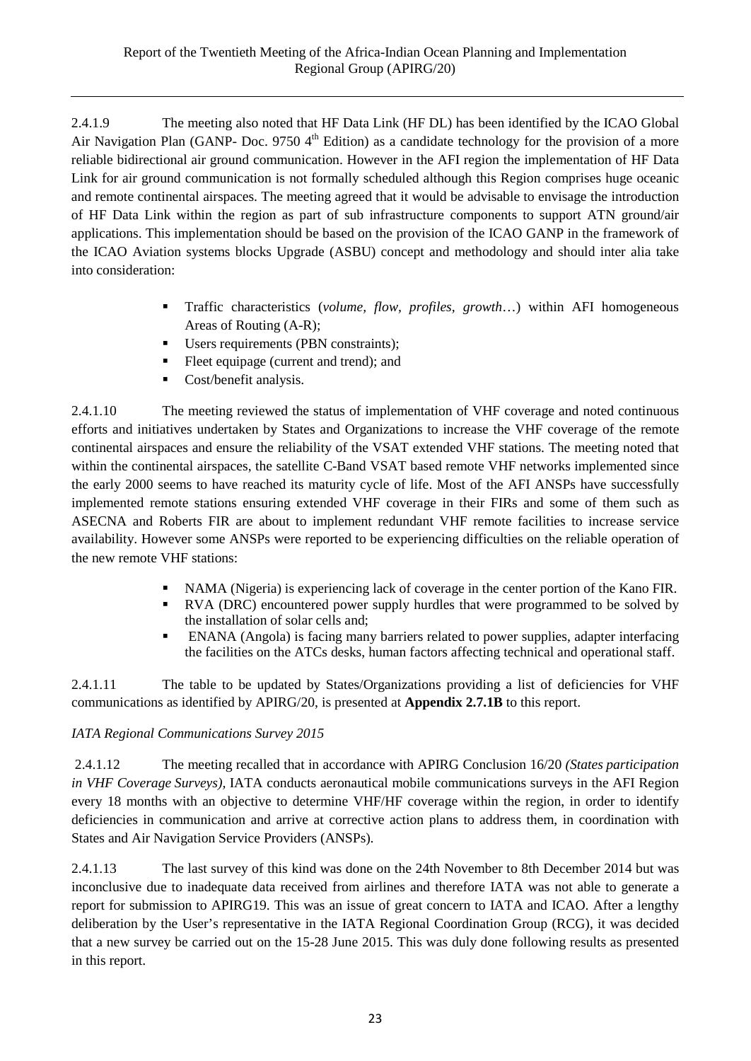2.4.1.9 The meeting also noted that HF Data Link (HF DL) has been identified by the ICAO Global Air Navigation Plan (GANP- Doc. 9750  $4<sup>th</sup>$  Edition) as a candidate technology for the provision of a more reliable bidirectional air ground communication. However in the AFI region the implementation of HF Data Link for air ground communication is not formally scheduled although this Region comprises huge oceanic and remote continental airspaces. The meeting agreed that it would be advisable to envisage the introduction of HF Data Link within the region as part of sub infrastructure components to support ATN ground/air applications. This implementation should be based on the provision of the ICAO GANP in the framework of the ICAO Aviation systems blocks Upgrade (ASBU) concept and methodology and should inter alia take into consideration:

- Traffic characteristics (*volume, flow, profiles, growth*…) within AFI homogeneous Areas of Routing (A-R);
- Users requirements (PBN constraints);
- Fleet equipage (current and trend); and
- Cost/benefit analysis.

2.4.1.10 The meeting reviewed the status of implementation of VHF coverage and noted continuous efforts and initiatives undertaken by States and Organizations to increase the VHF coverage of the remote continental airspaces and ensure the reliability of the VSAT extended VHF stations. The meeting noted that within the continental airspaces, the satellite C-Band VSAT based remote VHF networks implemented since the early 2000 seems to have reached its maturity cycle of life. Most of the AFI ANSPs have successfully implemented remote stations ensuring extended VHF coverage in their FIRs and some of them such as ASECNA and Roberts FIR are about to implement redundant VHF remote facilities to increase service availability. However some ANSPs were reported to be experiencing difficulties on the reliable operation of the new remote VHF stations:

- NAMA (Nigeria) is experiencing lack of coverage in the center portion of the Kano FIR.
- RVA (DRC) encountered power supply hurdles that were programmed to be solved by the installation of solar cells and;
- ENANA (Angola) is facing many barriers related to power supplies, adapter interfacing the facilities on the ATCs desks, human factors affecting technical and operational staff.

2.4.1.11 The table to be updated by States/Organizations providing a list of deficiencies for VHF communications as identified by APIRG/20, is presented at **Appendix 2.7.1B** to this report.

## *IATA Regional Communications Survey 2015*

2.4.1.12 The meeting recalled that in accordance with APIRG Conclusion 16/20 *(States participation in VHF Coverage Surveys),* IATA conducts aeronautical mobile communications surveys in the AFI Region every 18 months with an objective to determine VHF/HF coverage within the region, in order to identify deficiencies in communication and arrive at corrective action plans to address them, in coordination with States and Air Navigation Service Providers (ANSPs).

2.4.1.13 The last survey of this kind was done on the 24th November to 8th December 2014 but was inconclusive due to inadequate data received from airlines and therefore IATA was not able to generate a report for submission to APIRG19. This was an issue of great concern to IATA and ICAO. After a lengthy deliberation by the User's representative in the IATA Regional Coordination Group (RCG), it was decided that a new survey be carried out on the 15-28 June 2015. This was duly done following results as presented in this report.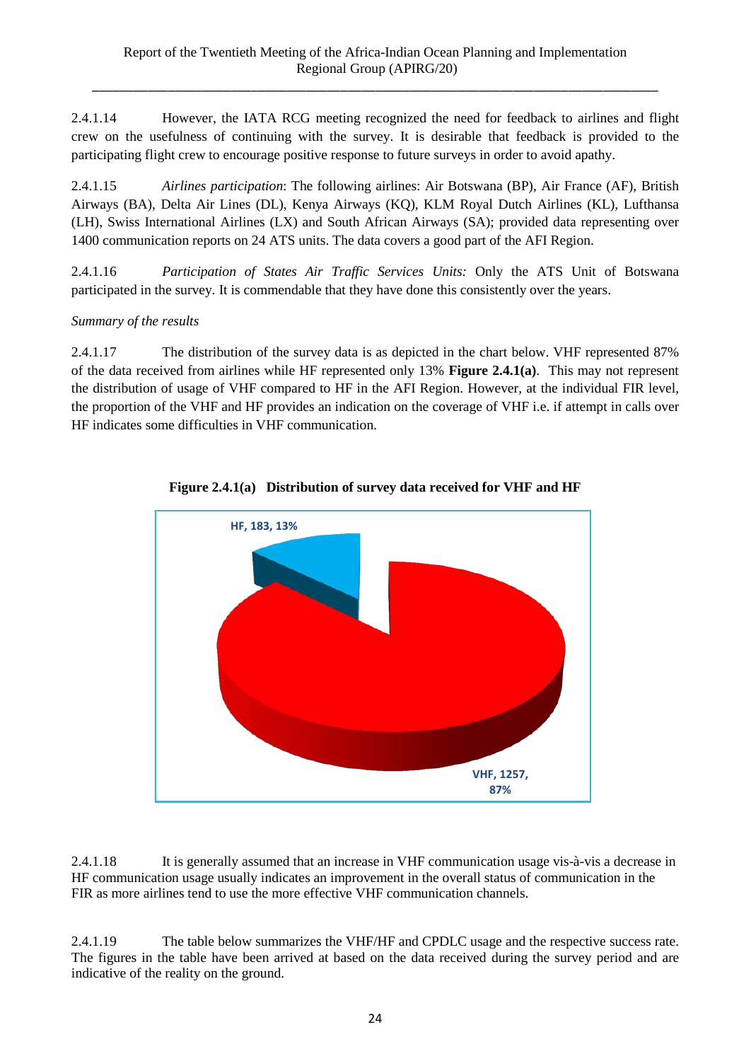2.4.1.14 However, the IATA RCG meeting recognized the need for feedback to airlines and flight crew on the usefulness of continuing with the survey. It is desirable that feedback is provided to the participating flight crew to encourage positive response to future surveys in order to avoid apathy.

2.4.1.15 *Airlines participation*: The following airlines: Air Botswana (BP), Air France (AF), British Airways (BA), Delta Air Lines (DL), Kenya Airways (KQ), KLM Royal Dutch Airlines (KL), Lufthansa (LH), Swiss International Airlines (LX) and South African Airways (SA); provided data representing over 1400 communication reports on 24 ATS units. The data covers a good part of the AFI Region.

2.4.1.16 *Participation of States Air Traffic Services Units:* Only the ATS Unit of Botswana participated in the survey. It is commendable that they have done this consistently over the years.

*Summary of the results*

2.4.1.17 The distribution of the survey data is as depicted in the chart below. VHF represented 87% of the data received from airlines while HF represented only 13% **Figure 2.4.1(a)**. This may not represent the distribution of usage of VHF compared to HF in the AFI Region. However, at the individual FIR level, the proportion of the VHF and HF provides an indication on the coverage of VHF i.e. if attempt in calls over HF indicates some difficulties in VHF communication.



**Figure 2.4.1(a) Distribution of survey data received for VHF and HF**

2.4.1.18 It is generally assumed that an increase in VHF communication usage vis-à-vis a decrease in HF communication usage usually indicates an improvement in the overall status of communication in the FIR as more airlines tend to use the more effective VHF communication channels.

2.4.1.19 The table below summarizes the VHF/HF and CPDLC usage and the respective success rate. The figures in the table have been arrived at based on the data received during the survey period and are indicative of the reality on the ground.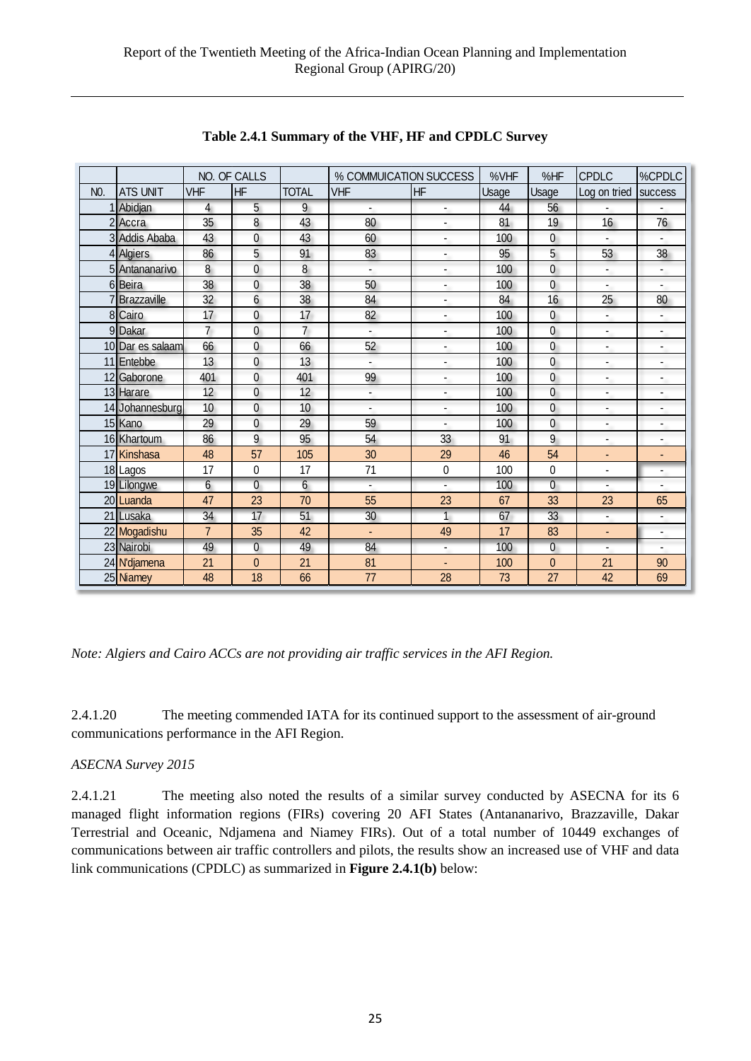|                  |                  |                | NO. OF CALLS    |                | % COMMUICATION SUCCESS   |                          | %VHF  | %HF            | <b>CPDLC</b>             | %CPDLC                   |
|------------------|------------------|----------------|-----------------|----------------|--------------------------|--------------------------|-------|----------------|--------------------------|--------------------------|
| N <sub>0</sub> . | <b>ATS UNIT</b>  | <b>VHF</b>     | <b>HF</b>       | <b>TOTAL</b>   | <b>VHF</b>               | <b>HF</b>                | Usage | Usage          | Log on tried             | success                  |
|                  | 1 Abidjan        | $\overline{4}$ | $\overline{5}$  | 9              |                          | ٠                        | 44    | 56             |                          |                          |
|                  | 2 Accra          | 35             | 8               | 43             | 80                       | $\overline{\phantom{0}}$ | 81    | 19             | 16                       | 76                       |
|                  | 3 Addis Ababa    | 43             | $\Omega$        | 43             | 60                       | $\overline{\phantom{a}}$ | 100   | $\overline{0}$ |                          |                          |
|                  | 4 Algiers        | 86             | 5               | 91             | 83                       | ٠                        | 95    | 5              | 53                       | 38                       |
|                  | 5 Antananarivo   | $\overline{8}$ | 0               | $\overline{8}$ | $\blacksquare$           | $\overline{\phantom{a}}$ | 100   | $\overline{0}$ | $\overline{\phantom{a}}$ | $\blacksquare$           |
|                  | 6 Beira          | 38             | $\overline{0}$  | 38             | 50                       | ÷.                       | 100   | $\overline{0}$ | $\overline{\phantom{a}}$ |                          |
|                  | 7 Brazzaville    | 32             | $6\phantom{.0}$ | 38             | 84                       | $\overline{\phantom{a}}$ | 84    | 16             | 25                       | 80                       |
|                  | 8 Cairo          | 17             | $\overline{0}$  | 17             | 82                       | $\overline{\phantom{a}}$ | 100   | $\overline{0}$ | $\overline{\phantom{a}}$ | -                        |
|                  | 9 Dakar          | $\overline{7}$ | $\overline{0}$  | $\overline{7}$ | $\overline{\phantom{a}}$ | ä,                       | 100   | $\overline{0}$ | $\blacksquare$           |                          |
|                  | 10 Dar es salaam | 66             | $\overline{0}$  | 66             | 52                       | -                        | 100   | $\overline{0}$ | $\overline{\phantom{a}}$ | ۰                        |
|                  | 11 Entebbe       | 13             | 0               | 13             | $\blacksquare$           | $\overline{\phantom{a}}$ | 100   | $\overline{0}$ | $\blacksquare$           | ٠                        |
|                  | 12 Gaborone      | 401            | $\overline{0}$  | 401            | 99                       | ä,                       | 100   | $\overline{0}$ | $\overline{\phantom{a}}$ | $\frac{1}{2}$            |
|                  | 13 Harare        | 12             | $\overline{0}$  | 12             | $\overline{\phantom{a}}$ | ٠                        | 100   | $\overline{0}$ | $\overline{\phantom{a}}$ | -                        |
|                  | 14 Johannesburg  | 10             | $\overline{0}$  | 10             | $\overline{\phantom{a}}$ | $\overline{\phantom{a}}$ | 100   | $\overline{0}$ | $\overline{\phantom{a}}$ | $\overline{\phantom{a}}$ |
|                  | 15 Kano          | 29             | $\overline{0}$  | 29             | 59                       | ÷,                       | 100   | $\overline{0}$ | $\overline{\phantom{a}}$ | $\overline{\phantom{a}}$ |
|                  | 16 Khartoum      | 86             | 9               | 95             | 54                       | 33                       | 91    | 9              | $\blacksquare$           | -                        |
|                  | 17 Kinshasa      | 48             | 57              | 105            | 30                       | 29                       | 46    | 54             | $\blacksquare$           | $\blacksquare$           |
|                  | 18 Lagos         | 17             | 0               | 17             | 71                       | 0                        | 100   | 0              | $\overline{a}$           | $\overline{\phantom{a}}$ |
|                  | 19 Lilongwe      | 6              | 0               | 6              | $\blacksquare$           | $\blacksquare$           | 100   | $\overline{0}$ | $\overline{\phantom{a}}$ | $\overline{\phantom{a}}$ |
|                  | 20 Luanda        | 47             | 23              | 70             | 55                       | 23                       | 67    | 33             | 23                       | 65                       |
|                  | 21 Lusaka        | 34             | 17              | 51             | 30                       | $\mathbf{1}$             | 67    | 33             | $\blacksquare$           | $\overline{\phantom{a}}$ |
|                  | 22 Mogadishu     | $\overline{7}$ | 35              | 42             | ÷.                       | 49                       | 17    | 83             | $\blacksquare$           | ٠                        |
|                  | 23 Nairobi       | 49             | $\overline{0}$  | 49             | 84                       | $\overline{\phantom{a}}$ | 100   | $\overline{0}$ |                          |                          |
|                  | 24 N'djamena     | 21             | $\overline{0}$  | 21             | 81                       | L.                       | 100   | 0              | 21                       | 90                       |
|                  | 25 Niamey        | 48             | 18              | 66             | 77                       | 28                       | 73    | 27             | 42                       | 69                       |

**Table 2.4.1 Summary of the VHF, HF and CPDLC Survey**

*Note: Algiers and Cairo ACCs are not providing air traffic services in the AFI Region.*

2.4.1.20 The meeting commended IATA for its continued support to the assessment of air-ground communications performance in the AFI Region.

## *ASECNA Survey 2015*

2.4.1.21 The meeting also noted the results of a similar survey conducted by ASECNA for its 6 managed flight information regions (FIRs) covering 20 AFI States (Antananarivo, Brazzaville, Dakar Terrestrial and Oceanic, Ndjamena and Niamey FIRs). Out of a total number of 10449 exchanges of communications between air traffic controllers and pilots, the results show an increased use of VHF and data link communications (CPDLC) as summarized in **Figure 2.4.1(b)** below: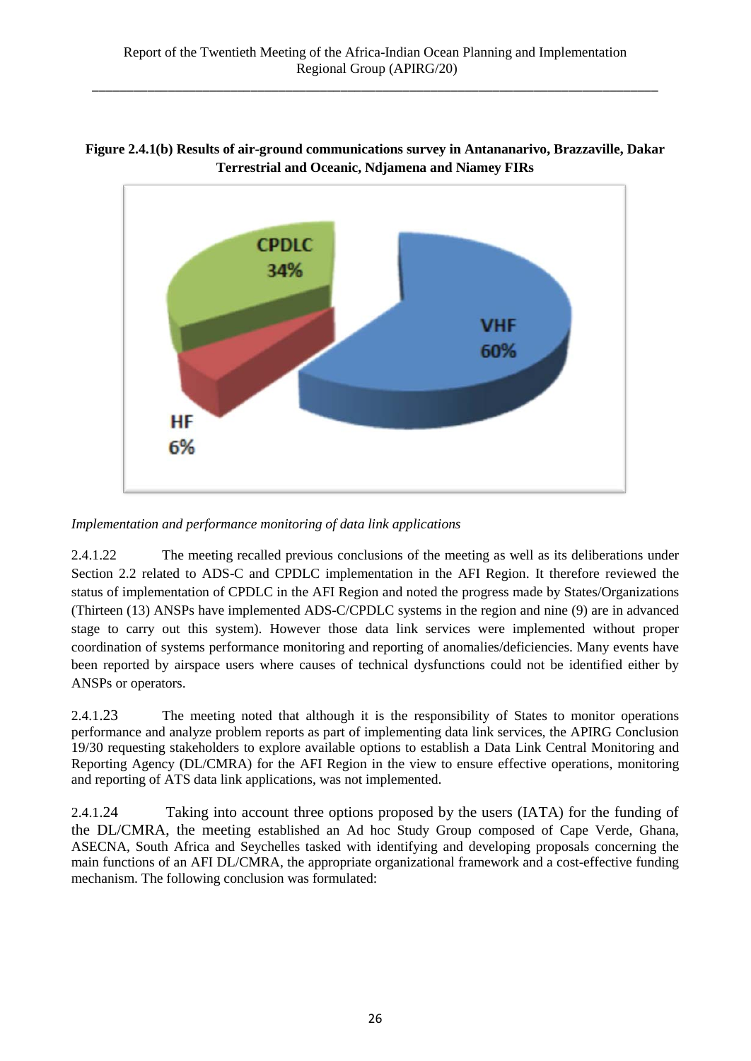

## **Figure 2.4.1(b) Results of air-ground communications survey in Antananarivo, Brazzaville, Dakar Terrestrial and Oceanic, Ndjamena and Niamey FIRs**

*Implementation and performance monitoring of data link applications*

2.4.1.22 The meeting recalled previous conclusions of the meeting as well as its deliberations under Section 2.2 related to ADS-C and CPDLC implementation in the AFI Region. It therefore reviewed the status of implementation of CPDLC in the AFI Region and noted the progress made by States/Organizations (Thirteen (13) ANSPs have implemented ADS-C/CPDLC systems in the region and nine (9) are in advanced stage to carry out this system). However those data link services were implemented without proper coordination of systems performance monitoring and reporting of anomalies/deficiencies. Many events have been reported by airspace users where causes of technical dysfunctions could not be identified either by ANSPs or operators.

2.4.1.23 The meeting noted that although it is the responsibility of States to monitor operations performance and analyze problem reports as part of implementing data link services, the APIRG Conclusion 19/30 requesting stakeholders to explore available options to establish a Data Link Central Monitoring and Reporting Agency (DL/CMRA) for the AFI Region in the view to ensure effective operations, monitoring and reporting of ATS data link applications, was not implemented.

2.4.1.24 Taking into account three options proposed by the users (IATA) for the funding of the DL/CMRA, the meeting established an Ad hoc Study Group composed of Cape Verde, Ghana, ASECNA, South Africa and Seychelles tasked with identifying and developing proposals concerning the main functions of an AFI DL/CMRA, the appropriate organizational framework and a cost-effective funding mechanism. The following conclusion was formulated: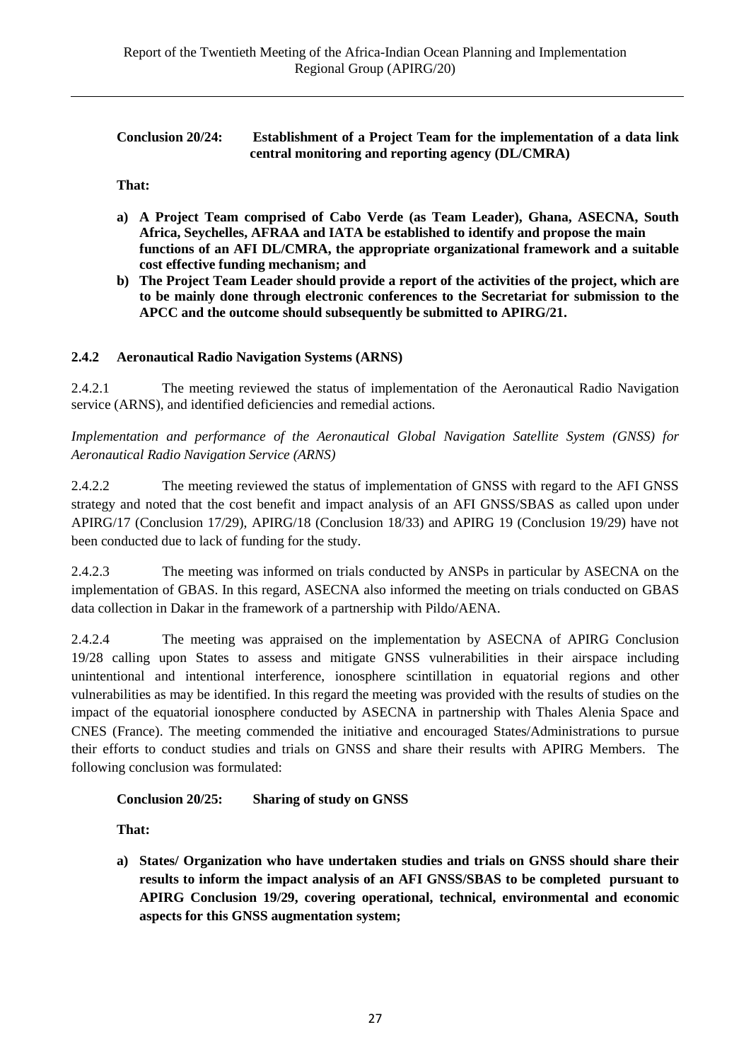| <b>Conclusion 20/24:</b> | <b>Establishment of a Project Team for the implementation of a data link</b> |
|--------------------------|------------------------------------------------------------------------------|
|                          | central monitoring and reporting agency (DL/CMRA)                            |

**That:**

- **a) A Project Team comprised of Cabo Verde (as Team Leader), Ghana, ASECNA, South Africa, Seychelles, AFRAA and IATA be established to identify and propose the main functions of an AFI DL/CMRA, the appropriate organizational framework and a suitable cost effective funding mechanism; and**
- **b) The Project Team Leader should provide a report of the activities of the project, which are to be mainly done through electronic conferences to the Secretariat for submission to the APCC and the outcome should subsequently be submitted to APIRG/21.**

## **2.4.2 Aeronautical Radio Navigation Systems (ARNS)**

2.4.2.1 The meeting reviewed the status of implementation of the Aeronautical Radio Navigation service (ARNS), and identified deficiencies and remedial actions.

*Implementation and performance of the Aeronautical Global Navigation Satellite System (GNSS) for Aeronautical Radio Navigation Service (ARNS)*

2.4.2.2 The meeting reviewed the status of implementation of GNSS with regard to the AFI GNSS strategy and noted that the cost benefit and impact analysis of an AFI GNSS/SBAS as called upon under APIRG/17 (Conclusion 17/29), APIRG/18 (Conclusion 18/33) and APIRG 19 (Conclusion 19/29) have not been conducted due to lack of funding for the study.

2.4.2.3 The meeting was informed on trials conducted by ANSPs in particular by ASECNA on the implementation of GBAS. In this regard, ASECNA also informed the meeting on trials conducted on GBAS data collection in Dakar in the framework of a partnership with Pildo/AENA.

2.4.2.4 The meeting was appraised on the implementation by ASECNA of APIRG Conclusion 19/28 calling upon States to assess and mitigate GNSS vulnerabilities in their airspace including unintentional and intentional interference, ionosphere scintillation in equatorial regions and other vulnerabilities as may be identified. In this regard the meeting was provided with the results of studies on the impact of the equatorial ionosphere conducted by ASECNA in partnership with Thales Alenia Space and CNES (France). The meeting commended the initiative and encouraged States/Administrations to pursue their efforts to conduct studies and trials on GNSS and share their results with APIRG Members. The following conclusion was formulated:

## **Conclusion 20/25: Sharing of study on GNSS**

**That:**

**a) States/ Organization who have undertaken studies and trials on GNSS should share their results to inform the impact analysis of an AFI GNSS/SBAS to be completed pursuant to APIRG Conclusion 19/29, covering operational, technical, environmental and economic aspects for this GNSS augmentation system;**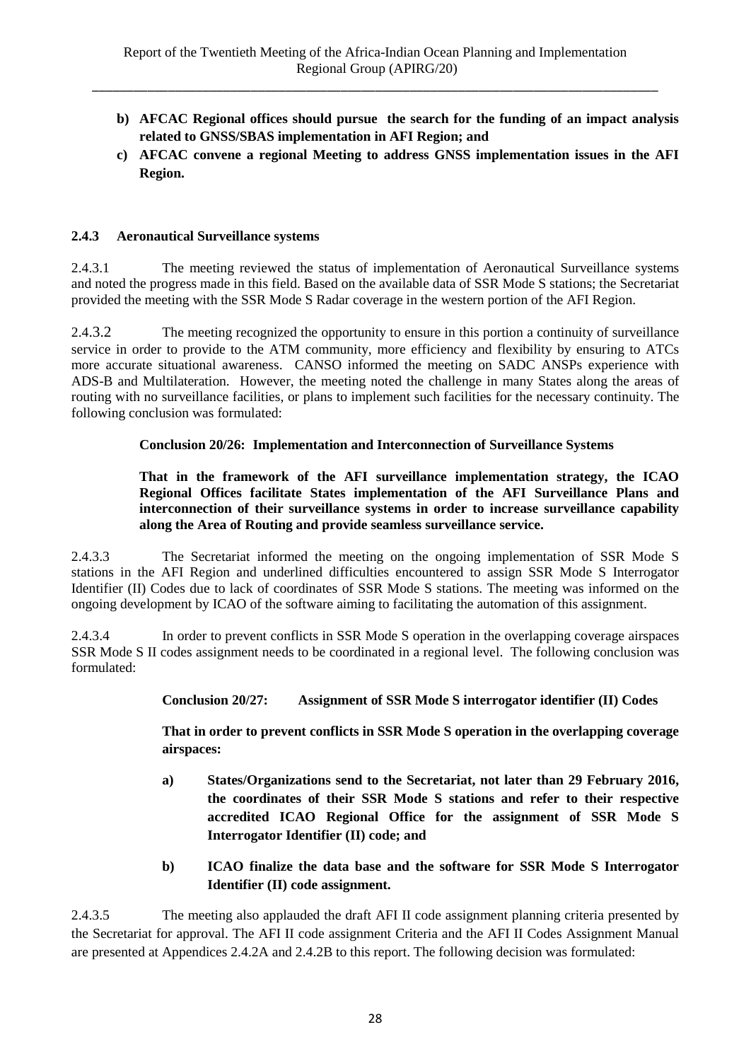- **b) AFCAC Regional offices should pursue the search for the funding of an impact analysis related to GNSS/SBAS implementation in AFI Region; and**
- **c) AFCAC convene a regional Meeting to address GNSS implementation issues in the AFI Region.**

### **2.4.3 Aeronautical Surveillance systems**

2.4.3.1 The meeting reviewed the status of implementation of Aeronautical Surveillance systems and noted the progress made in this field. Based on the available data of SSR Mode S stations; the Secretariat provided the meeting with the SSR Mode S Radar coverage in the western portion of the AFI Region.

2.4.3.2 The meeting recognized the opportunity to ensure in this portion a continuity of surveillance service in order to provide to the ATM community, more efficiency and flexibility by ensuring to ATCs more accurate situational awareness. CANSO informed the meeting on SADC ANSPs experience with ADS-B and Multilateration. However, the meeting noted the challenge in many States along the areas of routing with no surveillance facilities, or plans to implement such facilities for the necessary continuity. The following conclusion was formulated:

### **Conclusion 20/26: Implementation and Interconnection of Surveillance Systems**

### **That in the framework of the AFI surveillance implementation strategy, the ICAO Regional Offices facilitate States implementation of the AFI Surveillance Plans and interconnection of their surveillance systems in order to increase surveillance capability along the Area of Routing and provide seamless surveillance service.**

2.4.3.3 The Secretariat informed the meeting on the ongoing implementation of SSR Mode S stations in the AFI Region and underlined difficulties encountered to assign SSR Mode S Interrogator Identifier (II) Codes due to lack of coordinates of SSR Mode S stations. The meeting was informed on the ongoing development by ICAO of the software aiming to facilitating the automation of this assignment.

2.4.3.4 In order to prevent conflicts in SSR Mode S operation in the overlapping coverage airspaces SSR Mode S II codes assignment needs to be coordinated in a regional level. The following conclusion was formulated:

#### **Conclusion 20/27: Assignment of SSR Mode S interrogator identifier (II) Codes**

**That in order to prevent conflicts in SSR Mode S operation in the overlapping coverage airspaces:**

- **a) States/Organizations send to the Secretariat, not later than 29 February 2016, the coordinates of their SSR Mode S stations and refer to their respective accredited ICAO Regional Office for the assignment of SSR Mode S Interrogator Identifier (II) code; and**
- **b) ICAO finalize the data base and the software for SSR Mode S Interrogator Identifier (II) code assignment.**

2.4.3.5 The meeting also applauded the draft AFI II code assignment planning criteria presented by the Secretariat for approval. The AFI II code assignment Criteria and the AFI II Codes Assignment Manual are presented at Appendices 2.4.2A and 2.4.2B to this report. The following decision was formulated: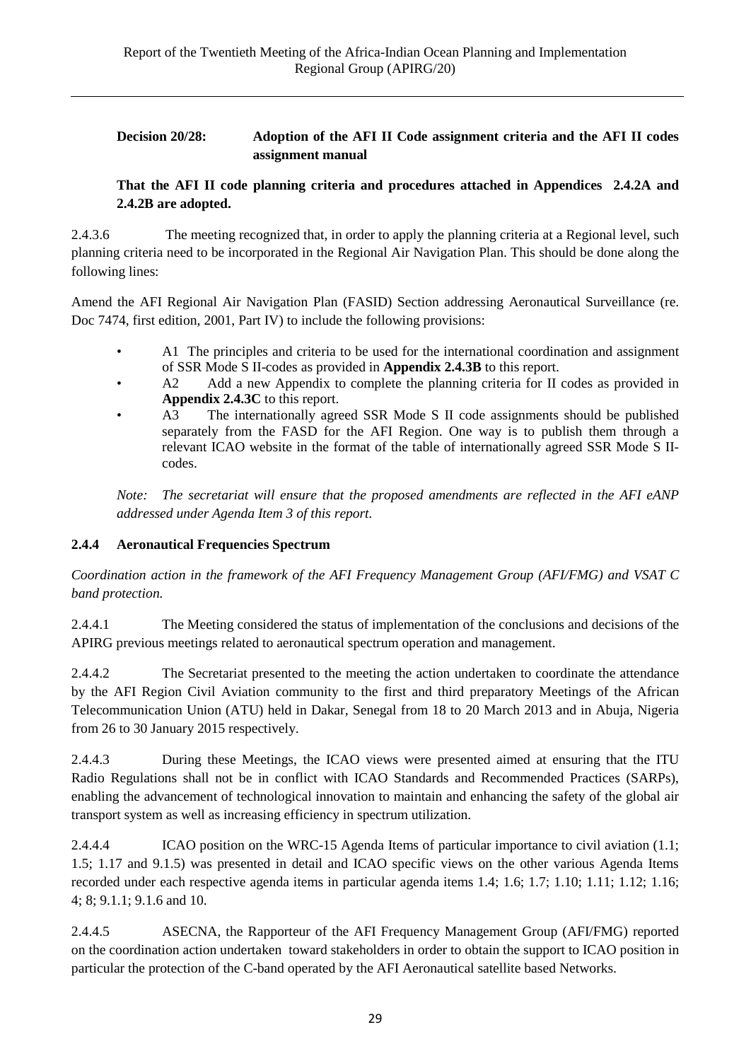## **Decision 20/28: Adoption of the AFI II Code assignment criteria and the AFI II codes assignment manual**

## **That the AFI II code planning criteria and procedures attached in Appendices 2.4.2A and 2.4.2B are adopted.**

2.4.3.6 The meeting recognized that, in order to apply the planning criteria at a Regional level, such planning criteria need to be incorporated in the Regional Air Navigation Plan. This should be done along the following lines:

Amend the AFI Regional Air Navigation Plan (FASID) Section addressing Aeronautical Surveillance (re. Doc 7474, first edition, 2001, Part IV) to include the following provisions:

- A1 The principles and criteria to be used for the international coordination and assignment of SSR Mode S II-codes as provided in **Appendix 2.4.3B** to this report.
- A2 Add a new Appendix to complete the planning criteria for II codes as provided in **Appendix 2.4.3C** to this report.<br>A3 The internationally agree
- The internationally agreed SSR Mode S II code assignments should be published separately from the FASD for the AFI Region. One way is to publish them through a relevant ICAO website in the format of the table of internationally agreed SSR Mode S IIcodes.

*Note: The secretariat will ensure that the proposed amendments are reflected in the AFI eANP addressed under Agenda Item 3 of this report.*

## **2.4.4 Aeronautical Frequencies Spectrum**

*Coordination action in the framework of the AFI Frequency Management Group (AFI/FMG) and VSAT C band protection.*

2.4.4.1 The Meeting considered the status of implementation of the conclusions and decisions of the APIRG previous meetings related to aeronautical spectrum operation and management.

2.4.4.2 The Secretariat presented to the meeting the action undertaken to coordinate the attendance by the AFI Region Civil Aviation community to the first and third preparatory Meetings of the African Telecommunication Union (ATU) held in Dakar, Senegal from 18 to 20 March 2013 and in Abuja, Nigeria from 26 to 30 January 2015 respectively.

2.4.4.3 During these Meetings, the ICAO views were presented aimed at ensuring that the ITU Radio Regulations shall not be in conflict with ICAO Standards and Recommended Practices (SARPs), enabling the advancement of technological innovation to maintain and enhancing the safety of the global air transport system as well as increasing efficiency in spectrum utilization.

2.4.4.4 ICAO position on the WRC-15 Agenda Items of particular importance to civil aviation (1.1; 1.5; 1.17 and 9.1.5) was presented in detail and ICAO specific views on the other various Agenda Items recorded under each respective agenda items in particular agenda items 1.4; 1.6; 1.7; 1.10; 1.11; 1.12; 1.16; 4; 8; 9.1.1; 9.1.6 and 10.

2.4.4.5 ASECNA, the Rapporteur of the AFI Frequency Management Group (AFI/FMG) reported on the coordination action undertaken toward stakeholders in order to obtain the support to ICAO position in particular the protection of the C-band operated by the AFI Aeronautical satellite based Networks.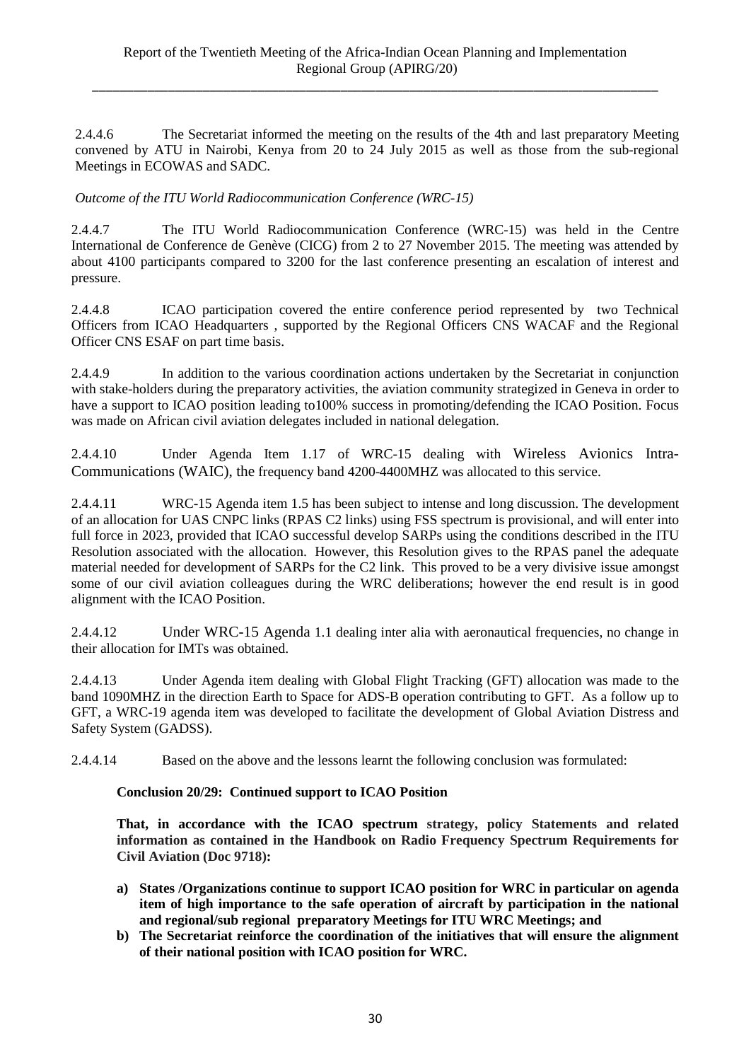2.4.4.6 The Secretariat informed the meeting on the results of the 4th and last preparatory Meeting convened by ATU in Nairobi, Kenya from 20 to 24 July 2015 as well as those from the sub-regional Meetings in ECOWAS and SADC.

*Outcome of the ITU World Radiocommunication Conference (WRC-15)*

2.4.4.7 The ITU World Radiocommunication Conference (WRC-15) was held in the Centre International de Conference de Genève (CICG) from 2 to 27 November 2015. The meeting was attended by about 4100 participants compared to 3200 for the last conference presenting an escalation of interest and pressure.

2.4.4.8 ICAO participation covered the entire conference period represented by two Technical Officers from ICAO Headquarters , supported by the Regional Officers CNS WACAF and the Regional Officer CNS ESAF on part time basis.

2.4.4.9 In addition to the various coordination actions undertaken by the Secretariat in conjunction with stake-holders during the preparatory activities, the aviation community strategized in Geneva in order to have a support to ICAO position leading to100% success in promoting/defending the ICAO Position. Focus was made on African civil aviation delegates included in national delegation.

2.4.4.10 Under Agenda Item 1.17 of WRC-15 dealing with Wireless Avionics Intra-Communications (WAIC), the frequency band 4200-4400MHZ was allocated to this service.

2.4.4.11 WRC-15 Agenda item 1.5 has been subject to intense and long discussion. The development of an allocation for UAS CNPC links (RPAS C2 links) using FSS spectrum is provisional, and will enter into full force in 2023, provided that ICAO successful develop SARPs using the conditions described in the ITU Resolution associated with the allocation. However, this Resolution gives to the RPAS panel the adequate material needed for development of SARPs for the C2 link. This proved to be a very divisive issue amongst some of our civil aviation colleagues during the WRC deliberations; however the end result is in good alignment with the ICAO Position.

2.4.4.12 Under WRC-15 Agenda 1.1 dealing inter alia with aeronautical frequencies, no change in their allocation for IMTs was obtained.

2.4.4.13 Under Agenda item dealing with Global Flight Tracking (GFT) allocation was made to the band 1090MHZ in the direction Earth to Space for ADS-B operation contributing to GFT. As a follow up to GFT, a WRC-19 agenda item was developed to facilitate the development of Global Aviation Distress and Safety System (GADSS).

2.4.4.14 Based on the above and the lessons learnt the following conclusion was formulated:

#### **Conclusion 20/29: Continued support to ICAO Position**

**That, in accordance with the ICAO spectrum strategy, policy Statements and related information as contained in the Handbook on Radio Frequency Spectrum Requirements for Civil Aviation (Doc 9718):**

- **a) States /Organizations continue to support ICAO position for WRC in particular on agenda item of high importance to the safe operation of aircraft by participation in the national and regional/sub regional preparatory Meetings for ITU WRC Meetings; and**
- **b) The Secretariat reinforce the coordination of the initiatives that will ensure the alignment of their national position with ICAO position for WRC.**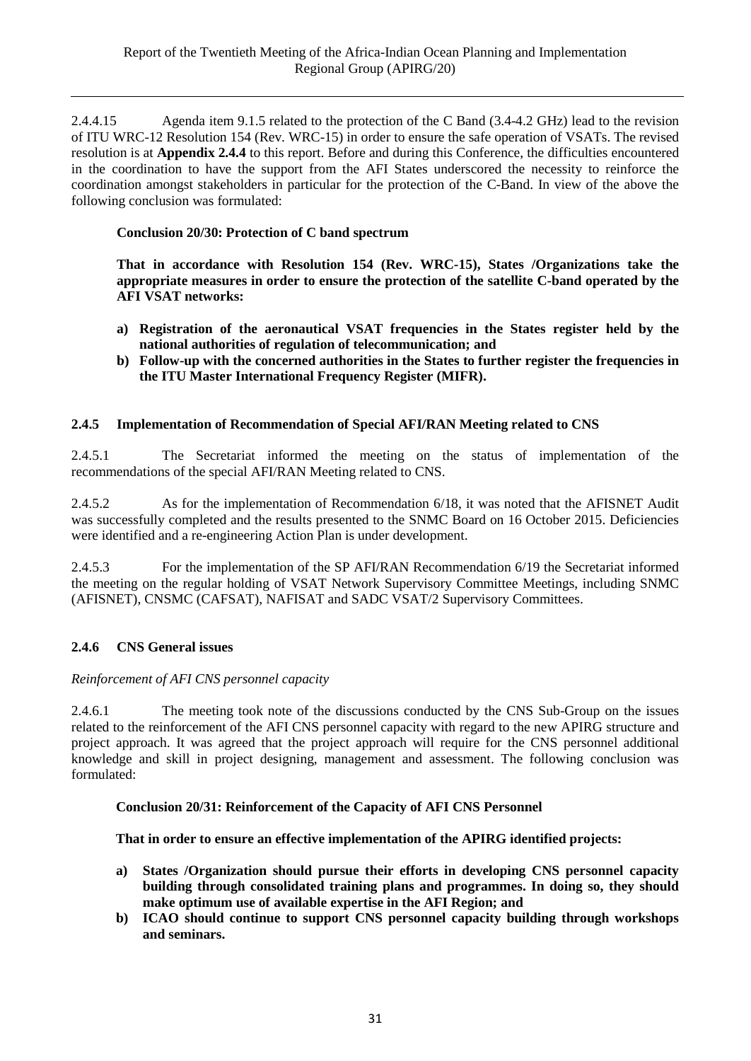2.4.4.15 Agenda item 9.1.5 related to the protection of the C Band (3.4-4.2 GHz) lead to the revision of ITU WRC-12 Resolution 154 (Rev. WRC-15) in order to ensure the safe operation of VSATs. The revised resolution is at **Appendix 2.4.4** to this report. Before and during this Conference, the difficulties encountered in the coordination to have the support from the AFI States underscored the necessity to reinforce the coordination amongst stakeholders in particular for the protection of the C-Band. In view of the above the following conclusion was formulated:

## **Conclusion 20/30: Protection of C band spectrum**

**That in accordance with Resolution 154 (Rev. WRC-15), States /Organizations take the appropriate measures in order to ensure the protection of the satellite C-band operated by the AFI VSAT networks:**

- **a) Registration of the aeronautical VSAT frequencies in the States register held by the national authorities of regulation of telecommunication; and**
- **b) Follow-up with the concerned authorities in the States to further register the frequencies in the ITU Master International Frequency Register (MIFR).**

### **2.4.5 Implementation of Recommendation of Special AFI/RAN Meeting related to CNS**

2.4.5.1 The Secretariat informed the meeting on the status of implementation of the recommendations of the special AFI/RAN Meeting related to CNS.

2.4.5.2 As for the implementation of Recommendation 6/18, it was noted that the AFISNET Audit was successfully completed and the results presented to the SNMC Board on 16 October 2015. Deficiencies were identified and a re-engineering Action Plan is under development.

2.4.5.3 For the implementation of the SP AFI/RAN Recommendation 6/19 the Secretariat informed the meeting on the regular holding of VSAT Network Supervisory Committee Meetings, including SNMC (AFISNET), CNSMC (CAFSAT), NAFISAT and SADC VSAT/2 Supervisory Committees.

## **2.4.6 CNS General issues**

#### *Reinforcement of AFI CNS personnel capacity*

2.4.6.1 The meeting took note of the discussions conducted by the CNS Sub-Group on the issues related to the reinforcement of the AFI CNS personnel capacity with regard to the new APIRG structure and project approach. It was agreed that the project approach will require for the CNS personnel additional knowledge and skill in project designing, management and assessment. The following conclusion was formulated:

#### **Conclusion 20/31: Reinforcement of the Capacity of AFI CNS Personnel**

#### **That in order to ensure an effective implementation of the APIRG identified projects:**

- **a) States /Organization should pursue their efforts in developing CNS personnel capacity building through consolidated training plans and programmes. In doing so, they should make optimum use of available expertise in the AFI Region; and**
- **b) ICAO should continue to support CNS personnel capacity building through workshops and seminars.**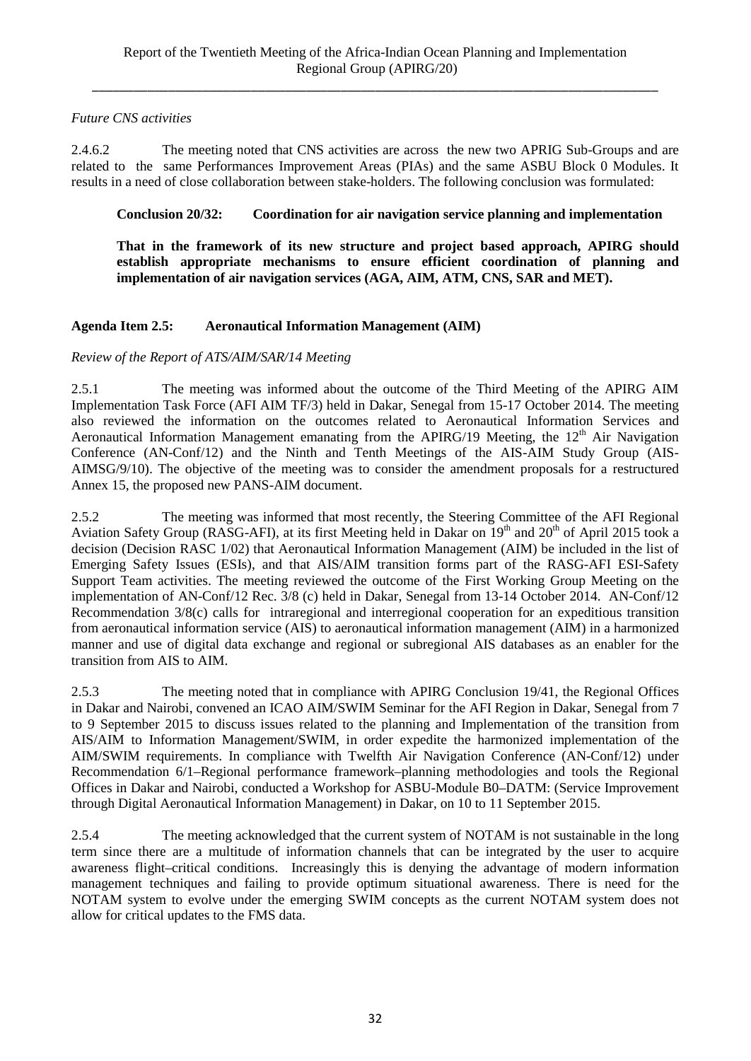## *Future CNS activities*

2.4.6.2 The meeting noted that CNS activities are across the new two APRIG Sub-Groups and are related to the same Performances Improvement Areas (PIAs) and the same ASBU Block 0 Modules. It results in a need of close collaboration between stake-holders. The following conclusion was formulated:

## **Conclusion 20/32: Coordination for air navigation service planning and implementation**

**That in the framework of its new structure and project based approach, APIRG should establish appropriate mechanisms to ensure efficient coordination of planning and implementation of air navigation services (AGA, AIM, ATM, CNS, SAR and MET).**

## **Agenda Item 2.5: Aeronautical Information Management (AIM)**

## *Review of the Report of ATS/AIM/SAR/14 Meeting*

2.5.1 The meeting was informed about the outcome of the Third Meeting of the APIRG AIM Implementation Task Force (AFI AIM TF/3) held in Dakar, Senegal from 15-17 October 2014. The meeting also reviewed the information on the outcomes related to Aeronautical Information Services and Aeronautical Information Management emanating from the APIRG/19 Meeting, the  $12<sup>th</sup>$  Air Navigation Conference (AN-Conf/12) and the Ninth and Tenth Meetings of the AIS-AIM Study Group (AIS-AIMSG/9/10). The objective of the meeting was to consider the amendment proposals for a restructured Annex 15, the proposed new PANS-AIM document.

2.5.2 The meeting was informed that most recently, the Steering Committee of the AFI Regional Aviation Safety Group (RASG-AFI), at its first Meeting held in Dakar on 19<sup>th</sup> and 20<sup>th</sup> of April 2015 took a decision (Decision RASC 1/02) that Aeronautical Information Management (AIM) be included in the list of Emerging Safety Issues (ESIs), and that AIS/AIM transition forms part of the RASG-AFI ESI-Safety Support Team activities. The meeting reviewed the outcome of the First Working Group Meeting on the implementation of AN-Conf/12 Rec. 3/8 (c) held in Dakar, Senegal from 13-14 October 2014. AN-Conf/12 Recommendation 3/8(c) calls for intraregional and interregional cooperation for an expeditious transition from aeronautical information service (AIS) to aeronautical information management (AIM) in a harmonized manner and use of digital data exchange and regional or subregional AIS databases as an enabler for the transition from AIS to AIM.

2.5.3 The meeting noted that in compliance with APIRG Conclusion 19/41, the Regional Offices in Dakar and Nairobi, convened an ICAO AIM/SWIM Seminar for the AFI Region in Dakar, Senegal from 7 to 9 September 2015 to discuss issues related to the planning and Implementation of the transition from AIS/AIM to Information Management/SWIM, in order expedite the harmonized implementation of the AIM/SWIM requirements. In compliance with Twelfth Air Navigation Conference (AN-Conf/12) under Recommendation 6/1–Regional performance framework–planning methodologies and tools the Regional Offices in Dakar and Nairobi, conducted a Workshop for ASBU-Module B0–DATM: (Service Improvement through Digital Aeronautical Information Management) in Dakar, on 10 to 11 September 2015.

2.5.4 The meeting acknowledged that the current system of NOTAM is not sustainable in the long term since there are a multitude of information channels that can be integrated by the user to acquire awareness flight–critical conditions. Increasingly this is denying the advantage of modern information management techniques and failing to provide optimum situational awareness. There is need for the NOTAM system to evolve under the emerging SWIM concepts as the current NOTAM system does not allow for critical updates to the FMS data.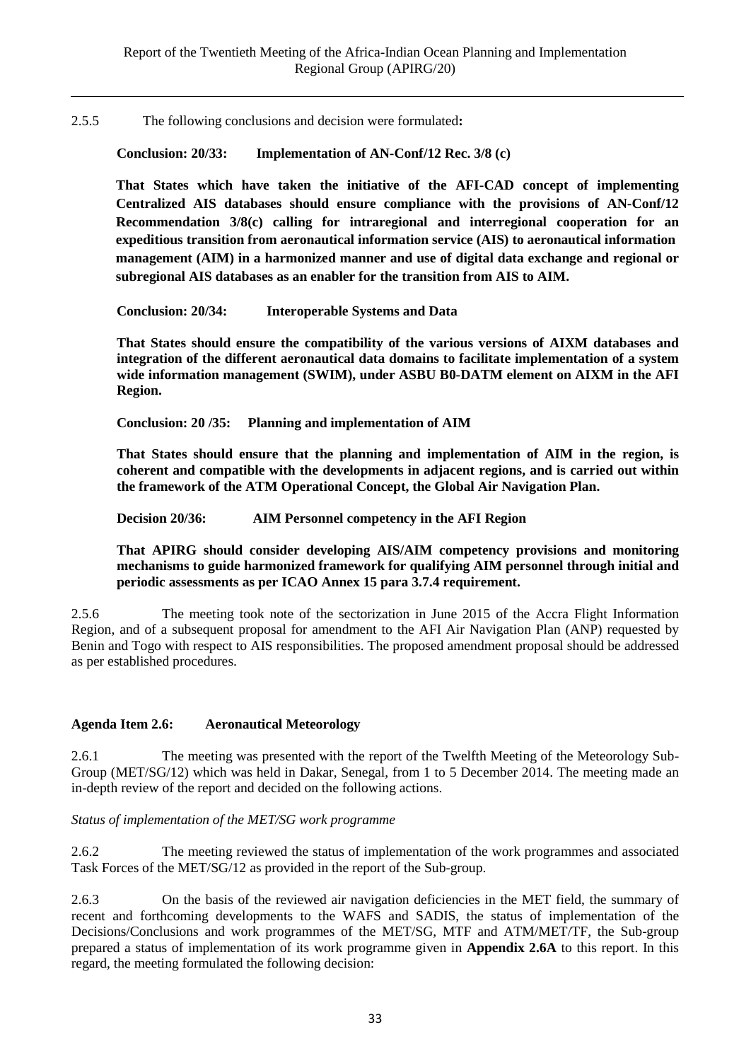2.5.5 The following conclusions and decision were formulated**:**

**Conclusion: 20/33: Implementation of AN-Conf/12 Rec. 3/8 (c)**

**That States which have taken the initiative of the AFI-CAD concept of implementing Centralized AIS databases should ensure compliance with the provisions of AN-Conf/12 Recommendation 3/8(c) calling for intraregional and interregional cooperation for an expeditious transition from aeronautical information service (AIS) to aeronautical information management (AIM) in a harmonized manner and use of digital data exchange and regional or subregional AIS databases as an enabler for the transition from AIS to AIM.**

**Conclusion: 20/34: Interoperable Systems and Data**

**That States should ensure the compatibility of the various versions of AIXM databases and integration of the different aeronautical data domains to facilitate implementation of a system wide information management (SWIM), under ASBU B0-DATM element on AIXM in the AFI Region.**

**Conclusion: 20 /35: Planning and implementation of AIM**

**That States should ensure that the planning and implementation of AIM in the region, is coherent and compatible with the developments in adjacent regions, and is carried out within the framework of the ATM Operational Concept, the Global Air Navigation Plan.**

**Decision 20/36: AIM Personnel competency in the AFI Region**

**That APIRG should consider developing AIS/AIM competency provisions and monitoring mechanisms to guide harmonized framework for qualifying AIM personnel through initial and periodic assessments as per ICAO Annex 15 para 3.7.4 requirement.**

2.5.6 The meeting took note of the sectorization in June 2015 of the Accra Flight Information Region, and of a subsequent proposal for amendment to the AFI Air Navigation Plan (ANP) requested by Benin and Togo with respect to AIS responsibilities. The proposed amendment proposal should be addressed as per established procedures.

## **Agenda Item 2.6: Aeronautical Meteorology**

2.6.1 The meeting was presented with the report of the Twelfth Meeting of the Meteorology Sub-Group (MET/SG/12) which was held in Dakar, Senegal, from 1 to 5 December 2014. The meeting made an in-depth review of the report and decided on the following actions.

#### *Status of implementation of the MET/SG work programme*

2.6.2 The meeting reviewed the status of implementation of the work programmes and associated Task Forces of the MET/SG/12 as provided in the report of the Sub-group.

2.6.3 On the basis of the reviewed air navigation deficiencies in the MET field, the summary of recent and forthcoming developments to the WAFS and SADIS, the status of implementation of the Decisions/Conclusions and work programmes of the MET/SG, MTF and ATM/MET/TF, the Sub-group prepared a status of implementation of its work programme given in **Appendix 2.6A** to this report. In this regard, the meeting formulated the following decision: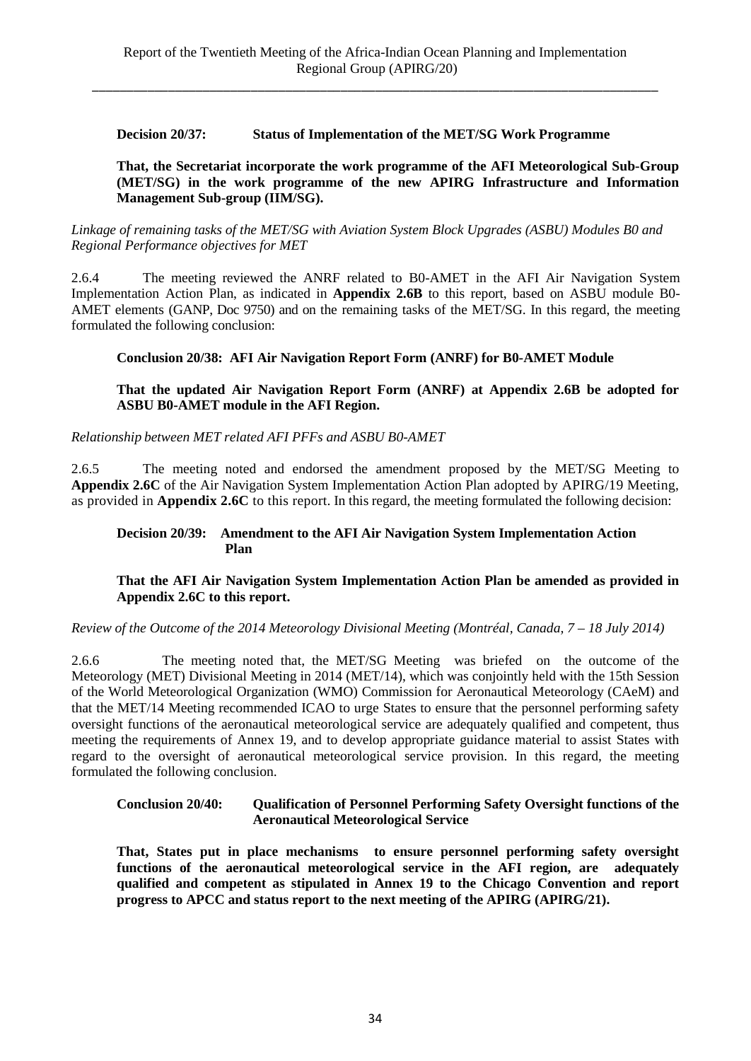### **Decision 20/37: Status of Implementation of the MET/SG Work Programme**

**That, the Secretariat incorporate the work programme of the AFI Meteorological Sub-Group (MET/SG) in the work programme of the new APIRG Infrastructure and Information Management Sub-group (IIM/SG).** 

*Linkage of remaining tasks of the MET/SG with Aviation System Block Upgrades (ASBU) Modules B0 and Regional Performance objectives for MET*

2.6.4 The meeting reviewed the ANRF related to B0-AMET in the AFI Air Navigation System Implementation Action Plan, as indicated in **Appendix 2.6B** to this report, based on ASBU module B0- AMET elements (GANP, Doc 9750) and on the remaining tasks of the MET/SG. In this regard, the meeting formulated the following conclusion:

### **Conclusion 20/38: AFI Air Navigation Report Form (ANRF) for B0-AMET Module**

### **That the updated Air Navigation Report Form (ANRF) at Appendix 2.6B be adopted for ASBU B0-AMET module in the AFI Region.**

*Relationship between MET related AFI PFFs and ASBU B0-AMET*

2.6.5 The meeting noted and endorsed the amendment proposed by the MET/SG Meeting to **Appendix 2.6C** of the Air Navigation System Implementation Action Plan adopted by APIRG/19 Meeting, as provided in **Appendix 2.6C** to this report. In this regard, the meeting formulated the following decision:

### **Decision 20/39: Amendment to the AFI Air Navigation System Implementation Action Plan**

## **That the AFI Air Navigation System Implementation Action Plan be amended as provided in Appendix 2.6C to this report.**

*Review of the Outcome of the 2014 Meteorology Divisional Meeting (Montréal, Canada, 7 – 18 July 2014)*

2.6.6 The meeting noted that, the MET/SG Meeting was briefed on the outcome of the Meteorology (MET) Divisional Meeting in 2014 (MET/14), which was conjointly held with the 15th Session of the World Meteorological Organization (WMO) Commission for Aeronautical Meteorology (CAeM) and that the MET/14 Meeting recommended ICAO to urge States to ensure that the personnel performing safety oversight functions of the aeronautical meteorological service are adequately qualified and competent, thus meeting the requirements of Annex 19, and to develop appropriate guidance material to assist States with regard to the oversight of aeronautical meteorological service provision. In this regard, the meeting formulated the following conclusion.

### **Conclusion 20/40: Qualification of Personnel Performing Safety Oversight functions of the Aeronautical Meteorological Service**

**That, States put in place mechanisms to ensure personnel performing safety oversight functions of the aeronautical meteorological service in the AFI region, are adequately qualified and competent as stipulated in Annex 19 to the Chicago Convention and report progress to APCC and status report to the next meeting of the APIRG (APIRG/21).**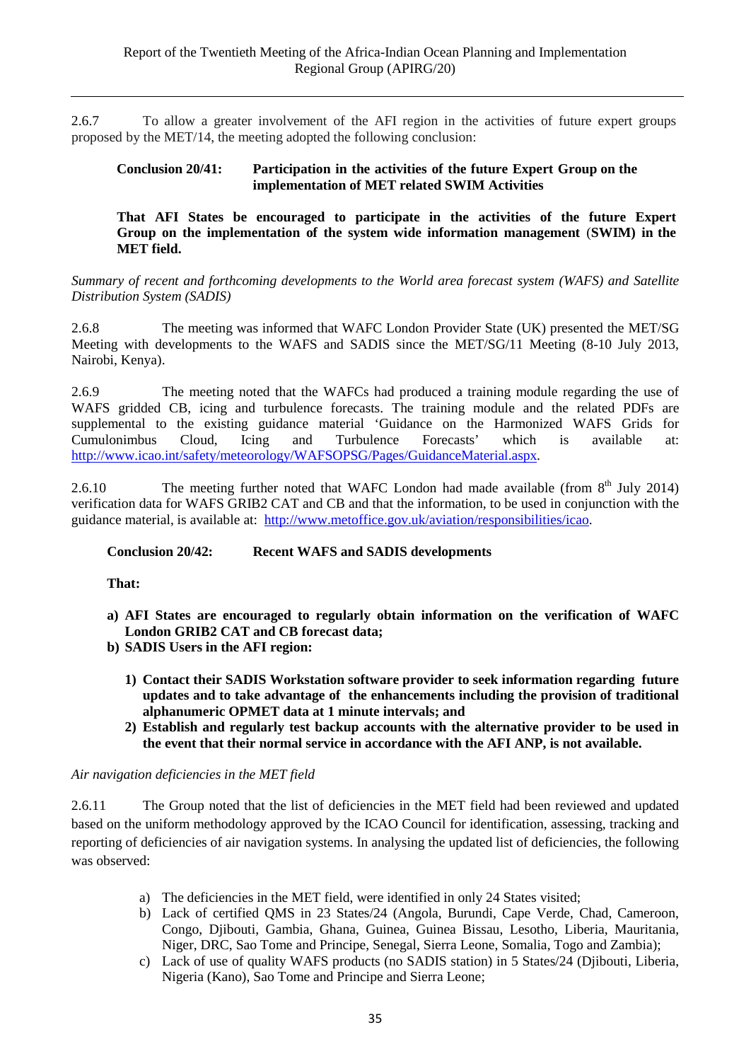2.6.7 To allow a greater involvement of the AFI region in the activities of future expert groups proposed by the MET/14, the meeting adopted the following conclusion:

#### **Conclusion 20/41: Participation in the activities of the future Expert Group on the implementation of MET related SWIM Activities**

**That AFI States be encouraged to participate in the activities of the future Expert Group on the implementation of the system wide information management** (**SWIM) in the MET field.**

*Summary of recent and forthcoming developments to the World area forecast system (WAFS) and Satellite Distribution System (SADIS)*

2.6.8 The meeting was informed that WAFC London Provider State (UK) presented the MET/SG Meeting with developments to the WAFS and SADIS since the MET/SG/11 Meeting (8-10 July 2013, Nairobi, Kenya).

2.6.9 The meeting noted that the WAFCs had produced a training module regarding the use of WAFS gridded CB, icing and turbulence forecasts. The training module and the related PDFs are supplemental to the existing guidance material ['Guidance on the Harmonized WAFS Grids for](http://www.icao.int/safety/meteorology/WAFSOPSG/Guidance%20Material/Guidance%20on%20the%20Harmonized%20WAFS%20Grids%20for%20Cumulonimbus%20Cloud,%20Icing%20and%20Turbulence%20Forecasts%20-%2011%20September%202012.pdf)  [Cumulonimbus Cloud, Icing and Turbulence Forecasts'](http://www.icao.int/safety/meteorology/WAFSOPSG/Guidance%20Material/Guidance%20on%20the%20Harmonized%20WAFS%20Grids%20for%20Cumulonimbus%20Cloud,%20Icing%20and%20Turbulence%20Forecasts%20-%2011%20September%202012.pdf) which is available at: [http://www.icao.int/safety/meteorology/WAFSOPSG/Pages/GuidanceMaterial.aspx.](http://www.icao.int/safety/meteorology/WAFSOPSG/Pages/GuidanceMaterial.aspx)

2.6.10 The meeting further noted that WAFC London had made available (from  $8<sup>th</sup>$  July 2014) verification data for WAFS GRIB2 CAT and CB and that the information, to be used in conjunction with the guidance material, is available at: [http://www.metoffice.gov.uk/aviation/responsibilities/icao.](http://www.metoffice.gov.uk/aviation/responsibilities/icao)

## **Conclusion 20/42: Recent WAFS and SADIS developments**

**That:**

- **a) AFI States are encouraged to regularly obtain information on the verification of WAFC London GRIB2 CAT and CB forecast data;**
- **b) SADIS Users in the AFI region:**
	- **1) Contact their SADIS Workstation software provider to seek information regarding future updates and to take advantage of the enhancements including the provision of traditional alphanumeric OPMET data at 1 minute intervals; and**
	- **2) Establish and regularly test backup accounts with the alternative provider to be used in the event that their normal service in accordance with the AFI ANP, is not available.**

## *Air navigation deficiencies in the MET field*

2.6.11 The Group noted that the list of deficiencies in the MET field had been reviewed and updated based on the uniform methodology approved by the ICAO Council for identification, assessing, tracking and reporting of deficiencies of air navigation systems. In analysing the updated list of deficiencies, the following was observed:

- a) The deficiencies in the MET field, were identified in only 24 States visited;
- b) Lack of certified QMS in 23 States/24 (Angola, Burundi, Cape Verde, Chad, Cameroon, Congo, Djibouti, Gambia, Ghana, Guinea, Guinea Bissau, Lesotho, Liberia, Mauritania, Niger, DRC, Sao Tome and Principe, Senegal, Sierra Leone, Somalia, Togo and Zambia);
- c) Lack of use of quality WAFS products (no SADIS station) in 5 States/24 (Djibouti, Liberia, Nigeria (Kano), Sao Tome and Principe and Sierra Leone;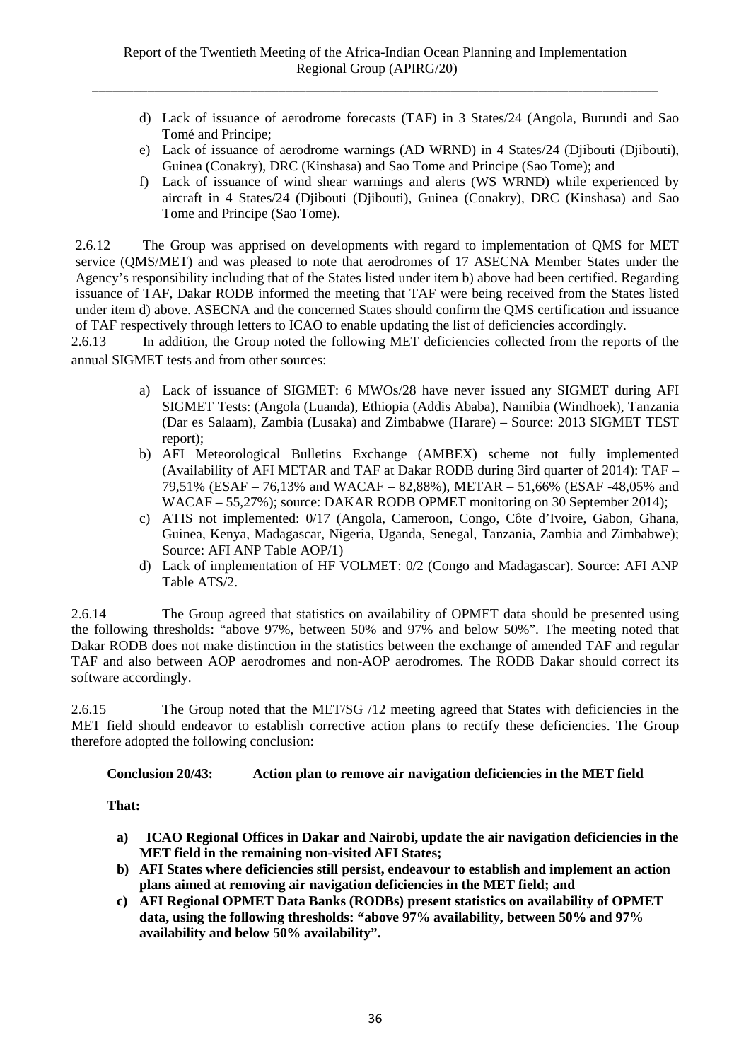- d) Lack of issuance of aerodrome forecasts (TAF) in 3 States/24 (Angola, Burundi and Sao Tomé and Principe;
- e) Lack of issuance of aerodrome warnings (AD WRND) in 4 States/24 (Djibouti (Djibouti), Guinea (Conakry), DRC (Kinshasa) and Sao Tome and Principe (Sao Tome); and
- f) Lack of issuance of wind shear warnings and alerts (WS WRND) while experienced by aircraft in 4 States/24 (Djibouti (Djibouti), Guinea (Conakry), DRC (Kinshasa) and Sao Tome and Principe (Sao Tome).

2.6.12 The Group was apprised on developments with regard to implementation of QMS for MET service (QMS/MET) and was pleased to note that aerodromes of 17 ASECNA Member States under the Agency's responsibility including that of the States listed under item b) above had been certified. Regarding issuance of TAF, Dakar RODB informed the meeting that TAF were being received from the States listed under item d) above. ASECNA and the concerned States should confirm the QMS certification and issuance

of TAF respectively through letters to ICAO to enable updating the list of deficiencies accordingly.<br>2.6.13 In addition, the Group noted the following MET deficiencies collected from the repo In addition, the Group noted the following MET deficiencies collected from the reports of the annual SIGMET tests and from other sources:

- a) Lack of issuance of SIGMET: 6 MWOs/28 have never issued any SIGMET during AFI SIGMET Tests: (Angola (Luanda), Ethiopia (Addis Ababa), Namibia (Windhoek), Tanzania (Dar es Salaam), Zambia (Lusaka) and Zimbabwe (Harare) – Source: 2013 SIGMET TEST report);
- b) AFI Meteorological Bulletins Exchange (AMBEX) scheme not fully implemented (Availability of AFI METAR and TAF at Dakar RODB during 3ird quarter of 2014): TAF – 79,51% (ESAF – 76,13% and WACAF – 82,88%), METAR – 51,66% (ESAF -48,05% and WACAF – 55,27%); source: DAKAR RODB OPMET monitoring on 30 September 2014);
- c) ATIS not implemented: 0/17 (Angola, Cameroon, Congo, Côte d'Ivoire, Gabon, Ghana, Guinea, Kenya, Madagascar, Nigeria, Uganda, Senegal, Tanzania, Zambia and Zimbabwe); Source: AFI ANP Table AOP/1)
- d) Lack of implementation of HF VOLMET: 0/2 (Congo and Madagascar). Source: AFI ANP Table ATS/2.

2.6.14 The Group agreed that statistics on availability of OPMET data should be presented using the following thresholds: "above 97%, between 50% and 97% and below 50%". The meeting noted that Dakar RODB does not make distinction in the statistics between the exchange of amended TAF and regular TAF and also between AOP aerodromes and non-AOP aerodromes. The RODB Dakar should correct its software accordingly.

2.6.15 The Group noted that the MET/SG /12 meeting agreed that States with deficiencies in the MET field should endeavor to establish corrective action plans to rectify these deficiencies. The Group therefore adopted the following conclusion:

**Conclusion 20/43: Action plan to remove air navigation deficiencies in the MET field**

**That:**

- **a) ICAO Regional Offices in Dakar and Nairobi, update the air navigation deficiencies in the MET field in the remaining non-visited AFI States;**
- **b) AFI States where deficiencies still persist, endeavour to establish and implement an action plans aimed at removing air navigation deficiencies in the MET field; and**
- **c) AFI Regional OPMET Data Banks (RODBs) present statistics on availability of OPMET data, using the following thresholds: "above 97% availability, between 50% and 97% availability and below 50% availability".**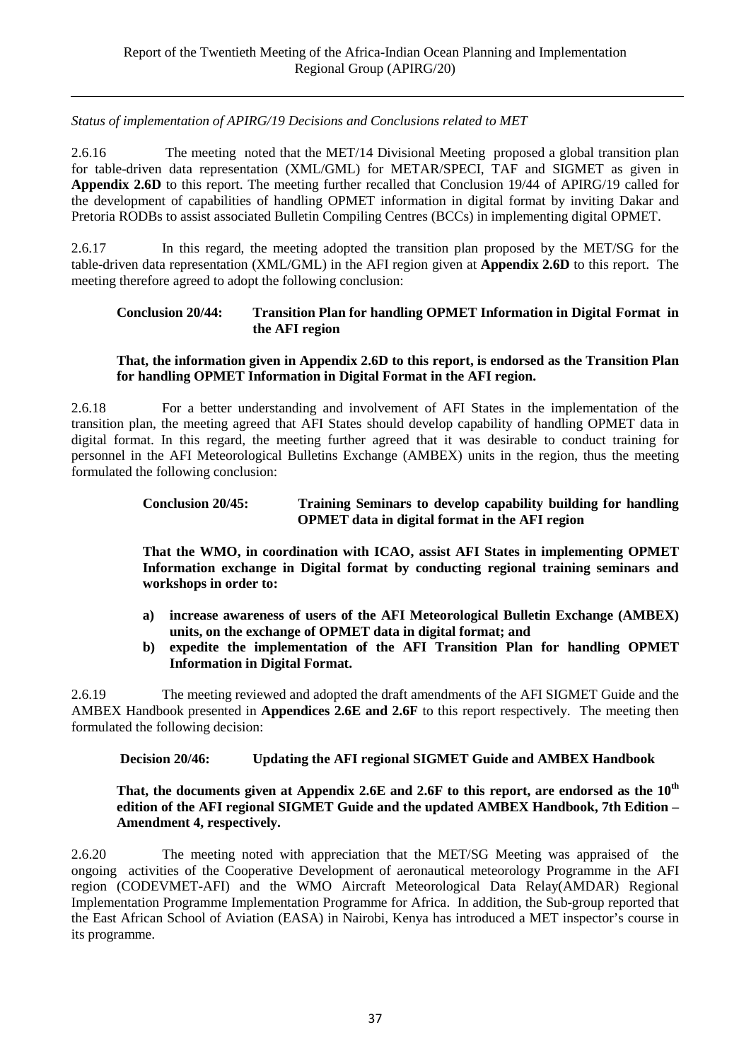*Status of implementation of APIRG/19 Decisions and Conclusions related to MET*

2.6.16 The meeting noted that the MET/14 Divisional Meeting proposed a global transition plan for table-driven data representation (XML/GML) for METAR/SPECI, TAF and SIGMET as given in **Appendix 2.6D** to this report. The meeting further recalled that Conclusion 19/44 of APIRG/19 called for the development of capabilities of handling OPMET information in digital format by inviting Dakar and Pretoria RODBs to assist associated Bulletin Compiling Centres (BCCs) in implementing digital OPMET.

2.6.17 In this regard, the meeting adopted the transition plan proposed by the MET/SG for the table-driven data representation (XML/GML) in the AFI region given at **Appendix 2.6D** to this report. The meeting therefore agreed to adopt the following conclusion:

### **Conclusion 20/44: Transition Plan for handling OPMET Information in Digital Format in the AFI region**

## **That, the information given in Appendix 2.6D to this report, is endorsed as the Transition Plan for handling OPMET Information in Digital Format in the AFI region.**

2.6.18 For a better understanding and involvement of AFI States in the implementation of the transition plan, the meeting agreed that AFI States should develop capability of handling OPMET data in digital format. In this regard, the meeting further agreed that it was desirable to conduct training for personnel in the AFI Meteorological Bulletins Exchange (AMBEX) units in the region, thus the meeting formulated the following conclusion:

### **Conclusion 20/45: Training Seminars to develop capability building for handling OPMET data in digital format in the AFI region**

**That the WMO, in coordination with ICAO, assist AFI States in implementing OPMET Information exchange in Digital format by conducting regional training seminars and workshops in order to:**

- **a) increase awareness of users of the AFI Meteorological Bulletin Exchange (AMBEX) units, on the exchange of OPMET data in digital format; and**
- **b) expedite the implementation of the AFI Transition Plan for handling OPMET Information in Digital Format.**

2.6.19 The meeting reviewed and adopted the draft amendments of the AFI SIGMET Guide and the AMBEX Handbook presented in **Appendices 2.6E and 2.6F** to this report respectively. The meeting then formulated the following decision:

## **Decision 20/46: Updating the AFI regional SIGMET Guide and AMBEX Handbook**

### **That, the documents given at Appendix 2.6E and 2.6F to this report, are endorsed as the 10th edition of the AFI regional SIGMET Guide and the updated AMBEX Handbook, 7th Edition – Amendment 4, respectively.**

2.6.20 The meeting noted with appreciation that the MET/SG Meeting was appraised of the ongoing activities of the Cooperative Development of aeronautical meteorology Programme in the AFI region (CODEVMET-AFI) and the WMO Aircraft Meteorological Data Relay(AMDAR) Regional Implementation Programme Implementation Programme for Africa. In addition, the Sub-group reported that the East African School of Aviation (EASA) in Nairobi, Kenya has introduced a MET inspector's course in its programme.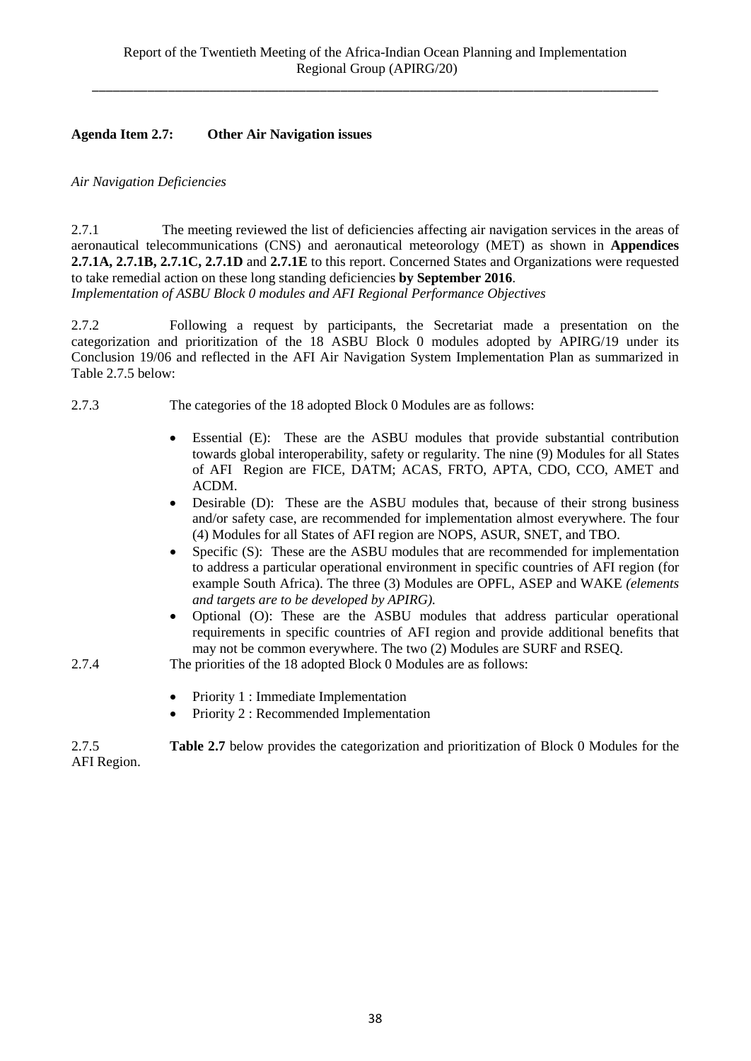## **Agenda Item 2.7: Other Air Navigation issues**

### *Air Navigation Deficiencies*

2.7.1 The meeting reviewed the list of deficiencies affecting air navigation services in the areas of aeronautical telecommunications (CNS) and aeronautical meteorology (MET) as shown in **Appendices 2.7.1A, 2.7.1B, 2.7.1C, 2.7.1D** and **2.7.1E** to this report. Concerned States and Organizations were requested to take remedial action on these long standing deficiencies **by September 2016**. *Implementation of ASBU Block 0 modules and AFI Regional Performance Objectives*

2.7.2 Following a request by participants, the Secretariat made a presentation on the categorization and prioritization of the 18 ASBU Block 0 modules adopted by APIRG/19 under its Conclusion 19/06 and reflected in the AFI Air Navigation System Implementation Plan as summarized in Table 2.7.5 below:

- 2.7.3 The categories of the 18 adopted Block 0 Modules are as follows:
	- Essential (E):These are the ASBU modules that provide substantial contribution towards global interoperability, safety or regularity. The nine (9) Modules for all States of AFI Region are FICE, DATM; ACAS, FRTO, APTA, CDO, CCO, AMET and ACDM.
	- Desirable (D): These are the ASBU modules that, because of their strong business and/or safety case, are recommended for implementation almost everywhere. The four (4) Modules for all States of AFI region are NOPS, ASUR, SNET, and TBO.
	- Specific (S): These are the ASBU modules that are recommended for implementation to address a particular operational environment in specific countries of AFI region (for example South Africa). The three (3) Modules are OPFL, ASEP and WAKE *(elements and targets are to be developed by APIRG).*
	- Optional (O): These are the ASBU modules that address particular operational requirements in specific countries of AFI region and provide additional benefits that may not be common everywhere. The two (2) Modules are SURF and RSEQ.
- 2.7.4 The priorities of the 18 adopted Block 0 Modules are as follows:
	- Priority 1 : Immediate Implementation
	- Priority 2 : Recommended Implementation

2.7.5 **Table 2.7** below provides the categorization and prioritization of Block 0 Modules for the AFI Region.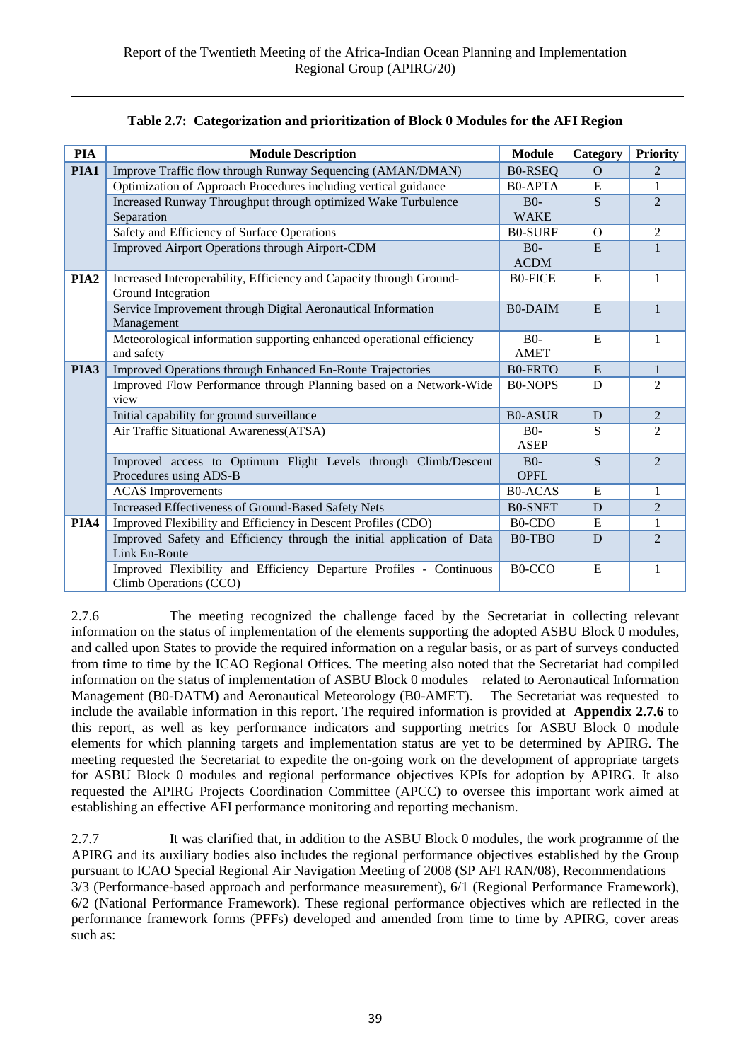| <b>PIA</b>       | <b>Module Description</b>                                                                     | <b>Module</b>       | Category | <b>Priority</b> |
|------------------|-----------------------------------------------------------------------------------------------|---------------------|----------|-----------------|
| PIA1             | Improve Traffic flow through Runway Sequencing (AMAN/DMAN)                                    | <b>B0-RSEQ</b>      | $\Omega$ | 2               |
|                  | Optimization of Approach Procedures including vertical guidance                               | <b>B0-APTA</b>      | E        | $\mathbf{1}$    |
|                  | Increased Runway Throughput through optimized Wake Turbulence                                 | $B0-$               | S        | $\overline{2}$  |
|                  | Separation                                                                                    | <b>WAKE</b>         |          |                 |
|                  | Safety and Efficiency of Surface Operations                                                   | <b>B0-SURF</b>      | $\Omega$ | $\overline{2}$  |
|                  | Improved Airport Operations through Airport-CDM                                               | $B0-$               | E        | $\mathbf{1}$    |
|                  |                                                                                               | <b>ACDM</b>         |          |                 |
| PIA <sub>2</sub> | Increased Interoperability, Efficiency and Capacity through Ground-                           | <b>B0-FICE</b>      | E        | $\mathbf{1}$    |
|                  | Ground Integration                                                                            |                     |          |                 |
|                  | Service Improvement through Digital Aeronautical Information                                  | <b>B0-DAIM</b>      | E        | $\mathbf{1}$    |
|                  | Management                                                                                    |                     |          |                 |
|                  | Meteorological information supporting enhanced operational efficiency                         | B <sub>0</sub>      | E        | $\mathbf{1}$    |
|                  | and safety                                                                                    | <b>AMET</b>         |          |                 |
| PIA3             | Improved Operations through Enhanced En-Route Trajectories                                    | <b>B0-FRTO</b>      | E        | $\mathbf{1}$    |
|                  | Improved Flow Performance through Planning based on a Network-Wide                            | <b>B0-NOPS</b>      | D        | $\overline{2}$  |
|                  | view                                                                                          |                     |          |                 |
|                  | Initial capability for ground surveillance                                                    | <b>B0-ASUR</b>      | D        | $\overline{2}$  |
|                  | Air Traffic Situational Awareness(ATSA)                                                       | $B0-$               | S        | $\overline{2}$  |
|                  |                                                                                               | ASEP                |          |                 |
|                  | Improved access to Optimum Flight Levels through Climb/Descent                                | $B0-$               | S        | $\overline{2}$  |
|                  | Procedures using ADS-B                                                                        | <b>OPFL</b>         | E        | $\mathbf{1}$    |
|                  | <b>ACAS</b> Improvements                                                                      | <b>B0-ACAS</b>      |          |                 |
|                  | Increased Effectiveness of Ground-Based Safety Nets                                           | <b>B0-SNET</b>      | D        | 2               |
| PIA4             | Improved Flexibility and Efficiency in Descent Profiles (CDO)                                 | B0-CDO              | E        | $\mathbf{1}$    |
|                  | Improved Safety and Efficiency through the initial application of Data<br>Link En-Route       | B0-TBO              | D        | $\overline{2}$  |
|                  |                                                                                               |                     | E        | $\mathbf{1}$    |
|                  | Improved Flexibility and Efficiency Departure Profiles - Continuous<br>Climb Operations (CCO) | B <sub>0</sub> -CCO |          |                 |
|                  |                                                                                               |                     |          |                 |

## **Table 2.7: Categorization and prioritization of Block 0 Modules for the AFI Region**

2.7.6 The meeting recognized the challenge faced by the Secretariat in collecting relevant information on the status of implementation of the elements supporting the adopted ASBU Block 0 modules, and called upon States to provide the required information on a regular basis, or as part of surveys conducted from time to time by the ICAO Regional Offices. The meeting also noted that the Secretariat had compiled information on the status of implementation of ASBU Block 0 modules related to Aeronautical Information Management (B0-DATM) and Aeronautical Meteorology (B0-AMET). The Secretariat was requested to include the available information in this report. The required information is provided at **Appendix 2.7.6** to this report, as well as key performance indicators and supporting metrics for ASBU Block 0 module elements for which planning targets and implementation status are yet to be determined by APIRG. The meeting requested the Secretariat to expedite the on-going work on the development of appropriate targets for ASBU Block 0 modules and regional performance objectives KPIs for adoption by APIRG. It also requested the APIRG Projects Coordination Committee (APCC) to oversee this important work aimed at establishing an effective AFI performance monitoring and reporting mechanism.

2.7.7 It was clarified that, in addition to the ASBU Block 0 modules, the work programme of the APIRG and its auxiliary bodies also includes the regional performance objectives established by the Group pursuant to ICAO Special Regional Air Navigation Meeting of 2008 (SP AFI RAN/08), Recommendations 3/3 (Performance-based approach and performance measurement), 6/1 (Regional Performance Framework), 6/2 (National Performance Framework). These regional performance objectives which are reflected in the performance framework forms (PFFs) developed and amended from time to time by APIRG, cover areas such as: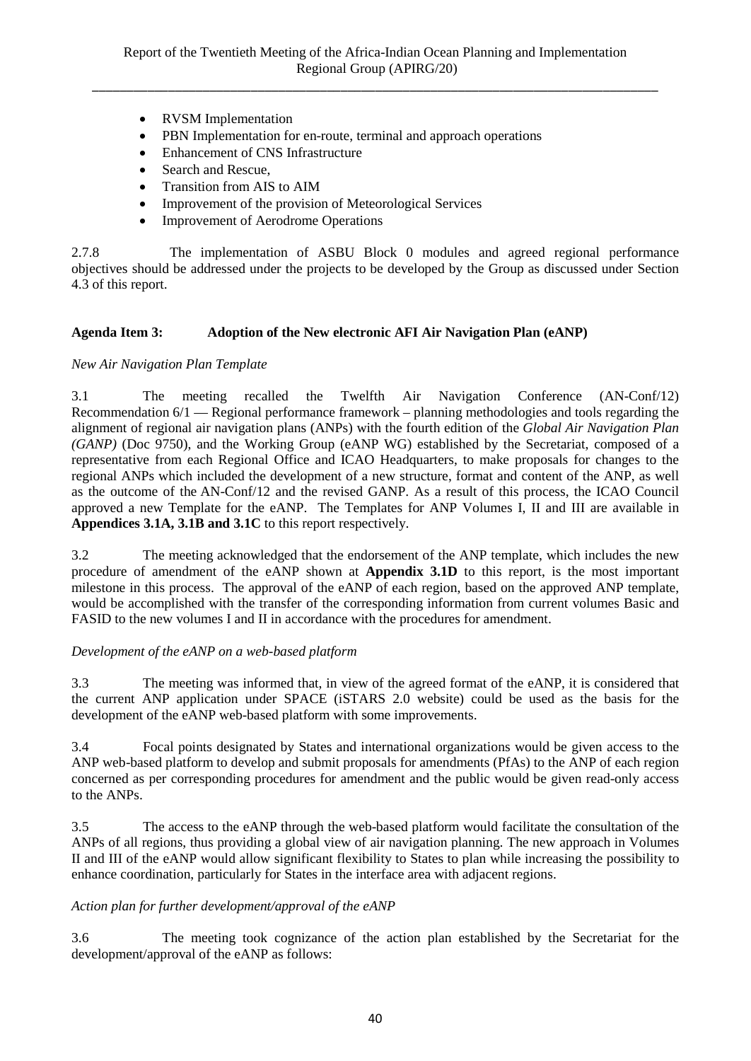- RVSM Implementation
- PBN Implementation for en-route, terminal and approach operations
- Enhancement of CNS Infrastructure
- Search and Rescue.
- Transition from AIS to AIM
- Improvement of the provision of Meteorological Services
- Improvement of Aerodrome Operations

2.7.8 The implementation of ASBU Block 0 modules and agreed regional performance objectives should be addressed under the projects to be developed by the Group as discussed under Section 4.3 of this report.

## **Agenda Item 3: Adoption of the New electronic AFI Air Navigation Plan (eANP)**

## *New Air Navigation Plan Template*

3.1 The meeting recalled the Twelfth Air Navigation Conference (AN-Conf/12) Recommendation 6/1 — Regional performance framework – planning methodologies and tools regarding the alignment of regional air navigation plans (ANPs) with the fourth edition of the *Global Air Navigation Plan (GANP)* (Doc 9750), and the Working Group (eANP WG) established by the Secretariat, composed of a representative from each Regional Office and ICAO Headquarters, to make proposals for changes to the regional ANPs which included the development of a new structure, format and content of the ANP, as well as the outcome of the AN-Conf/12 and the revised GANP. As a result of this process, the ICAO Council approved a new Template for the eANP. The Templates for ANP Volumes I, II and III are available in **Appendices 3.1A, 3.1B and 3.1C** to this report respectively.

3.2 The meeting acknowledged that the endorsement of the ANP template, which includes the new procedure of amendment of the eANP shown at **Appendix 3.1D** to this report, is the most important milestone in this process. The approval of the eANP of each region, based on the approved ANP template, would be accomplished with the transfer of the corresponding information from current volumes Basic and FASID to the new volumes I and II in accordance with the procedures for amendment.

## *Development of the eANP on a web-based platform*

3.3 The meeting was informed that, in view of the agreed format of the eANP, it is considered that the current ANP application under SPACE (iSTARS 2.0 website) could be used as the basis for the development of the eANP web-based platform with some improvements.

3.4 Focal points designated by States and international organizations would be given access to the ANP web-based platform to develop and submit proposals for amendments (PfAs) to the ANP of each region concerned as per corresponding procedures for amendment and the public would be given read-only access to the ANPs.

3.5 The access to the eANP through the web-based platform would facilitate the consultation of the ANPs of all regions, thus providing a global view of air navigation planning. The new approach in Volumes II and III of the eANP would allow significant flexibility to States to plan while increasing the possibility to enhance coordination, particularly for States in the interface area with adjacent regions.

## *Action plan for further development/approval of the eANP*

3.6 The meeting took cognizance of the action plan established by the Secretariat for the development/approval of the eANP as follows: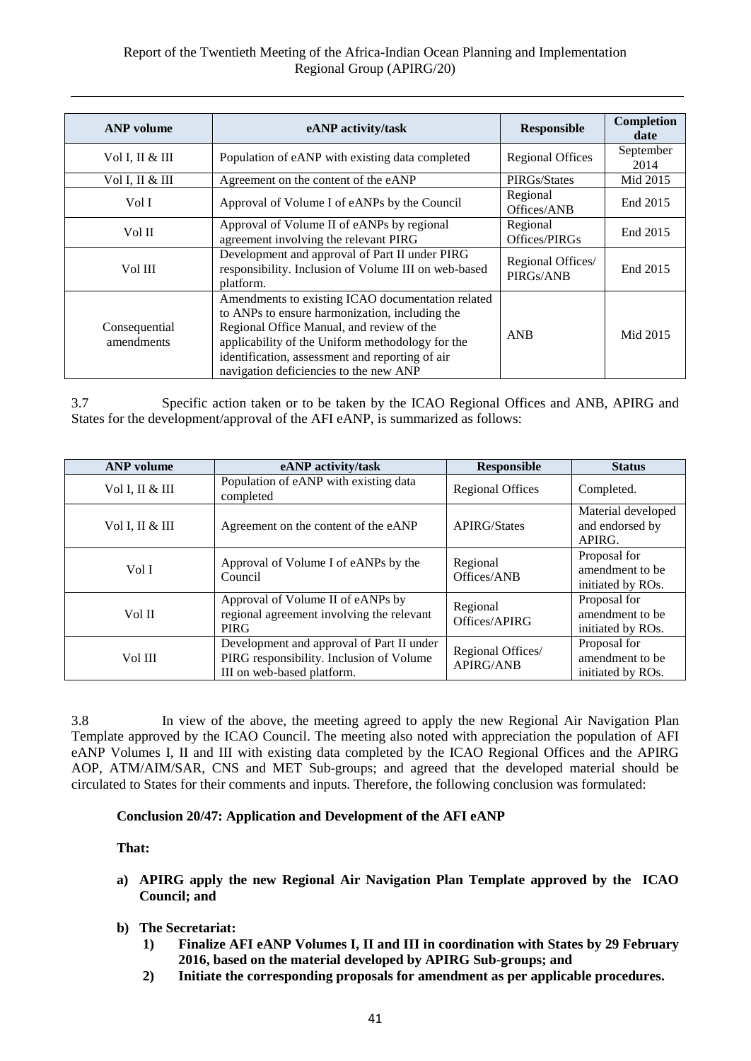## Report of the Twentieth Meeting of the Africa-Indian Ocean Planning and Implementation Regional Group (APIRG/20)

| <b>ANP</b> volume           | eANP activity/task                                                                                                                                                                                                                                                                                | <b>Responsible</b>             | Completion<br>date |
|-----------------------------|---------------------------------------------------------------------------------------------------------------------------------------------------------------------------------------------------------------------------------------------------------------------------------------------------|--------------------------------|--------------------|
| Vol I, II & III             | Population of eANP with existing data completed                                                                                                                                                                                                                                                   | <b>Regional Offices</b>        | September<br>2014  |
| Vol I, II & III             | Agreement on the content of the eANP                                                                                                                                                                                                                                                              | PIRGs/States                   | Mid 2015           |
| Vol I                       | Approval of Volume I of eANPs by the Council                                                                                                                                                                                                                                                      | Regional<br>Offices/ANB        | End 2015           |
| Vol II                      | Approval of Volume II of eANPs by regional<br>agreement involving the relevant PIRG                                                                                                                                                                                                               | Regional<br>Offices/PIRGs      | End 2015           |
| Vol III                     | Development and approval of Part II under PIRG<br>responsibility. Inclusion of Volume III on web-based<br>platform.                                                                                                                                                                               | Regional Offices/<br>PIRGs/ANB | End 2015           |
| Consequential<br>amendments | Amendments to existing ICAO documentation related<br>to ANPs to ensure harmonization, including the<br>Regional Office Manual, and review of the<br>applicability of the Uniform methodology for the<br>identification, assessment and reporting of air<br>navigation deficiencies to the new ANP | <b>ANB</b>                     | Mid 2015           |

3.7 Specific action taken or to be taken by the ICAO Regional Offices and ANB, APIRG and States for the development/approval of the AFI eANP, is summarized as follows:

| <b>ANP</b> volume | eANP activity/task                                                                                                  | <b>Responsible</b>                    | <b>Status</b>                                        |
|-------------------|---------------------------------------------------------------------------------------------------------------------|---------------------------------------|------------------------------------------------------|
| Vol I, II & III   | Population of eANP with existing data<br>completed                                                                  | <b>Regional Offices</b>               | Completed.                                           |
| Vol I, II & III   | Agreement on the content of the eANP                                                                                | <b>APIRG/States</b>                   | Material developed<br>and endorsed by<br>APIRG.      |
| Vol I             | Approval of Volume I of eANPs by the<br>Council                                                                     | Regional<br>Offices/ANB               | Proposal for<br>amendment to be<br>initiated by ROs. |
| Vol II            | Approval of Volume II of eANPs by<br>regional agreement involving the relevant<br><b>PIRG</b>                       | Regional<br>Offices/APIRG             | Proposal for<br>amendment to be<br>initiated by ROs. |
| Vol III           | Development and approval of Part II under<br>PIRG responsibility. Inclusion of Volume<br>III on web-based platform. | Regional Offices/<br><b>APIRG/ANB</b> | Proposal for<br>amendment to be<br>initiated by ROs. |

3.8 In view of the above, the meeting agreed to apply the new Regional Air Navigation Plan Template approved by the ICAO Council. The meeting also noted with appreciation the population of AFI eANP Volumes I, II and III with existing data completed by the ICAO Regional Offices and the APIRG AOP, ATM/AIM/SAR, CNS and MET Sub-groups; and agreed that the developed material should be circulated to States for their comments and inputs. Therefore, the following conclusion was formulated:

#### **Conclusion 20/47: Application and Development of the AFI eANP**

#### **That:**

- **a) APIRG apply the new Regional Air Navigation Plan Template approved by the ICAO Council; and**
- **b) The Secretariat:**
	- **1) Finalize AFI eANP Volumes I, II and III in coordination with States by 29 February 2016, based on the material developed by APIRG Sub-groups; and**
	- **2) Initiate the corresponding proposals for amendment as per applicable procedures.**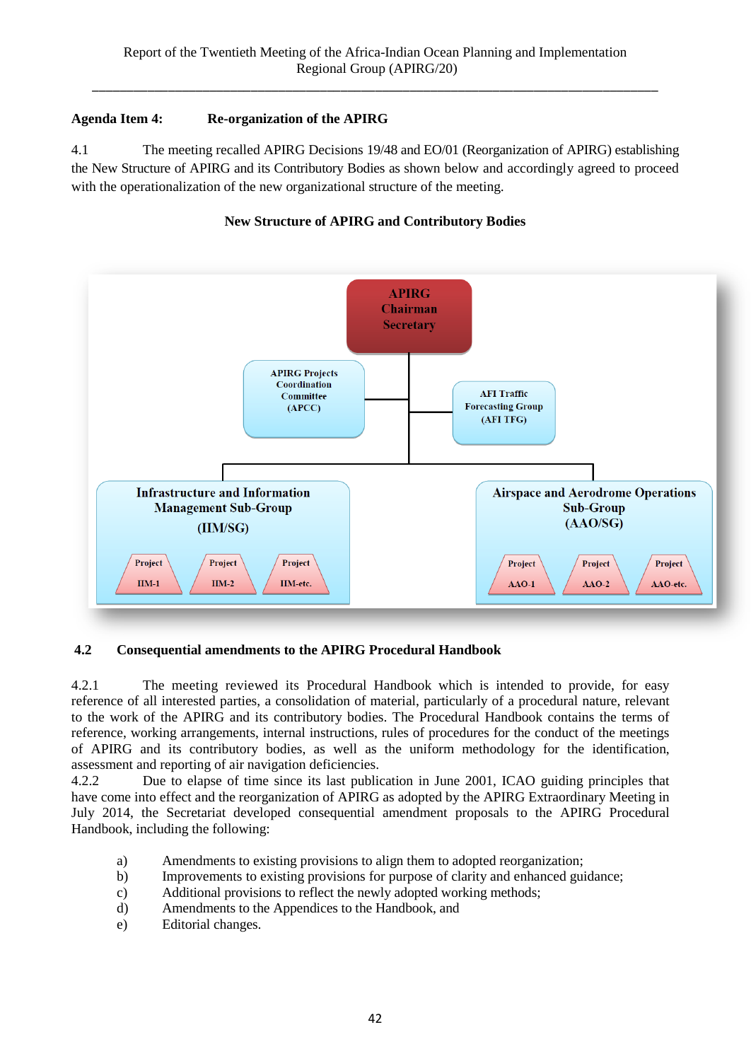## **Agenda Item 4: Re-organization of the APIRG**

4.1 The meeting recalled APIRG Decisions 19/48 and EO/01 (Reorganization of APIRG) establishing the New Structure of APIRG and its Contributory Bodies as shown below and accordingly agreed to proceed with the operationalization of the new organizational structure of the meeting.





## **4.2 Consequential amendments to the APIRG Procedural Handbook**

4.2.1 The meeting reviewed its Procedural Handbook which is intended to provide, for easy reference of all interested parties, a consolidation of material, particularly of a procedural nature, relevant to the work of the APIRG and its contributory bodies. The Procedural Handbook contains the terms of reference, working arrangements, internal instructions, rules of procedures for the conduct of the meetings of APIRG and its contributory bodies, as well as the uniform methodology for the identification, assessment and reporting of air navigation deficiencies.

4.2.2 Due to elapse of time since its last publication in June 2001, ICAO guiding principles that have come into effect and the reorganization of APIRG as adopted by the APIRG Extraordinary Meeting in July 2014, the Secretariat developed consequential amendment proposals to the APIRG Procedural Handbook, including the following:

- a) Amendments to existing provisions to align them to adopted reorganization;
- b) Improvements to existing provisions for purpose of clarity and enhanced guidance;
- c) Additional provisions to reflect the newly adopted working methods;
- d) Amendments to the Appendices to the Handbook, and
- e) Editorial changes.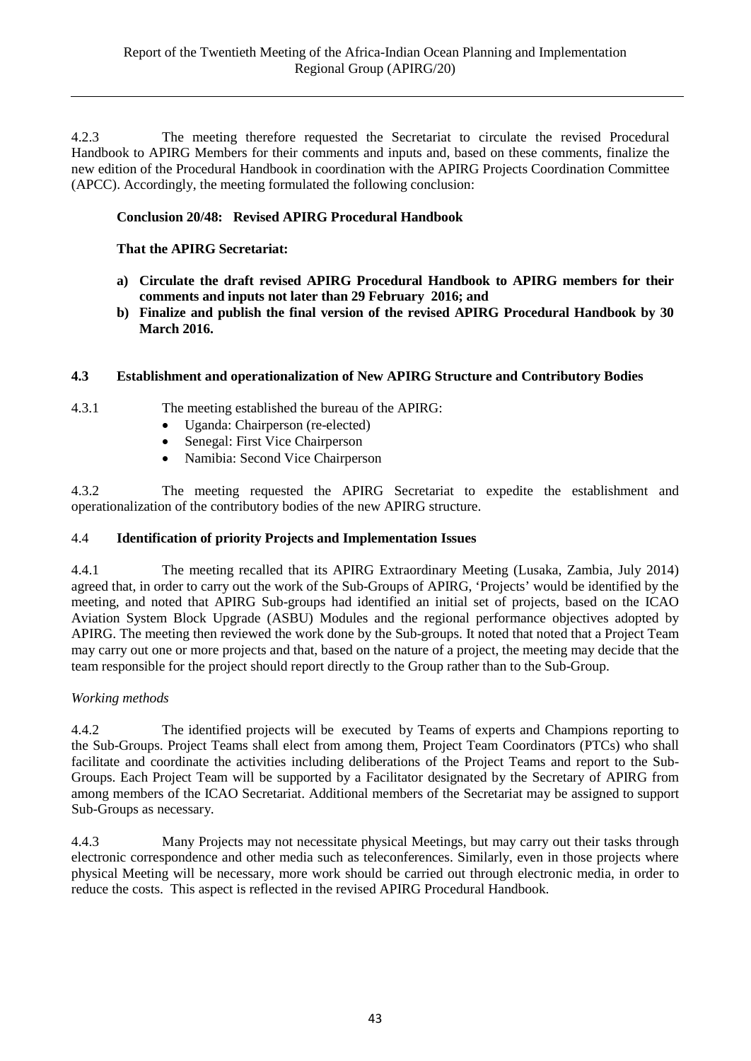4.2.3 The meeting therefore requested the Secretariat to circulate the revised Procedural Handbook to APIRG Members for their comments and inputs and, based on these comments, finalize the new edition of the Procedural Handbook in coordination with the APIRG Projects Coordination Committee (APCC). Accordingly, the meeting formulated the following conclusion:

### **Conclusion 20/48: Revised APIRG Procedural Handbook**

### **That the APIRG Secretariat:**

- **a) Circulate the draft revised APIRG Procedural Handbook to APIRG members for their comments and inputs not later than 29 February 2016; and**
- **b) Finalize and publish the final version of the revised APIRG Procedural Handbook by 30 March 2016.**

### **4.3 Establishment and operationalization of New APIRG Structure and Contributory Bodies**

- 
- 4.3.1 The meeting established the bureau of the APIRG:
	- Uganda: Chairperson (re-elected)
	- Senegal: First Vice Chairperson
	- Namibia: Second Vice Chairperson

4.3.2 The meeting requested the APIRG Secretariat to expedite the establishment and operationalization of the contributory bodies of the new APIRG structure.

#### 4.4 **Identification of priority Projects and Implementation Issues**

4.4.1 The meeting recalled that its APIRG Extraordinary Meeting (Lusaka, Zambia, July 2014) agreed that, in order to carry out the work of the Sub-Groups of APIRG, 'Projects' would be identified by the meeting, and noted that APIRG Sub-groups had identified an initial set of projects, based on the ICAO Aviation System Block Upgrade (ASBU) Modules and the regional performance objectives adopted by APIRG. The meeting then reviewed the work done by the Sub-groups. It noted that noted that a Project Team may carry out one or more projects and that, based on the nature of a project, the meeting may decide that the team responsible for the project should report directly to the Group rather than to the Sub-Group.

#### *Working methods*

4.4.2 The identified projects will be executed by Teams of experts and Champions reporting to the Sub-Groups. Project Teams shall elect from among them, Project Team Coordinators (PTCs) who shall facilitate and coordinate the activities including deliberations of the Project Teams and report to the Sub-Groups. Each Project Team will be supported by a Facilitator designated by the Secretary of APIRG from among members of the ICAO Secretariat. Additional members of the Secretariat may be assigned to support Sub-Groups as necessary.

4.4.3 Many Projects may not necessitate physical Meetings, but may carry out their tasks through electronic correspondence and other media such as teleconferences. Similarly, even in those projects where physical Meeting will be necessary, more work should be carried out through electronic media, in order to reduce the costs. This aspect is reflected in the revised APIRG Procedural Handbook.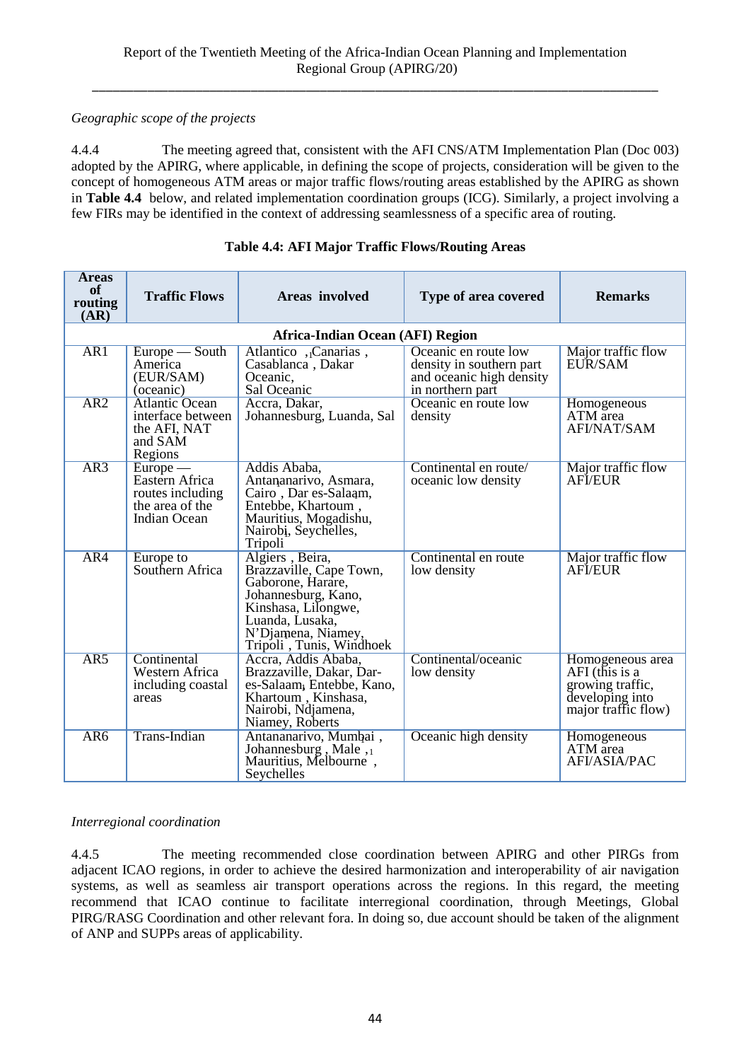## *Geographic scope of the projects*

4.4.4 The meeting agreed that, consistent with the AFI CNS/ATM Implementation Plan (Doc 003) adopted by the APIRG, where applicable, in defining the scope of projects, consideration will be given to the concept of homogeneous ATM areas or major traffic flows/routing areas established by the APIRG as shown in **Table 4.4** below, and related implementation coordination groups (ICG). Similarly, a project involving a few FIRs may be identified in the context of addressing seamlessness of a specific area of routing.

| <b>Areas</b><br>of<br>routing<br>(AR) | <b>Traffic Flows</b>                                                                | Areas involved                                                                                                                                                                     | Type of area covered                                                                             | <b>Remarks</b>                                                                                   |  |  |  |  |
|---------------------------------------|-------------------------------------------------------------------------------------|------------------------------------------------------------------------------------------------------------------------------------------------------------------------------------|--------------------------------------------------------------------------------------------------|--------------------------------------------------------------------------------------------------|--|--|--|--|
|                                       | Africa-Indian Ocean (AFI) Region                                                    |                                                                                                                                                                                    |                                                                                                  |                                                                                                  |  |  |  |  |
| AR <sub>1</sub>                       | Europe — South<br>America<br>(EUR/SAM)<br>(oceanic)                                 | Atlantico, Canarias,<br>Casablanca, Dakar<br>Oceanic,<br>Sal Oceanic                                                                                                               | Oceanic en route low<br>density in southern part<br>and oceanic high density<br>in northern part | Major traffic flow<br>EUR/SAM                                                                    |  |  |  |  |
| AR2                                   | <b>Atlantic Ocean</b><br>interface between<br>the AFI, NAT<br>and SAM<br>Regions    | Accra, Dakar,<br>Johannesburg, Luanda, Sal                                                                                                                                         | Oceanic en route low<br>density                                                                  | Homogeneous<br>ATM area<br><b>AFI/NAT/SAM</b>                                                    |  |  |  |  |
| AR3                                   | $Europe$ —<br>Eastern Africa<br>routes including<br>the area of the<br>Indian Ocean | Addis Ababa,<br>Antananarivo, Asmara,<br>Cairo, Dar es-Salaam,<br>Entebbe, Khartoum,<br>Mauritius, Mogadishu,<br>Nairobį, Seychelles,<br>Tripoli                                   | Continental en route/<br>oceanic low density                                                     | Major traffic flow<br>AFI/EUR                                                                    |  |  |  |  |
| AR4                                   | Europe to<br>Southern Africa                                                        | Algiers, Beira,<br>Brazzaville, Cape Town,<br>Gaborone, Harare,<br>Johannesburg, Kano,<br>Kinshasa, Lilongwe,<br>Luanda, Lusaka,<br>N'Djamena, Niamey,<br>Tripoli, Tunis, Windhoek | Continental en route<br>low density                                                              | Major traffic flow<br><b>AFIEUR</b>                                                              |  |  |  |  |
| AR5                                   | Continental<br>Western Africa<br>including coastal<br>areas                         | Accra, Addis Ababa,<br>Brazzaville, Dakar, Dar-<br>es-Salaam, Entebbe, Kano,<br>Khartoum, Kinshasa,<br>Nairobi, Ndjamena,<br>Niamey, Roberts                                       | Continental/oceanic<br>low density                                                               | Homogeneous area<br>AFI (this is a<br>growing traffic,<br>developing into<br>major traffic flow) |  |  |  |  |
| AR <sub>6</sub>                       | <b>Trans-Indian</b>                                                                 | Antananarivo, Mumbai,<br>Johannesburg, Male <sub>,1</sub><br>Mauritius, Melbourne,<br>Seychelles                                                                                   | Oceanic high density                                                                             | Homogeneous<br>ATM area<br><b>AFI/ASIA/PAC</b>                                                   |  |  |  |  |

## **Table 4.4: AFI Major Traffic Flows/Routing Areas**

## *Interregional coordination*

4.4.5 The meeting recommended close coordination between APIRG and other PIRGs from adjacent ICAO regions, in order to achieve the desired harmonization and interoperability of air navigation systems, as well as seamless air transport operations across the regions. In this regard, the meeting recommend that ICAO continue to facilitate interregional coordination, through Meetings, Global PIRG/RASG Coordination and other relevant fora. In doing so, due account should be taken of the alignment of ANP and SUPPs areas of applicability.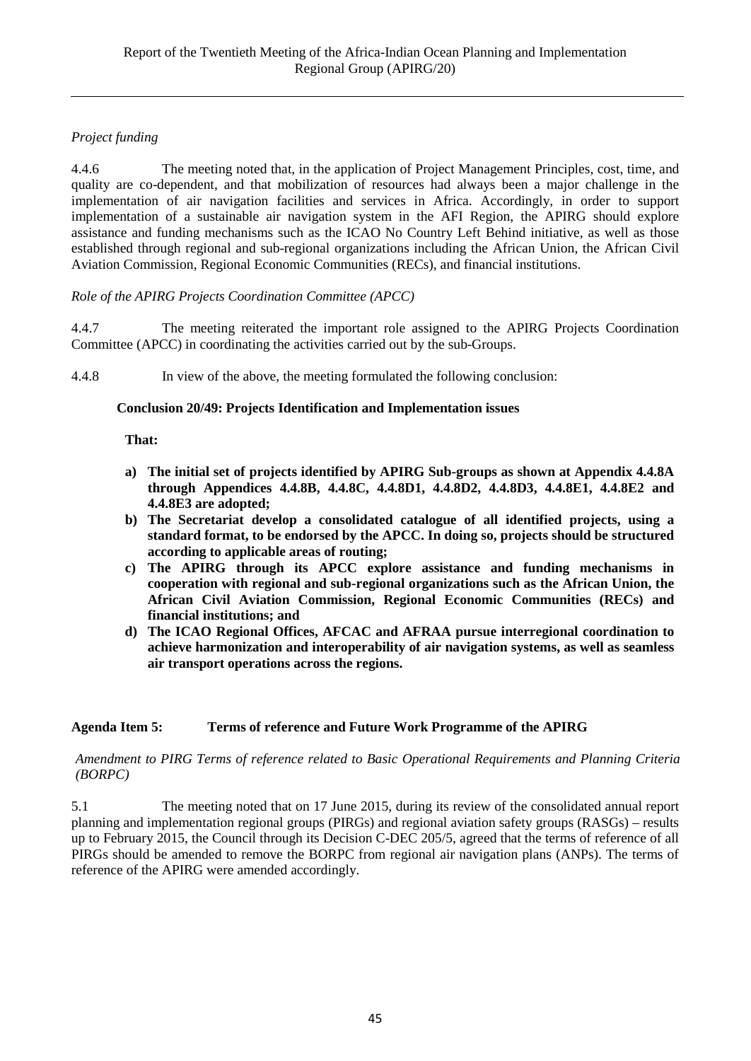## *Project funding*

4.4.6 The meeting noted that, in the application of Project Management Principles, cost, time, and quality are co-dependent, and that mobilization of resources had always been a major challenge in the implementation of air navigation facilities and services in Africa. Accordingly, in order to support implementation of a sustainable air navigation system in the AFI Region, the APIRG should explore assistance and funding mechanisms such as the ICAO No Country Left Behind initiative, as well as those established through regional and sub-regional organizations including the African Union, the African Civil Aviation Commission, Regional Economic Communities (RECs), and financial institutions.

## *Role of the APIRG Projects Coordination Committee (APCC)*

4.4.7 The meeting reiterated the important role assigned to the APIRG Projects Coordination Committee (APCC) in coordinating the activities carried out by the sub-Groups.

4.4.8 In view of the above, the meeting formulated the following conclusion:

### **Conclusion 20/49: Projects Identification and Implementation issues**

### **That:**

- **a) The initial set of projects identified by APIRG Sub-groups as shown at Appendix 4.4.8A through Appendices 4.4.8B, 4.4.8C, 4.4.8D1, 4.4.8D2, 4.4.8D3, 4.4.8E1, 4.4.8E2 and 4.4.8E3 are adopted;**
- **b) The Secretariat develop a consolidated catalogue of all identified projects, using a standard format, to be endorsed by the APCC. In doing so, projects should be structured according to applicable areas of routing;**
- **c) The APIRG through its APCC explore assistance and funding mechanisms in cooperation with regional and sub-regional organizations such as the African Union, the African Civil Aviation Commission, Regional Economic Communities (RECs) and financial institutions; and**
- **d) The ICAO Regional Offices, AFCAC and AFRAA pursue interregional coordination to achieve harmonization and interoperability of air navigation systems, as well as seamless air transport operations across the regions.**

## **Agenda Item 5: Terms of reference and Future Work Programme of the APIRG**

### *Amendment to PIRG Terms of reference related to Basic Operational Requirements and Planning Criteria (BORPC)*

5.1 The meeting noted that on 17 June 2015, during its review of the consolidated annual report planning and implementation regional groups (PIRGs) and regional aviation safety groups (RASGs) – results up to February 2015, the Council through its Decision C-DEC 205/5, agreed that the terms of reference of all PIRGs should be amended to remove the BORPC from regional air navigation plans (ANPs). The terms of reference of the APIRG were amended accordingly.